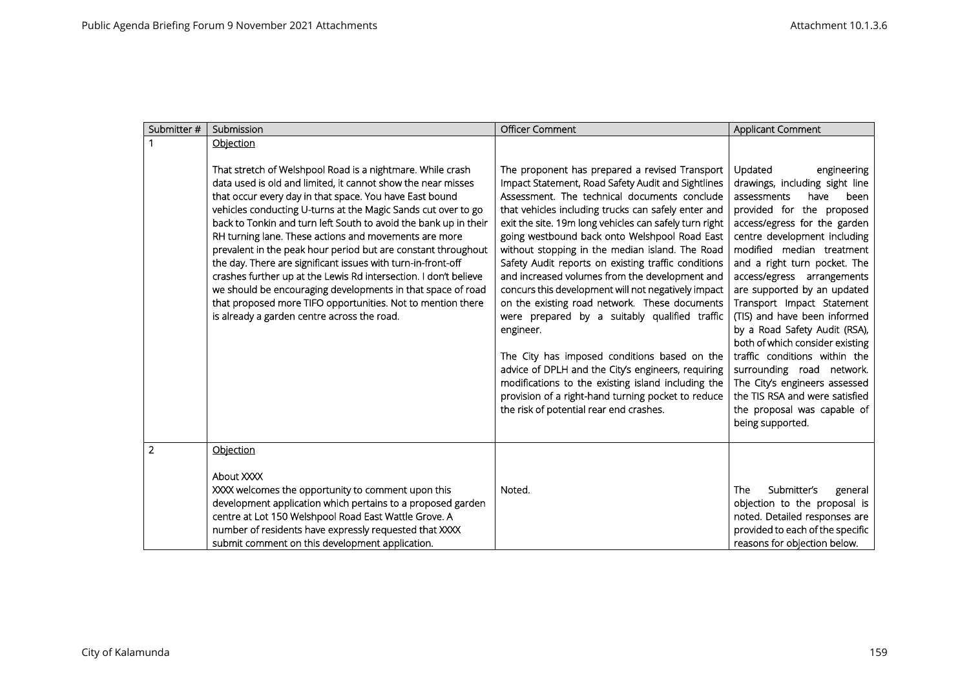| Submitter #    | Submission                                                                                                                                                                                                                                                                                                                                                                                                                                                                                                                                                                                                                                                                                                                                                            | <b>Officer Comment</b>                                                                                                                                                                                                                                                                                                                                                                                                                                                                                                                                                                                                                                                                                                                                                                                                                                                                                                | <b>Applicant Comment</b>                                                                                                                                                                                                                                                                                                                                                                                                                                                                                                                                                                                                             |
|----------------|-----------------------------------------------------------------------------------------------------------------------------------------------------------------------------------------------------------------------------------------------------------------------------------------------------------------------------------------------------------------------------------------------------------------------------------------------------------------------------------------------------------------------------------------------------------------------------------------------------------------------------------------------------------------------------------------------------------------------------------------------------------------------|-----------------------------------------------------------------------------------------------------------------------------------------------------------------------------------------------------------------------------------------------------------------------------------------------------------------------------------------------------------------------------------------------------------------------------------------------------------------------------------------------------------------------------------------------------------------------------------------------------------------------------------------------------------------------------------------------------------------------------------------------------------------------------------------------------------------------------------------------------------------------------------------------------------------------|--------------------------------------------------------------------------------------------------------------------------------------------------------------------------------------------------------------------------------------------------------------------------------------------------------------------------------------------------------------------------------------------------------------------------------------------------------------------------------------------------------------------------------------------------------------------------------------------------------------------------------------|
|                | Objection                                                                                                                                                                                                                                                                                                                                                                                                                                                                                                                                                                                                                                                                                                                                                             |                                                                                                                                                                                                                                                                                                                                                                                                                                                                                                                                                                                                                                                                                                                                                                                                                                                                                                                       |                                                                                                                                                                                                                                                                                                                                                                                                                                                                                                                                                                                                                                      |
|                | That stretch of Welshpool Road is a nightmare. While crash<br>data used is old and limited, it cannot show the near misses<br>that occur every day in that space. You have East bound<br>vehicles conducting U-turns at the Magic Sands cut over to go<br>back to Tonkin and turn left South to avoid the bank up in their<br>RH turning lane. These actions and movements are more<br>prevalent in the peak hour period but are constant throughout<br>the day. There are significant issues with turn-in-front-off<br>crashes further up at the Lewis Rd intersection. I don't believe<br>we should be encouraging developments in that space of road<br>that proposed more TIFO opportunities. Not to mention there<br>is already a garden centre across the road. | The proponent has prepared a revised Transport<br>Impact Statement, Road Safety Audit and Sightlines<br>Assessment. The technical documents conclude<br>that vehicles including trucks can safely enter and<br>exit the site. 19m long vehicles can safely turn right<br>going westbound back onto Welshpool Road East<br>without stopping in the median island. The Road<br>Safety Audit reports on existing traffic conditions<br>and increased volumes from the development and<br>concurs this development will not negatively impact<br>on the existing road network. These documents<br>were prepared by a suitably qualified traffic<br>engineer.<br>The City has imposed conditions based on the<br>advice of DPLH and the City's engineers, requiring<br>modifications to the existing island including the<br>provision of a right-hand turning pocket to reduce<br>the risk of potential rear end crashes. | Updated<br>engineering<br>drawings, including sight line<br>have<br>been<br>assessments<br>provided for the proposed<br>access/egress for the garden<br>centre development including<br>modified median treatment<br>and a right turn pocket. The<br>access/egress arrangements<br>are supported by an updated<br>Transport Impact Statement<br>(TIS) and have been informed<br>by a Road Safety Audit (RSA),<br>both of which consider existing<br>traffic conditions within the<br>surrounding road network.<br>The City's engineers assessed<br>the TIS RSA and were satisfied<br>the proposal was capable of<br>being supported. |
| $\overline{2}$ | Objection                                                                                                                                                                                                                                                                                                                                                                                                                                                                                                                                                                                                                                                                                                                                                             |                                                                                                                                                                                                                                                                                                                                                                                                                                                                                                                                                                                                                                                                                                                                                                                                                                                                                                                       |                                                                                                                                                                                                                                                                                                                                                                                                                                                                                                                                                                                                                                      |
|                | About XXXX<br>XXXX welcomes the opportunity to comment upon this<br>development application which pertains to a proposed garden<br>centre at Lot 150 Welshpool Road East Wattle Grove. A<br>number of residents have expressly requested that XXXX<br>submit comment on this development application.                                                                                                                                                                                                                                                                                                                                                                                                                                                                 | Noted.                                                                                                                                                                                                                                                                                                                                                                                                                                                                                                                                                                                                                                                                                                                                                                                                                                                                                                                | Submitter's<br>The<br>general<br>objection to the proposal is<br>noted. Detailed responses are<br>provided to each of the specific<br>reasons for objection below.                                                                                                                                                                                                                                                                                                                                                                                                                                                                   |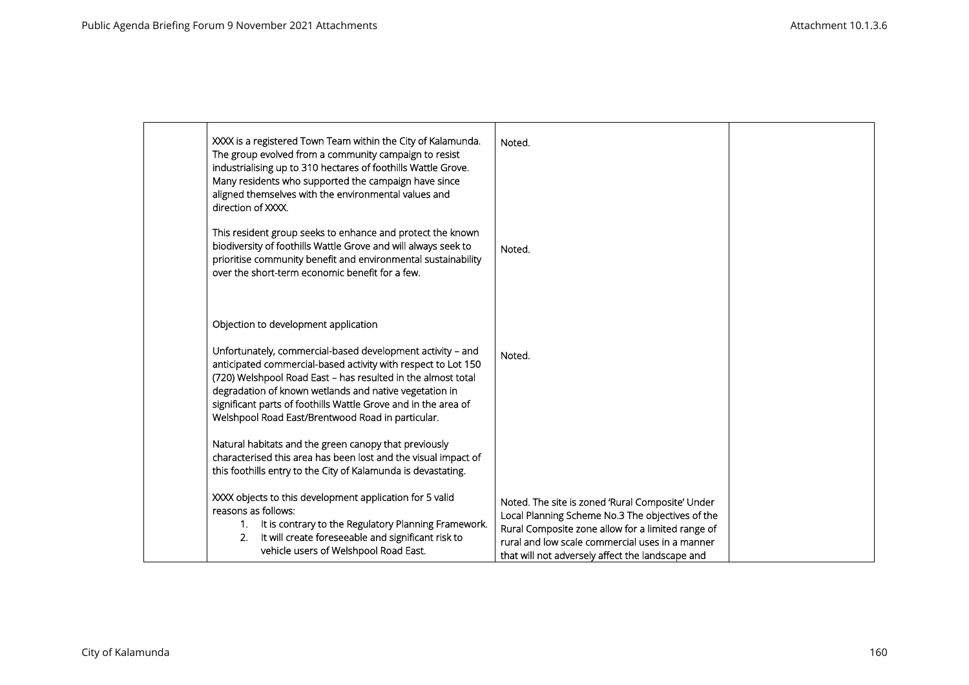| XXXX is a registered Town Team within the City of Kalamunda.<br>The group evolved from a community campaign to resist<br>industrialising up to 310 hectares of foothills Wattle Grove.<br>Many residents who supported the campaign have since<br>aligned themselves with the environmental values and<br>direction of XXXX.                                                 | Noted.                                                                                                                                                                                                                                                           |  |
|------------------------------------------------------------------------------------------------------------------------------------------------------------------------------------------------------------------------------------------------------------------------------------------------------------------------------------------------------------------------------|------------------------------------------------------------------------------------------------------------------------------------------------------------------------------------------------------------------------------------------------------------------|--|
| This resident group seeks to enhance and protect the known<br>biodiversity of foothills Wattle Grove and will always seek to<br>prioritise community benefit and environmental sustainability<br>over the short-term economic benefit for a few.                                                                                                                             | Noted.                                                                                                                                                                                                                                                           |  |
| Objection to development application                                                                                                                                                                                                                                                                                                                                         |                                                                                                                                                                                                                                                                  |  |
| Unfortunately, commercial-based development activity - and<br>anticipated commercial-based activity with respect to Lot 150<br>(720) Welshpool Road East - has resulted in the almost total<br>degradation of known wetlands and native vegetation in<br>significant parts of foothills Wattle Grove and in the area of<br>Welshpool Road East/Brentwood Road in particular. | Noted.                                                                                                                                                                                                                                                           |  |
| Natural habitats and the green canopy that previously<br>characterised this area has been lost and the visual impact of<br>this foothills entry to the City of Kalamunda is devastating.                                                                                                                                                                                     |                                                                                                                                                                                                                                                                  |  |
| XXXX objects to this development application for 5 valid<br>reasons as follows:<br>It is contrary to the Regulatory Planning Framework.<br>1.<br>It will create foreseeable and significant risk to<br>2.<br>vehicle users of Welshpool Road East.                                                                                                                           | Noted. The site is zoned 'Rural Composite' Under<br>Local Planning Scheme No.3 The objectives of the<br>Rural Composite zone allow for a limited range of<br>rural and low scale commercial uses in a manner<br>that will not adversely affect the landscape and |  |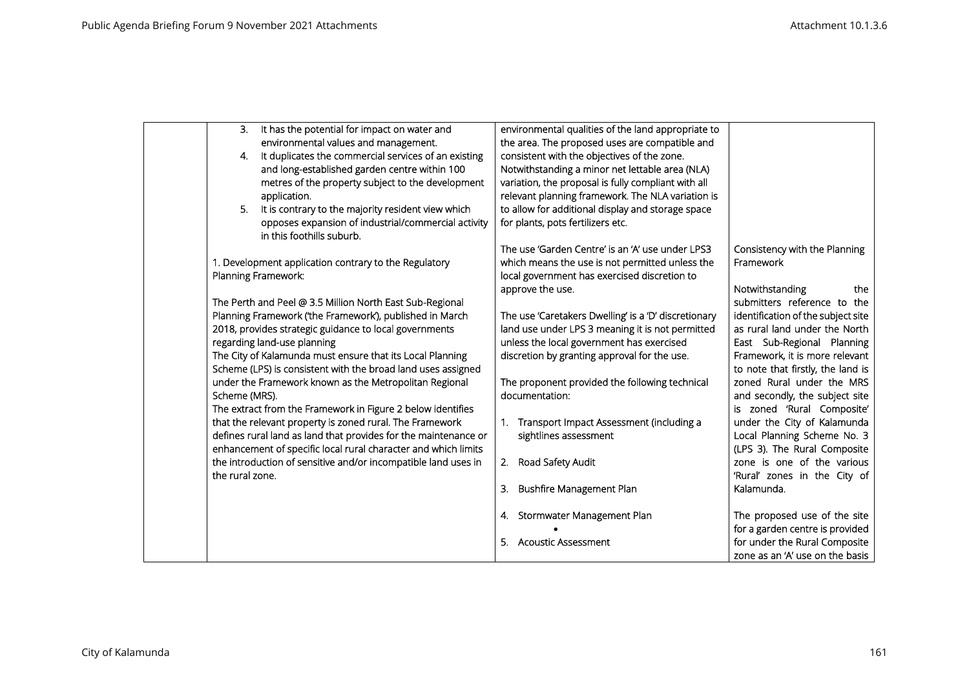| 3.              | It has the potential for impact on water and                                     | environmental qualities of the land appropriate to   |                                    |
|-----------------|----------------------------------------------------------------------------------|------------------------------------------------------|------------------------------------|
|                 | environmental values and management.                                             | the area. The proposed uses are compatible and       |                                    |
| 4.              | It duplicates the commercial services of an existing                             | consistent with the objectives of the zone.          |                                    |
|                 | and long-established garden centre within 100                                    | Notwithstanding a minor net lettable area (NLA)      |                                    |
|                 | metres of the property subject to the development                                | variation, the proposal is fully compliant with all  |                                    |
|                 | application.                                                                     | relevant planning framework. The NLA variation is    |                                    |
| 5.              | It is contrary to the majority resident view which                               | to allow for additional display and storage space    |                                    |
|                 | opposes expansion of industrial/commercial activity<br>in this foothills suburb. | for plants, pots fertilizers etc.                    |                                    |
|                 |                                                                                  | The use 'Garden Centre' is an 'A' use under LPS3     | Consistency with the Planning      |
|                 | 1. Development application contrary to the Regulatory                            | which means the use is not permitted unless the      | Framework                          |
|                 | Planning Framework:                                                              | local government has exercised discretion to         |                                    |
|                 |                                                                                  | approve the use.                                     | Notwithstanding<br>the             |
|                 | The Perth and Peel @ 3.5 Million North East Sub-Regional                         |                                                      | submitters reference to the        |
|                 | Planning Framework ('the Framework'), published in March                         | The use 'Caretakers Dwelling' is a 'D' discretionary | identification of the subject site |
|                 | 2018, provides strategic guidance to local governments                           | land use under LPS 3 meaning it is not permitted     | as rural land under the North      |
|                 | regarding land-use planning                                                      | unless the local government has exercised            | East Sub-Regional Planning         |
|                 | The City of Kalamunda must ensure that its Local Planning                        | discretion by granting approval for the use.         | Framework, it is more relevant     |
|                 | Scheme (LPS) is consistent with the broad land uses assigned                     |                                                      | to note that firstly, the land is  |
|                 | under the Framework known as the Metropolitan Regional                           | The proponent provided the following technical       | zoned Rural under the MRS          |
| Scheme (MRS).   |                                                                                  | documentation:                                       | and secondly, the subject site     |
|                 | The extract from the Framework in Figure 2 below identifies                      |                                                      | is zoned 'Rural Composite'         |
|                 | that the relevant property is zoned rural. The Framework                         | 1. Transport Impact Assessment (including a          | under the City of Kalamunda        |
|                 | defines rural land as land that provides for the maintenance or                  | sightlines assessment                                | Local Planning Scheme No. 3        |
|                 | enhancement of specific local rural character and which limits                   |                                                      | (LPS 3). The Rural Composite       |
|                 | the introduction of sensitive and/or incompatible land uses in                   | Road Safety Audit<br>2.                              | zone is one of the various         |
| the rural zone. |                                                                                  |                                                      | 'Rural' zones in the City of       |
|                 |                                                                                  | Bushfire Management Plan<br>3.                       | Kalamunda.                         |
|                 |                                                                                  |                                                      |                                    |
|                 |                                                                                  | 4. Stormwater Management Plan                        | The proposed use of the site       |
|                 |                                                                                  |                                                      | for a garden centre is provided    |
|                 |                                                                                  | <b>Acoustic Assessment</b>                           | for under the Rural Composite      |
|                 |                                                                                  |                                                      | zone as an 'A' use on the basis    |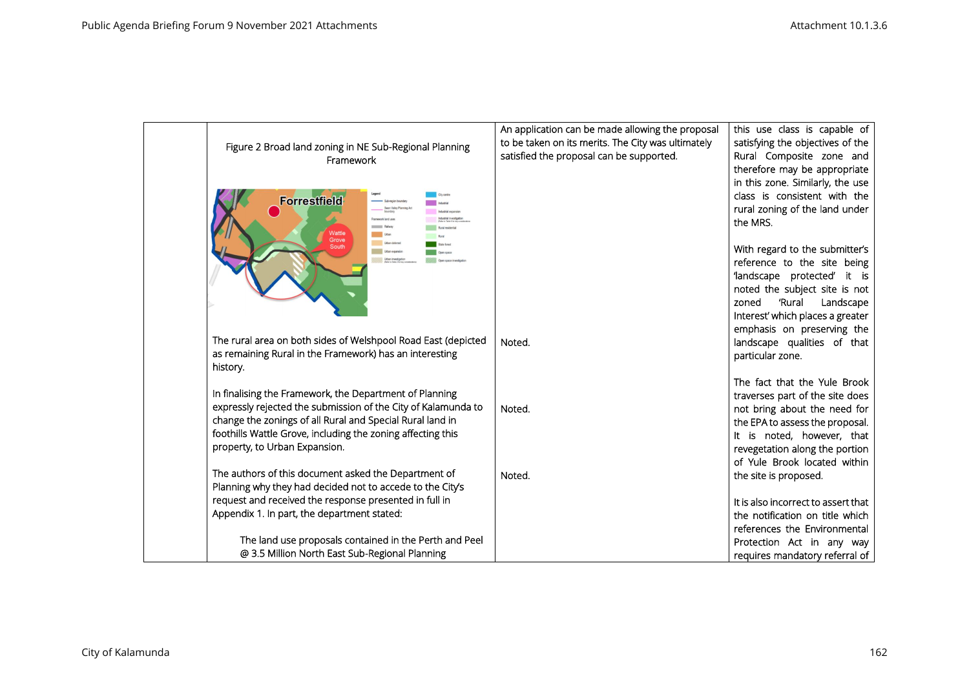| Figure 2 Broad land zoning in NE Sub-Regional Planning<br>Framework                                                                                                                                                                                                                   | An application can be made allowing the proposal<br>to be taken on its merits. The City was ultimately<br>satisfied the proposal can be supported. | this use class is capable of<br>satisfying the objectives of the<br>Rural Composite zone and<br>therefore may be appropriate                                                                       |
|---------------------------------------------------------------------------------------------------------------------------------------------------------------------------------------------------------------------------------------------------------------------------------------|----------------------------------------------------------------------------------------------------------------------------------------------------|----------------------------------------------------------------------------------------------------------------------------------------------------------------------------------------------------|
| <b>Forrestfield</b><br>Swan Valley Planning A<br>ramework land uses<br>Rural residentia<br>Nattle<br>Urban<br>Rural                                                                                                                                                                   |                                                                                                                                                    | in this zone. Similarly, the use<br>class is consistent with the<br>rural zoning of the land under<br>the MRS.                                                                                     |
| Grove<br>Urban deferred<br><b>South</b><br>Urban expansion                                                                                                                                                                                                                            |                                                                                                                                                    | With regard to the submitter's<br>reference to the site being<br>'landscape protected' it is<br>noted the subject site is not<br>zoned<br>'Rural<br>Landscape<br>Interest' which places a greater  |
| The rural area on both sides of Welshpool Road East (depicted<br>as remaining Rural in the Framework) has an interesting<br>history.                                                                                                                                                  | Noted.                                                                                                                                             | emphasis on preserving the<br>landscape qualities of that<br>particular zone.                                                                                                                      |
|                                                                                                                                                                                                                                                                                       |                                                                                                                                                    | The fact that the Yule Brook                                                                                                                                                                       |
| In finalising the Framework, the Department of Planning<br>expressly rejected the submission of the City of Kalamunda to<br>change the zonings of all Rural and Special Rural land in<br>foothills Wattle Grove, including the zoning affecting this<br>property, to Urban Expansion. | Noted.                                                                                                                                             | traverses part of the site does<br>not bring about the need for<br>the EPA to assess the proposal.<br>It is noted, however, that<br>revegetation along the portion<br>of Yule Brook located within |
| The authors of this document asked the Department of                                                                                                                                                                                                                                  | Noted.                                                                                                                                             | the site is proposed.                                                                                                                                                                              |
| Planning why they had decided not to accede to the City's<br>request and received the response presented in full in<br>Appendix 1. In part, the department stated:                                                                                                                    |                                                                                                                                                    | It is also incorrect to assert that<br>the notification on title which<br>references the Environmental                                                                                             |
| The land use proposals contained in the Perth and Peel                                                                                                                                                                                                                                |                                                                                                                                                    | Protection Act in any way                                                                                                                                                                          |
| @ 3.5 Million North East Sub-Regional Planning                                                                                                                                                                                                                                        |                                                                                                                                                    | requires mandatory referral of                                                                                                                                                                     |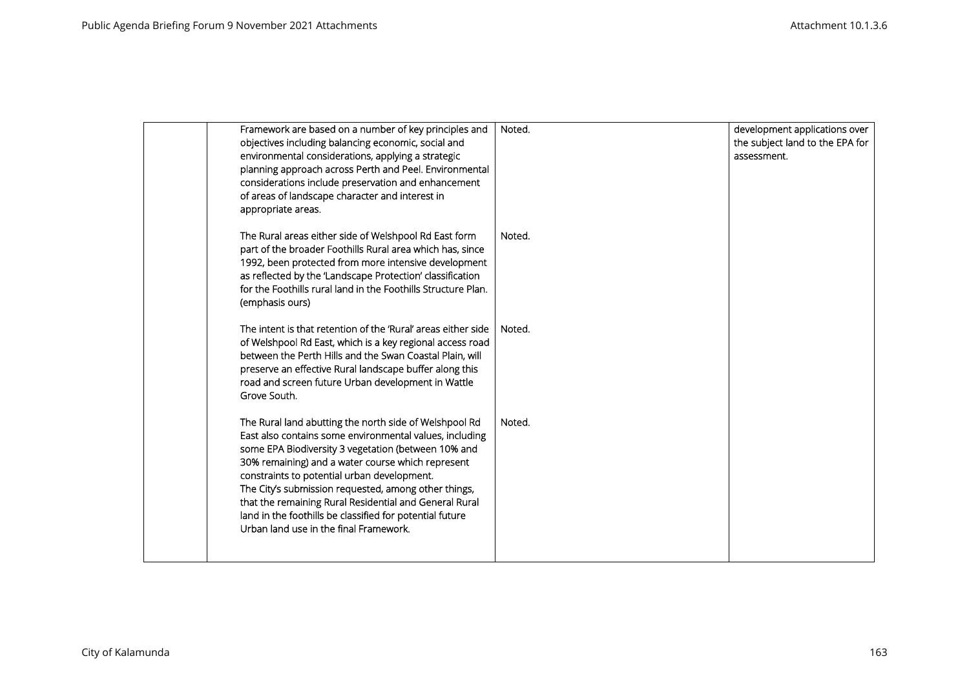| Framework are based on a number of key principles and<br>objectives including balancing economic, social and<br>environmental considerations, applying a strategic<br>planning approach across Perth and Peel. Environmental<br>considerations include preservation and enhancement<br>of areas of landscape character and interest in<br>appropriate areas.                                                                                                                                         | Noted. | development applications over<br>the subject land to the EPA for<br>assessment. |
|------------------------------------------------------------------------------------------------------------------------------------------------------------------------------------------------------------------------------------------------------------------------------------------------------------------------------------------------------------------------------------------------------------------------------------------------------------------------------------------------------|--------|---------------------------------------------------------------------------------|
| The Rural areas either side of Welshpool Rd East form<br>part of the broader Foothills Rural area which has, since<br>1992, been protected from more intensive development<br>as reflected by the 'Landscape Protection' classification<br>for the Foothills rural land in the Foothills Structure Plan.<br>(emphasis ours)                                                                                                                                                                          | Noted. |                                                                                 |
| The intent is that retention of the 'Rural' areas either side<br>of Welshpool Rd East, which is a key regional access road<br>between the Perth Hills and the Swan Coastal Plain, will<br>preserve an effective Rural landscape buffer along this<br>road and screen future Urban development in Wattle<br>Grove South.                                                                                                                                                                              | Noted. |                                                                                 |
| The Rural land abutting the north side of Welshpool Rd<br>East also contains some environmental values, including<br>some EPA Biodiversity 3 vegetation (between 10% and<br>30% remaining) and a water course which represent<br>constraints to potential urban development.<br>The City's submission requested, among other things,<br>that the remaining Rural Residential and General Rural<br>land in the foothills be classified for potential future<br>Urban land use in the final Framework. | Noted. |                                                                                 |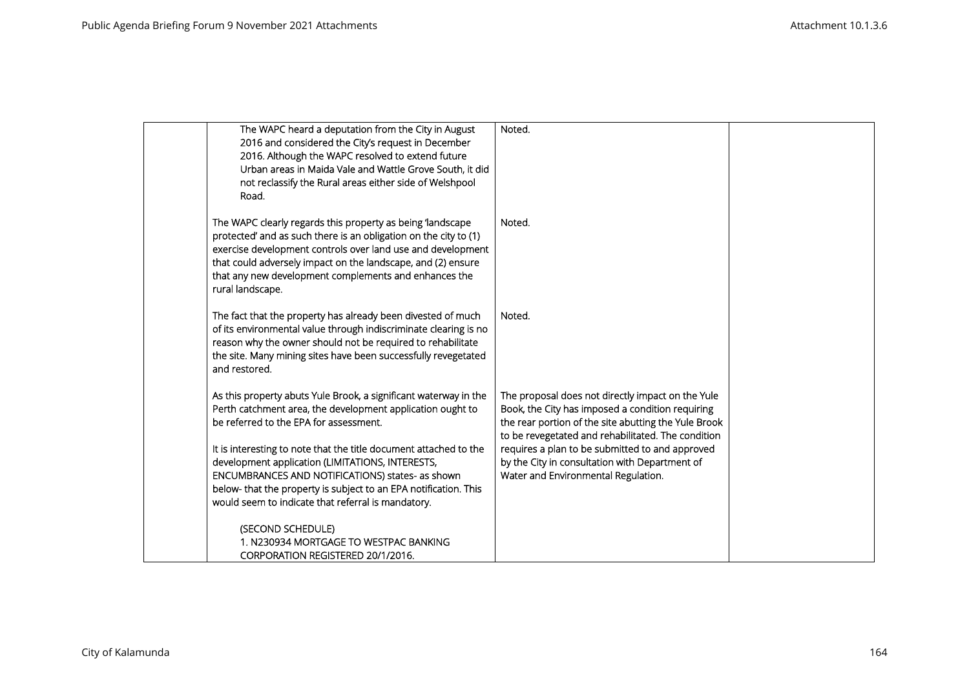| The WAPC heard a deputation from the City in August<br>2016 and considered the City's request in December<br>2016. Although the WAPC resolved to extend future<br>Urban areas in Maida Vale and Wattle Grove South, it did<br>not reclassify the Rural areas either side of Welshpool<br>Road.                                                                                                                                                                                  | Noted.                                                                                                                                                                                                                                                                                                                                                          |  |
|---------------------------------------------------------------------------------------------------------------------------------------------------------------------------------------------------------------------------------------------------------------------------------------------------------------------------------------------------------------------------------------------------------------------------------------------------------------------------------|-----------------------------------------------------------------------------------------------------------------------------------------------------------------------------------------------------------------------------------------------------------------------------------------------------------------------------------------------------------------|--|
| The WAPC clearly regards this property as being 'landscape<br>protected' and as such there is an obligation on the city to (1)<br>exercise development controls over land use and development<br>that could adversely impact on the landscape, and (2) ensure<br>that any new development complements and enhances the<br>rural landscape.                                                                                                                                      | Noted.                                                                                                                                                                                                                                                                                                                                                          |  |
| The fact that the property has already been divested of much<br>of its environmental value through indiscriminate clearing is no<br>reason why the owner should not be required to rehabilitate<br>the site. Many mining sites have been successfully revegetated<br>and restored.                                                                                                                                                                                              | Noted.                                                                                                                                                                                                                                                                                                                                                          |  |
| As this property abuts Yule Brook, a significant waterway in the<br>Perth catchment area, the development application ought to<br>be referred to the EPA for assessment.<br>It is interesting to note that the title document attached to the<br>development application (LIMITATIONS, INTERESTS,<br>ENCUMBRANCES AND NOTIFICATIONS) states- as shown<br>below- that the property is subject to an EPA notification. This<br>would seem to indicate that referral is mandatory. | The proposal does not directly impact on the Yule<br>Book, the City has imposed a condition requiring<br>the rear portion of the site abutting the Yule Brook<br>to be revegetated and rehabilitated. The condition<br>requires a plan to be submitted to and approved<br>by the City in consultation with Department of<br>Water and Environmental Regulation. |  |
| (SECOND SCHEDULE)<br>1. N230934 MORTGAGE TO WESTPAC BANKING<br>CORPORATION REGISTERED 20/1/2016.                                                                                                                                                                                                                                                                                                                                                                                |                                                                                                                                                                                                                                                                                                                                                                 |  |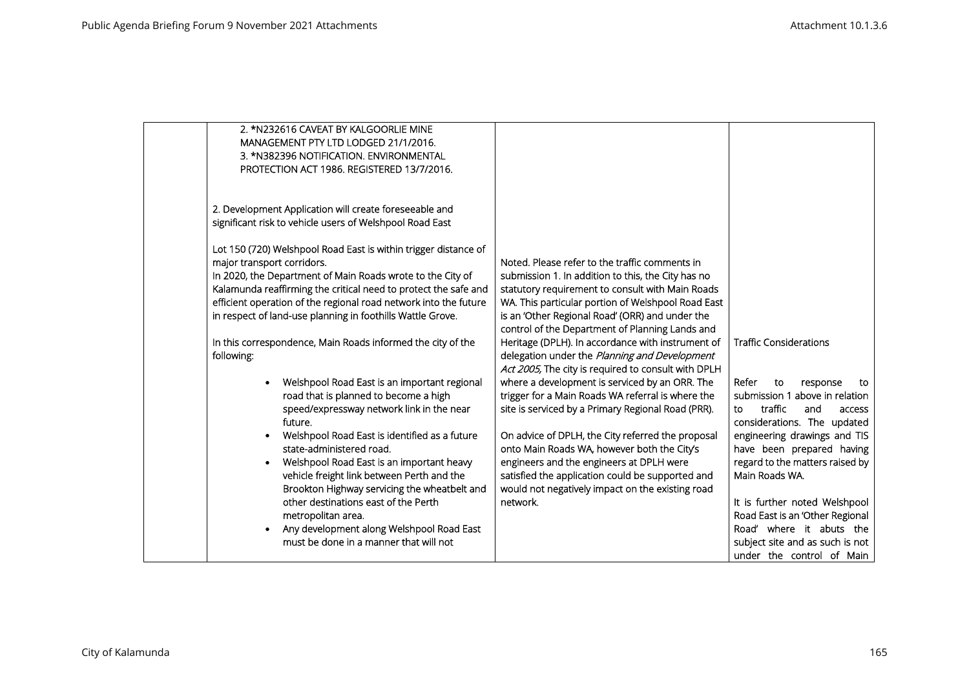| 2. *N232616 CAVEAT BY KALGOORLIE MINE<br>MANAGEMENT PTY LTD LODGED 21/1/2016.<br>3. *N382396 NOTIFICATION. ENVIRONMENTAL<br>PROTECTION ACT 1986. REGISTERED 13/7/2016.                                                                                                                                                                                                                                                                                                                 |                                                                                                                                                                                                                                                                   |                                                                                                                                                                  |
|----------------------------------------------------------------------------------------------------------------------------------------------------------------------------------------------------------------------------------------------------------------------------------------------------------------------------------------------------------------------------------------------------------------------------------------------------------------------------------------|-------------------------------------------------------------------------------------------------------------------------------------------------------------------------------------------------------------------------------------------------------------------|------------------------------------------------------------------------------------------------------------------------------------------------------------------|
| 2. Development Application will create foreseeable and<br>significant risk to vehicle users of Welshpool Road East<br>Lot 150 (720) Welshpool Road East is within trigger distance of<br>major transport corridors.<br>In 2020, the Department of Main Roads wrote to the City of<br>Kalamunda reaffirming the critical need to protect the safe and<br>efficient operation of the regional road network into the future<br>in respect of land-use planning in foothills Wattle Grove. | Noted. Please refer to the traffic comments in<br>submission 1. In addition to this, the City has no<br>statutory requirement to consult with Main Roads<br>WA. This particular portion of Welshpool Road East<br>is an 'Other Regional Road' (ORR) and under the |                                                                                                                                                                  |
| In this correspondence, Main Roads informed the city of the<br>following:                                                                                                                                                                                                                                                                                                                                                                                                              | control of the Department of Planning Lands and<br>Heritage (DPLH). In accordance with instrument of<br>delegation under the Planning and Development<br>Act 2005, The city is required to consult with DPLH                                                      | <b>Traffic Considerations</b>                                                                                                                                    |
| Welshpool Road East is an important regional<br>road that is planned to become a high<br>speed/expressway network link in the near<br>future.<br>Welshpool Road East is identified as a future                                                                                                                                                                                                                                                                                         | where a development is serviced by an ORR. The<br>trigger for a Main Roads WA referral is where the<br>site is serviced by a Primary Regional Road (PRR).<br>On advice of DPLH, the City referred the proposal                                                    | Refer<br>to<br>response<br>to<br>submission 1 above in relation<br>traffic<br>and<br>to<br>access<br>considerations. The updated<br>engineering drawings and TIS |
| state-administered road.<br>Welshpool Road East is an important heavy<br>vehicle freight link between Perth and the<br>Brookton Highway servicing the wheatbelt and<br>other destinations east of the Perth                                                                                                                                                                                                                                                                            | onto Main Roads WA, however both the City's<br>engineers and the engineers at DPLH were<br>satisfied the application could be supported and<br>would not negatively impact on the existing road<br>network.                                                       | have been prepared having<br>regard to the matters raised by<br>Main Roads WA.<br>It is further noted Welshpool                                                  |
| metropolitan area.<br>Any development along Welshpool Road East<br>must be done in a manner that will not                                                                                                                                                                                                                                                                                                                                                                              |                                                                                                                                                                                                                                                                   | Road East is an 'Other Regional<br>Road' where it abuts the<br>subject site and as such is not<br>under the control of Main                                      |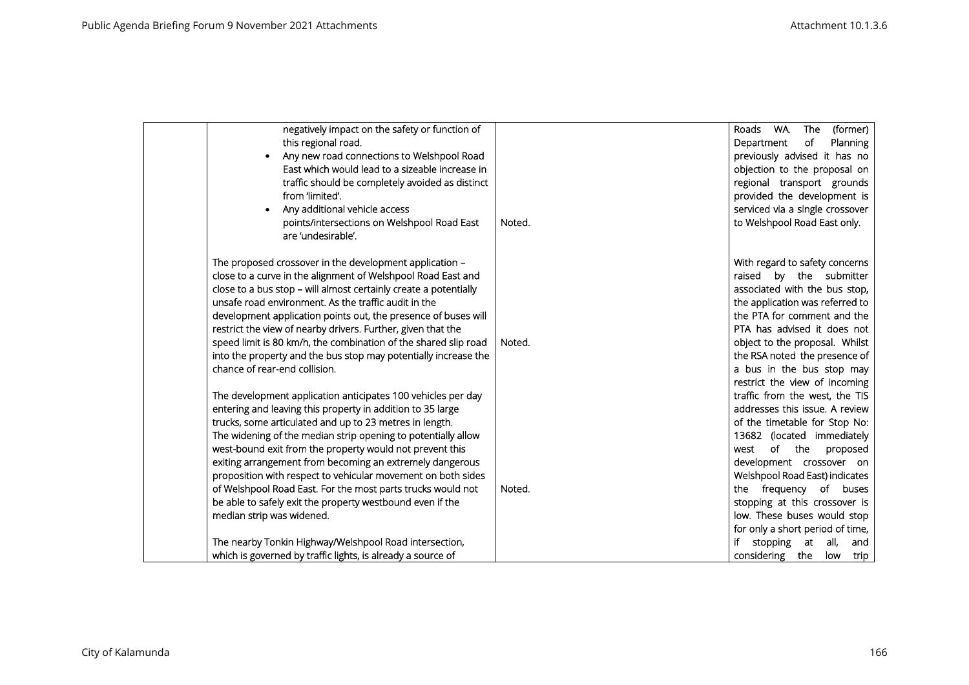| negatively impact on the safety or function of<br>this regional road.<br>Any new road connections to Welshpool Road<br>East which would lead to a sizeable increase in<br>traffic should be completely avoided as distinct<br>from 'limited'.<br>Any additional vehicle access<br>points/intersections on Welshpool Road East<br>are 'undesirable'.                                                                                                                                                                                                                                                                                                              | Noted. | WA.<br>The<br>(former)<br>Roads<br>of<br>Department<br>Planning<br>previously advised it has no<br>objection to the proposal on<br>regional transport grounds<br>provided the development is<br>serviced via a single crossover<br>to Welshpool Road East only.                                                                                                                |
|------------------------------------------------------------------------------------------------------------------------------------------------------------------------------------------------------------------------------------------------------------------------------------------------------------------------------------------------------------------------------------------------------------------------------------------------------------------------------------------------------------------------------------------------------------------------------------------------------------------------------------------------------------------|--------|--------------------------------------------------------------------------------------------------------------------------------------------------------------------------------------------------------------------------------------------------------------------------------------------------------------------------------------------------------------------------------|
| The proposed crossover in the development application –<br>close to a curve in the alignment of Welshpool Road East and<br>close to a bus stop - will almost certainly create a potentially<br>unsafe road environment. As the traffic audit in the<br>development application points out, the presence of buses will<br>restrict the view of nearby drivers. Further, given that the<br>speed limit is 80 km/h, the combination of the shared slip road<br>into the property and the bus stop may potentially increase the<br>chance of rear-end collision.<br>The development application anticipates 100 vehicles per day                                     | Noted. | With regard to safety concerns<br>raised by the submitter<br>associated with the bus stop,<br>the application was referred to<br>the PTA for comment and the<br>PTA has advised it does not<br>object to the proposal. Whilst<br>the RSA noted the presence of<br>a bus in the bus stop may<br>restrict the view of incoming<br>traffic from the west, the TIS                 |
| entering and leaving this property in addition to 35 large<br>trucks, some articulated and up to 23 metres in length.<br>The widening of the median strip opening to potentially allow<br>west-bound exit from the property would not prevent this<br>exiting arrangement from becoming an extremely dangerous<br>proposition with respect to vehicular movement on both sides<br>of Welshpool Road East. For the most parts trucks would not<br>be able to safely exit the property westbound even if the<br>median strip was widened.<br>The nearby Tonkin Highway/Welshpool Road intersection,<br>which is governed by traffic lights, is already a source of | Noted. | addresses this issue. A review<br>of the timetable for Stop No:<br>13682 (located immediately<br>of the<br>west<br>proposed<br>development crossover on<br>Welshpool Road East) indicates<br>the frequency of buses<br>stopping at this crossover is<br>low. These buses would stop<br>for only a short period of time,<br>stopping at all,<br>and<br>considering the low trip |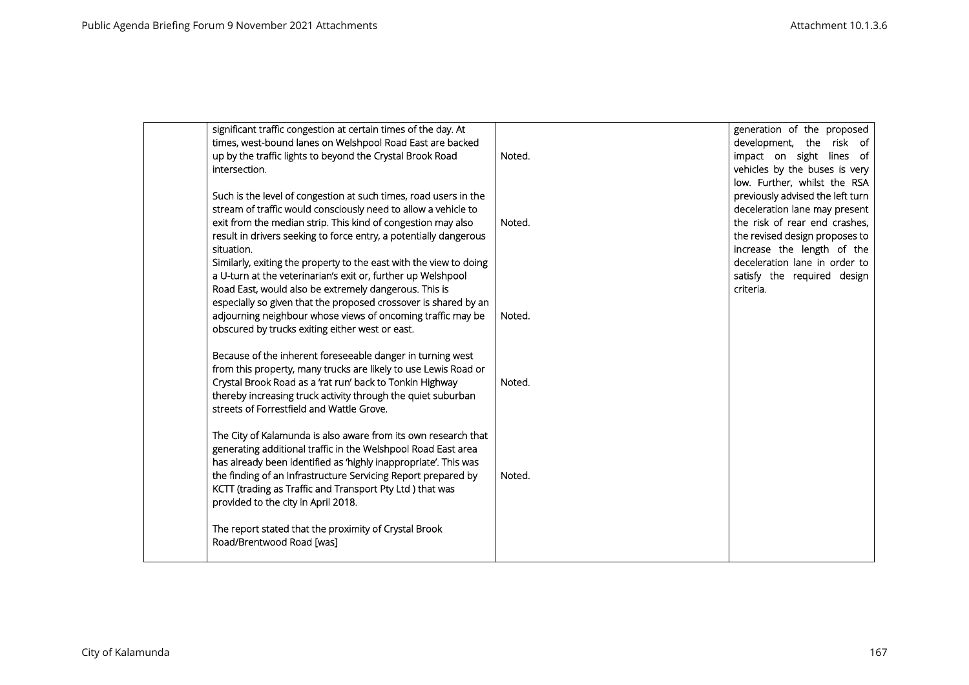| significant traffic congestion at certain times of the day. At<br>times, west-bound lanes on Welshpool Road East are backed<br>up by the traffic lights to beyond the Crystal Brook Road<br>intersection.                                                                                                                                                                                                                   | Noted. | generation of the proposed<br>development, the risk of<br>impact on sight lines of<br>vehicles by the buses is very<br>low. Further, whilst the RSA                                                                                |
|-----------------------------------------------------------------------------------------------------------------------------------------------------------------------------------------------------------------------------------------------------------------------------------------------------------------------------------------------------------------------------------------------------------------------------|--------|------------------------------------------------------------------------------------------------------------------------------------------------------------------------------------------------------------------------------------|
| Such is the level of congestion at such times, road users in the<br>stream of traffic would consciously need to allow a vehicle to<br>exit from the median strip. This kind of congestion may also<br>result in drivers seeking to force entry, a potentially dangerous<br>situation.<br>Similarly, exiting the property to the east with the view to doing<br>a U-turn at the veterinarian's exit or, further up Welshpool | Noted. | previously advised the left turn<br>deceleration lane may present<br>the risk of rear end crashes,<br>the revised design proposes to<br>increase the length of the<br>deceleration lane in order to<br>satisfy the required design |
| Road East, would also be extremely dangerous. This is<br>especially so given that the proposed crossover is shared by an<br>adjourning neighbour whose views of oncoming traffic may be<br>obscured by trucks exiting either west or east.                                                                                                                                                                                  | Noted. | criteria.                                                                                                                                                                                                                          |
| Because of the inherent foreseeable danger in turning west<br>from this property, many trucks are likely to use Lewis Road or<br>Crystal Brook Road as a 'rat run' back to Tonkin Highway<br>thereby increasing truck activity through the quiet suburban<br>streets of Forrestfield and Wattle Grove.                                                                                                                      | Noted. |                                                                                                                                                                                                                                    |
| The City of Kalamunda is also aware from its own research that<br>generating additional traffic in the Welshpool Road East area<br>has already been identified as 'highly inappropriate'. This was<br>the finding of an Infrastructure Servicing Report prepared by<br>KCTT (trading as Traffic and Transport Pty Ltd) that was<br>provided to the city in April 2018.                                                      | Noted. |                                                                                                                                                                                                                                    |
| The report stated that the proximity of Crystal Brook<br>Road/Brentwood Road [was]                                                                                                                                                                                                                                                                                                                                          |        |                                                                                                                                                                                                                                    |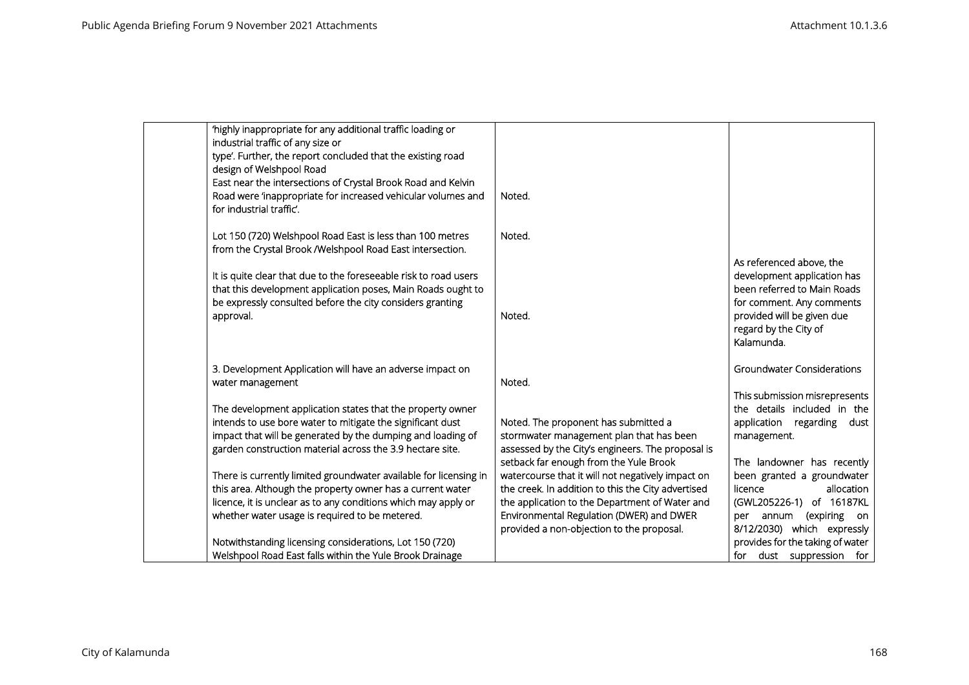| 'highly inappropriate for any additional traffic loading or       |                                                    |                                   |
|-------------------------------------------------------------------|----------------------------------------------------|-----------------------------------|
| industrial traffic of any size or                                 |                                                    |                                   |
| type'. Further, the report concluded that the existing road       |                                                    |                                   |
| design of Welshpool Road                                          |                                                    |                                   |
| East near the intersections of Crystal Brook Road and Kelvin      |                                                    |                                   |
| Road were 'inappropriate for increased vehicular volumes and      | Noted.                                             |                                   |
| for industrial traffic'.                                          |                                                    |                                   |
|                                                                   |                                                    |                                   |
| Lot 150 (720) Welshpool Road East is less than 100 metres         | Noted.                                             |                                   |
| from the Crystal Brook /Welshpool Road East intersection.         |                                                    |                                   |
|                                                                   |                                                    | As referenced above, the          |
| It is quite clear that due to the foreseeable risk to road users  |                                                    | development application has       |
| that this development application poses, Main Roads ought to      |                                                    | been referred to Main Roads       |
| be expressly consulted before the city considers granting         |                                                    | for comment. Any comments         |
| approval.                                                         | Noted.                                             | provided will be given due        |
|                                                                   |                                                    | regard by the City of             |
|                                                                   |                                                    | Kalamunda.                        |
|                                                                   |                                                    |                                   |
| 3. Development Application will have an adverse impact on         |                                                    | <b>Groundwater Considerations</b> |
| water management                                                  | Noted.                                             |                                   |
|                                                                   |                                                    | This submission misrepresents     |
| The development application states that the property owner        |                                                    | the details included in the       |
| intends to use bore water to mitigate the significant dust        | Noted. The proponent has submitted a               | application regarding dust        |
| impact that will be generated by the dumping and loading of       | stormwater management plan that has been           | management.                       |
| garden construction material across the 3.9 hectare site.         | assessed by the City's engineers. The proposal is  |                                   |
|                                                                   | setback far enough from the Yule Brook             | The landowner has recently        |
| There is currently limited groundwater available for licensing in | watercourse that it will not negatively impact on  | been granted a groundwater        |
| this area. Although the property owner has a current water        | the creek. In addition to this the City advertised | licence<br>allocation             |
| licence, it is unclear as to any conditions which may apply or    | the application to the Department of Water and     | (GWL205226-1) of 16187KL          |
| whether water usage is required to be metered.                    | Environmental Regulation (DWER) and DWER           | per annum (expiring on            |
|                                                                   | provided a non-objection to the proposal.          | 8/12/2030) which expressly        |
| Notwithstanding licensing considerations, Lot 150 (720)           |                                                    | provides for the taking of water  |
| Welshpool Road East falls within the Yule Brook Drainage          |                                                    | for dust suppression for          |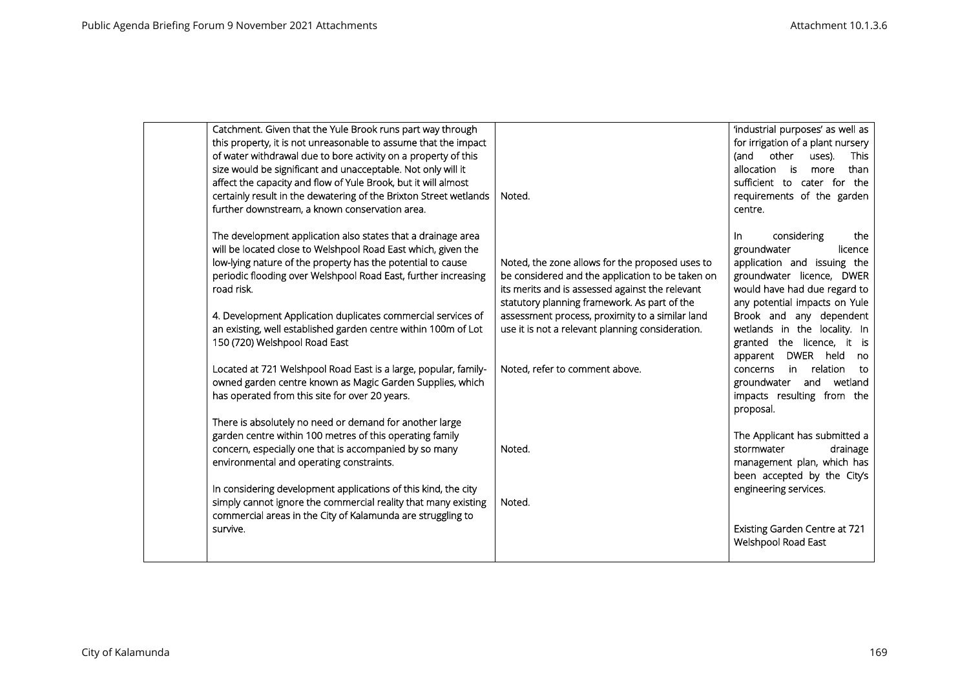| Catchment. Given that the Yule Brook runs part way through        |                                                  | 'industrial purposes' as well as     |
|-------------------------------------------------------------------|--------------------------------------------------|--------------------------------------|
| this property, it is not unreasonable to assume that the impact   |                                                  | for irrigation of a plant nursery    |
| of water withdrawal due to bore activity on a property of this    |                                                  | other<br>(and<br>uses).<br>This      |
| size would be significant and unacceptable. Not only will it      |                                                  | allocation is<br>than<br>more        |
| affect the capacity and flow of Yule Brook, but it will almost    |                                                  | sufficient to cater for the          |
| certainly result in the dewatering of the Brixton Street wetlands | Noted.                                           | requirements of the garden           |
| further downstream, a known conservation area.                    |                                                  | centre.                              |
|                                                                   |                                                  |                                      |
| The development application also states that a drainage area      |                                                  | considering<br>the<br>In.            |
| will be located close to Welshpool Road East which, given the     |                                                  | groundwater<br>licence               |
| low-lying nature of the property has the potential to cause       | Noted, the zone allows for the proposed uses to  | application and issuing the          |
| periodic flooding over Welshpool Road East, further increasing    | be considered and the application to be taken on | groundwater licence, DWER            |
| road risk.                                                        | its merits and is assessed against the relevant  | would have had due regard to         |
|                                                                   | statutory planning framework. As part of the     | any potential impacts on Yule        |
| 4. Development Application duplicates commercial services of      | assessment process, proximity to a similar land  | Brook and any dependent              |
| an existing, well established garden centre within 100m of Lot    | use it is not a relevant planning consideration. | wetlands in the locality. In         |
| 150 (720) Welshpool Road East                                     |                                                  | granted the licence, it is           |
|                                                                   |                                                  | DWER held<br>apparent<br>no          |
| Located at 721 Welshpool Road East is a large, popular, family-   | Noted, refer to comment above.                   | relation<br>in.<br>concerns<br>to    |
| owned garden centre known as Magic Garden Supplies, which         |                                                  | wetland<br>groundwater<br>and        |
| has operated from this site for over 20 years.                    |                                                  | impacts resulting from the           |
|                                                                   |                                                  | proposal.                            |
| There is absolutely no need or demand for another large           |                                                  |                                      |
| garden centre within 100 metres of this operating family          |                                                  | The Applicant has submitted a        |
| concern, especially one that is accompanied by so many            | Noted.                                           | stormwater<br>drainage               |
| environmental and operating constraints.                          |                                                  | management plan, which has           |
|                                                                   |                                                  | been accepted by the City's          |
| In considering development applications of this kind, the city    |                                                  | engineering services.                |
| simply cannot ignore the commercial reality that many existing    | Noted.                                           |                                      |
| commercial areas in the City of Kalamunda are struggling to       |                                                  |                                      |
| survive.                                                          |                                                  | <b>Existing Garden Centre at 721</b> |
|                                                                   |                                                  | <b>Welshpool Road East</b>           |
|                                                                   |                                                  |                                      |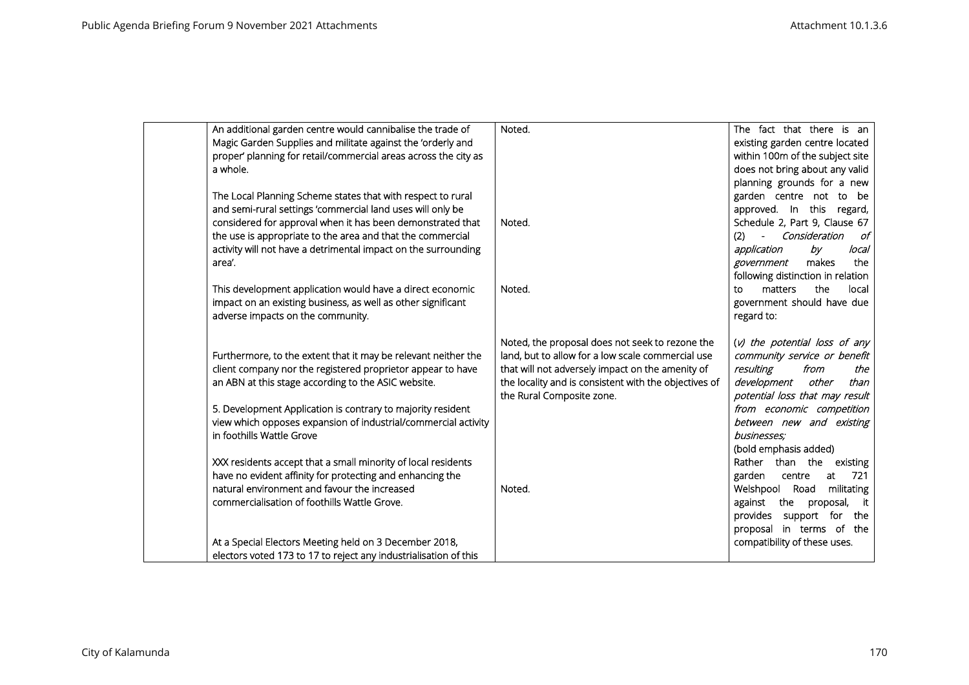| An additional garden centre would cannibalise the trade of<br>Magic Garden Supplies and militate against the 'orderly and<br>proper' planning for retail/commercial areas across the city as<br>a whole.                                                                                                                                           | Noted.                                                                                                                                                                                                                                         | The fact that there is an<br>existing garden centre located<br>within 100m of the subject site<br>does not bring about any valid<br>planning grounds for a new                                                                                               |
|----------------------------------------------------------------------------------------------------------------------------------------------------------------------------------------------------------------------------------------------------------------------------------------------------------------------------------------------------|------------------------------------------------------------------------------------------------------------------------------------------------------------------------------------------------------------------------------------------------|--------------------------------------------------------------------------------------------------------------------------------------------------------------------------------------------------------------------------------------------------------------|
| The Local Planning Scheme states that with respect to rural<br>and semi-rural settings 'commercial land uses will only be<br>considered for approval when it has been demonstrated that<br>the use is appropriate to the area and that the commercial<br>activity will not have a detrimental impact on the surrounding<br>area'.                  | Noted.                                                                                                                                                                                                                                         | garden centre not to be<br>approved. In this regard,<br>Schedule 2, Part 9, Clause 67<br>- Consideration<br>(2)<br>of<br>application<br>by<br>local<br>the<br>makes<br>government<br>following distinction in relation                                       |
| This development application would have a direct economic<br>impact on an existing business, as well as other significant<br>adverse impacts on the community.                                                                                                                                                                                     | Noted.                                                                                                                                                                                                                                         | the<br>matters<br>local<br><b>TO</b><br>government should have due<br>regard to:                                                                                                                                                                             |
| Furthermore, to the extent that it may be relevant neither the<br>client company nor the registered proprietor appear to have<br>an ABN at this stage according to the ASIC website.<br>5. Development Application is contrary to majority resident<br>view which opposes expansion of industrial/commercial activity<br>in foothills Wattle Grove | Noted, the proposal does not seek to rezone the<br>land, but to allow for a low scale commercial use<br>that will not adversely impact on the amenity of<br>the locality and is consistent with the objectives of<br>the Rural Composite zone. | (v) the potential loss of any<br>community service or benefit<br>resulting<br>from<br>the<br>development<br>other<br>than<br>potential loss that may result<br>from economic competition<br>between new and existing<br>businesses;<br>(bold emphasis added) |
| XXX residents accept that a small minority of local residents<br>have no evident affinity for protecting and enhancing the<br>natural environment and favour the increased<br>commercialisation of foothills Wattle Grove.                                                                                                                         | Noted.                                                                                                                                                                                                                                         | Rather than the existing<br>721<br>garden<br>at<br>centre<br>militating<br>Welshpool<br>Road<br>against the proposal, it<br>provides support for the<br>proposal in terms of the                                                                             |
| At a Special Electors Meeting held on 3 December 2018,<br>electors voted 173 to 17 to reject any industrialisation of this                                                                                                                                                                                                                         |                                                                                                                                                                                                                                                | compatibility of these uses.                                                                                                                                                                                                                                 |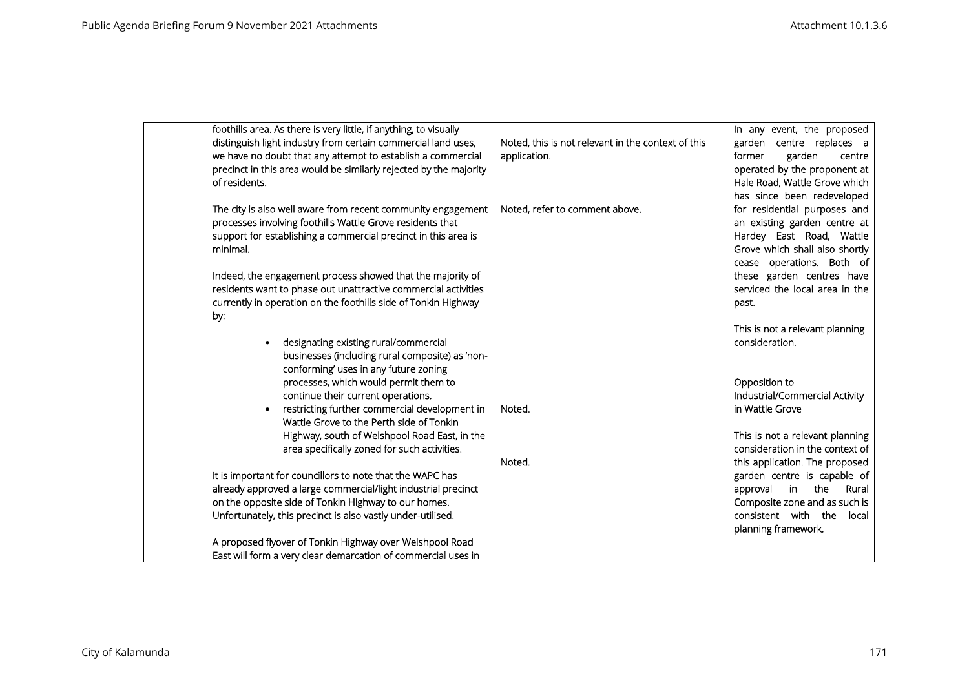|     | foothills area. As there is very little, if anything, to visually |                                                    | In any event, the proposed      |
|-----|-------------------------------------------------------------------|----------------------------------------------------|---------------------------------|
|     | distinguish light industry from certain commercial land uses,     | Noted, this is not relevant in the context of this | garden centre replaces a        |
|     | we have no doubt that any attempt to establish a commercial       | application.                                       | garden<br>former<br>centre      |
|     | precinct in this area would be similarly rejected by the majority |                                                    | operated by the proponent at    |
|     | of residents.                                                     |                                                    | Hale Road, Wattle Grove which   |
|     |                                                                   |                                                    | has since been redeveloped      |
|     | The city is also well aware from recent community engagement      | Noted, refer to comment above.                     | for residential purposes and    |
|     | processes involving foothills Wattle Grove residents that         |                                                    | an existing garden centre at    |
|     | support for establishing a commercial precinct in this area is    |                                                    | Hardey East Road, Wattle        |
|     | minimal.                                                          |                                                    | Grove which shall also shortly  |
|     |                                                                   |                                                    |                                 |
|     |                                                                   |                                                    | cease operations. Both of       |
|     | Indeed, the engagement process showed that the majority of        |                                                    | these garden centres have       |
|     | residents want to phase out unattractive commercial activities    |                                                    | serviced the local area in the  |
|     | currently in operation on the foothills side of Tonkin Highway    |                                                    | past.                           |
| by: |                                                                   |                                                    |                                 |
|     |                                                                   |                                                    | This is not a relevant planning |
|     | designating existing rural/commercial                             |                                                    | consideration.                  |
|     | businesses (including rural composite) as 'non-                   |                                                    |                                 |
|     | conforming' uses in any future zoning                             |                                                    |                                 |
|     | processes, which would permit them to                             |                                                    | Opposition to                   |
|     | continue their current operations.                                |                                                    | Industrial/Commercial Activity  |
|     | restricting further commercial development in                     | Noted.                                             | in Wattle Grove                 |
|     | Wattle Grove to the Perth side of Tonkin                          |                                                    |                                 |
|     | Highway, south of Welshpool Road East, in the                     |                                                    | This is not a relevant planning |
|     | area specifically zoned for such activities.                      |                                                    | consideration in the context of |
|     |                                                                   | Noted.                                             | this application. The proposed  |
|     | It is important for councillors to note that the WAPC has         |                                                    | garden centre is capable of     |
|     | already approved a large commercial/light industrial precinct     |                                                    | the                             |
|     |                                                                   |                                                    | Rural<br>approval<br>in         |
|     | on the opposite side of Tonkin Highway to our homes.              |                                                    | Composite zone and as such is   |
|     | Unfortunately, this precinct is also vastly under-utilised.       |                                                    | consistent with the<br>local    |
|     |                                                                   |                                                    | planning framework.             |
|     | A proposed flyover of Tonkin Highway over Welshpool Road          |                                                    |                                 |
|     | East will form a very clear demarcation of commercial uses in     |                                                    |                                 |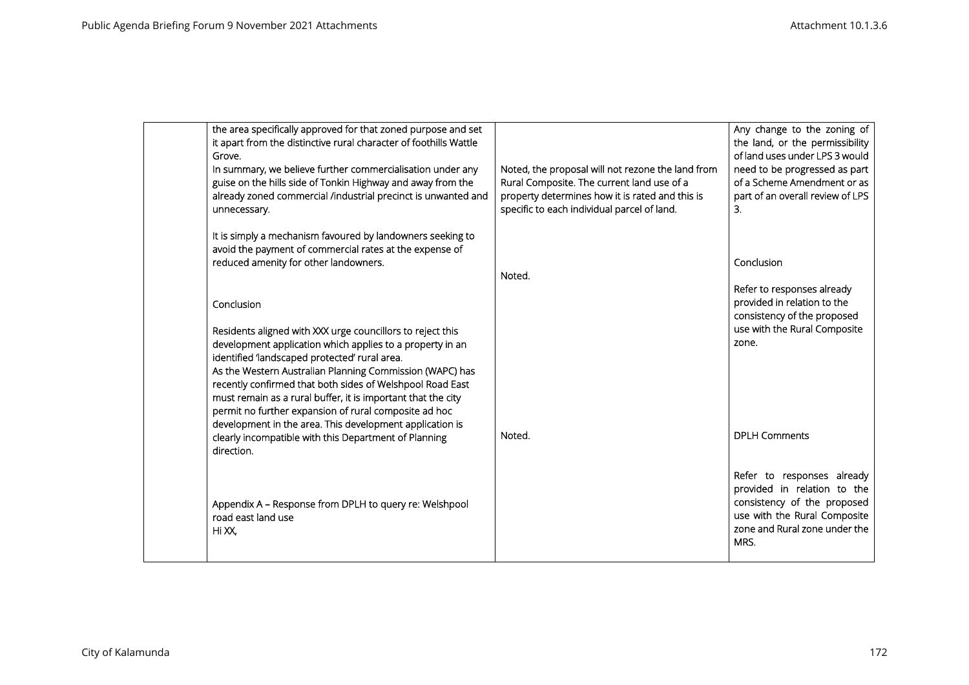| the area specifically approved for that zoned purpose and set<br>it apart from the distinctive rural character of foothills Wattle<br>Grove.<br>In summary, we believe further commercialisation under any<br>guise on the hills side of Tonkin Highway and away from the<br>already zoned commercial /industrial precinct is unwanted and<br>unnecessary.                                                                                                                                                                                                                  | Noted, the proposal will not rezone the land from<br>Rural Composite. The current land use of a<br>property determines how it is rated and this is<br>specific to each individual parcel of land. | Any change to the zoning of<br>the land, or the permissibility<br>of land uses under LPS 3 would<br>need to be progressed as part<br>of a Scheme Amendment or as<br>part of an overall review of LPS<br>3. |
|-----------------------------------------------------------------------------------------------------------------------------------------------------------------------------------------------------------------------------------------------------------------------------------------------------------------------------------------------------------------------------------------------------------------------------------------------------------------------------------------------------------------------------------------------------------------------------|---------------------------------------------------------------------------------------------------------------------------------------------------------------------------------------------------|------------------------------------------------------------------------------------------------------------------------------------------------------------------------------------------------------------|
| It is simply a mechanism favoured by landowners seeking to<br>avoid the payment of commercial rates at the expense of<br>reduced amenity for other landowners.                                                                                                                                                                                                                                                                                                                                                                                                              | Noted.                                                                                                                                                                                            | Conclusion<br>Refer to responses already                                                                                                                                                                   |
| Conclusion<br>Residents aligned with XXX urge councillors to reject this<br>development application which applies to a property in an<br>identified 'landscaped protected' rural area.<br>As the Western Australian Planning Commission (WAPC) has<br>recently confirmed that both sides of Welshpool Road East<br>must remain as a rural buffer, it is important that the city<br>permit no further expansion of rural composite ad hoc<br>development in the area. This development application is<br>clearly incompatible with this Department of Planning<br>direction. | Noted.                                                                                                                                                                                            | provided in relation to the<br>consistency of the proposed<br>use with the Rural Composite<br>zone.<br><b>DPLH Comments</b>                                                                                |
| Appendix A - Response from DPLH to query re: Welshpool<br>road east land use<br>Hi XX,                                                                                                                                                                                                                                                                                                                                                                                                                                                                                      |                                                                                                                                                                                                   | Refer to responses already<br>provided in relation to the<br>consistency of the proposed<br>use with the Rural Composite<br>zone and Rural zone under the<br>MRS.                                          |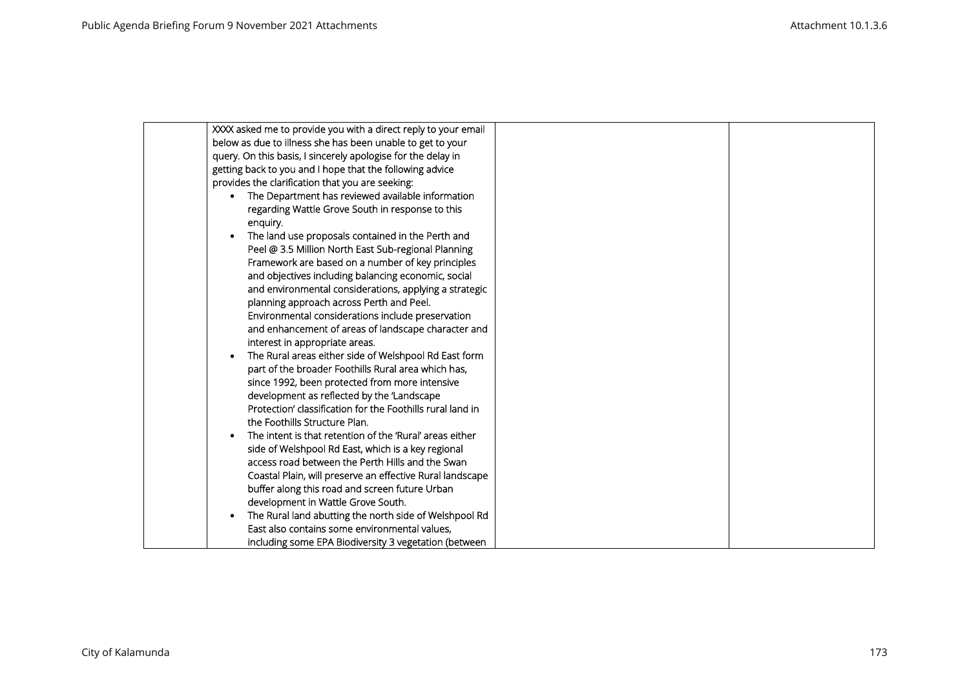| XXXX asked me to provide you with a direct reply to your email                               |  |
|----------------------------------------------------------------------------------------------|--|
| below as due to illness she has been unable to get to your                                   |  |
| query. On this basis, I sincerely apologise for the delay in                                 |  |
| getting back to you and I hope that the following advice                                     |  |
| provides the clarification that you are seeking:                                             |  |
| The Department has reviewed available information                                            |  |
| regarding Wattle Grove South in response to this                                             |  |
| enquiry.                                                                                     |  |
| The land use proposals contained in the Perth and                                            |  |
| Peel @ 3.5 Million North East Sub-regional Planning                                          |  |
| Framework are based on a number of key principles                                            |  |
| and objectives including balancing economic, social                                          |  |
| and environmental considerations, applying a strategic                                       |  |
| planning approach across Perth and Peel.                                                     |  |
| Environmental considerations include preservation                                            |  |
| and enhancement of areas of landscape character and                                          |  |
| interest in appropriate areas.                                                               |  |
| The Rural areas either side of Welshpool Rd East form                                        |  |
| part of the broader Foothills Rural area which has,                                          |  |
| since 1992, been protected from more intensive                                               |  |
| development as reflected by the 'Landscape                                                   |  |
| Protection' classification for the Foothills rural land in                                   |  |
| the Foothills Structure Plan.                                                                |  |
| The intent is that retention of the 'Rural' areas either                                     |  |
| side of Welshpool Rd East, which is a key regional                                           |  |
| access road between the Perth Hills and the Swan                                             |  |
| Coastal Plain, will preserve an effective Rural landscape                                    |  |
| buffer along this road and screen future Urban                                               |  |
| development in Wattle Grove South.<br>The Rural land abutting the north side of Welshpool Rd |  |
| East also contains some environmental values,                                                |  |
|                                                                                              |  |
| including some EPA Biodiversity 3 vegetation (between                                        |  |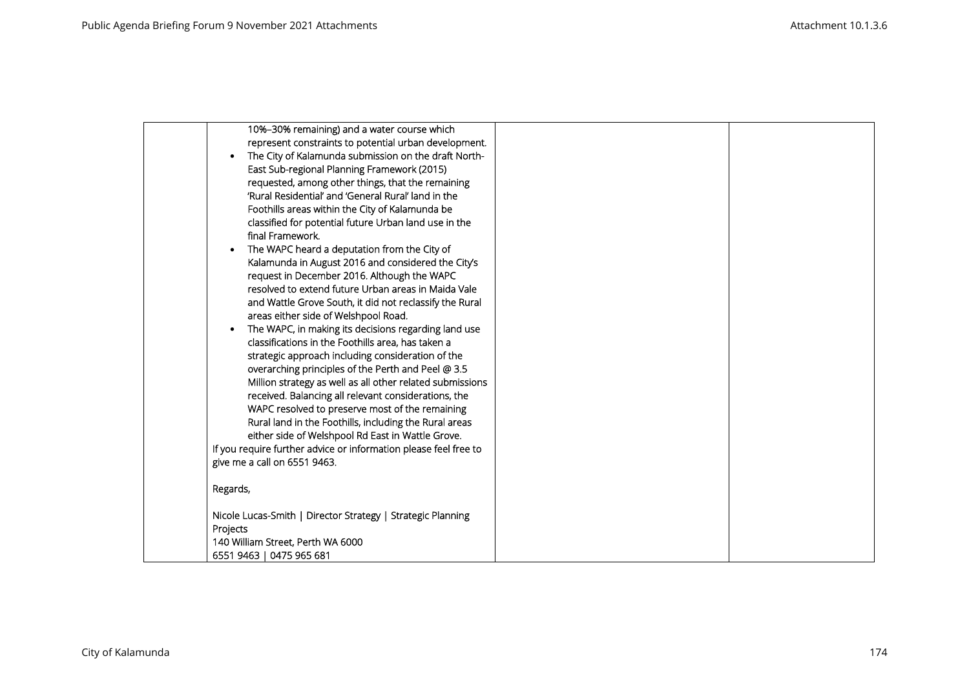| 10%-30% remaining) and a water course which                      |  |
|------------------------------------------------------------------|--|
| represent constraints to potential urban development.            |  |
| The City of Kalamunda submission on the draft North-             |  |
| East Sub-regional Planning Framework (2015)                      |  |
| requested, among other things, that the remaining                |  |
| 'Rural Residential' and 'General Rural' land in the              |  |
| Foothills areas within the City of Kalamunda be                  |  |
| classified for potential future Urban land use in the            |  |
| final Framework.                                                 |  |
| The WAPC heard a deputation from the City of                     |  |
| Kalamunda in August 2016 and considered the City's               |  |
| request in December 2016. Although the WAPC                      |  |
| resolved to extend future Urban areas in Maida Vale              |  |
| and Wattle Grove South, it did not reclassify the Rural          |  |
| areas either side of Welshpool Road.                             |  |
| The WAPC, in making its decisions regarding land use             |  |
| classifications in the Foothills area, has taken a               |  |
| strategic approach including consideration of the                |  |
| overarching principles of the Perth and Peel @ 3.5               |  |
| Million strategy as well as all other related submissions        |  |
| received. Balancing all relevant considerations, the             |  |
| WAPC resolved to preserve most of the remaining                  |  |
| Rural land in the Foothills, including the Rural areas           |  |
| either side of Welshpool Rd East in Wattle Grove.                |  |
| If you require further advice or information please feel free to |  |
| give me a call on 6551 9463.                                     |  |
| Regards,                                                         |  |
|                                                                  |  |
| Nicole Lucas-Smith   Director Strategy   Strategic Planning      |  |
| Projects                                                         |  |
| 140 William Street, Perth WA 6000                                |  |
| 6551 9463   0475 965 681                                         |  |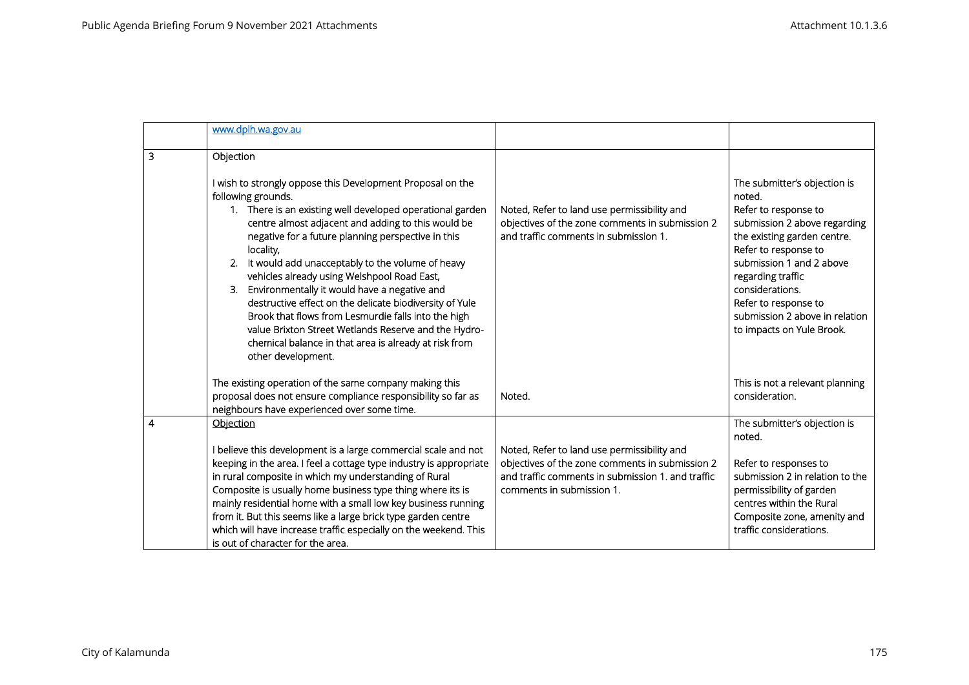|                | www.dplh.wa.gov.au                                                                                                                                                                                                                                                                                                                                                                                                                                                                                                  |                                                                                                                                                                                  |                                                                                                                                                                                                                      |
|----------------|---------------------------------------------------------------------------------------------------------------------------------------------------------------------------------------------------------------------------------------------------------------------------------------------------------------------------------------------------------------------------------------------------------------------------------------------------------------------------------------------------------------------|----------------------------------------------------------------------------------------------------------------------------------------------------------------------------------|----------------------------------------------------------------------------------------------------------------------------------------------------------------------------------------------------------------------|
| 3              | Objection<br>I wish to strongly oppose this Development Proposal on the<br>following grounds.<br>1. There is an existing well developed operational garden<br>centre almost adjacent and adding to this would be                                                                                                                                                                                                                                                                                                    | Noted, Refer to land use permissibility and<br>objectives of the zone comments in submission 2                                                                                   | The submitter's objection is<br>noted.<br>Refer to response to<br>submission 2 above regarding                                                                                                                       |
|                | negative for a future planning perspective in this<br>locality,<br>It would add unacceptably to the volume of heavy<br>2.<br>vehicles already using Welshpool Road East,<br>Environmentally it would have a negative and<br>3.<br>destructive effect on the delicate biodiversity of Yule<br>Brook that flows from Lesmurdie falls into the high<br>value Brixton Street Wetlands Reserve and the Hydro-<br>chemical balance in that area is already at risk from<br>other development.                             | and traffic comments in submission 1.                                                                                                                                            | the existing garden centre.<br>Refer to response to<br>submission 1 and 2 above<br>regarding traffic<br>considerations.<br>Refer to response to<br>submission 2 above in relation<br>to impacts on Yule Brook.       |
|                | The existing operation of the same company making this<br>proposal does not ensure compliance responsibility so far as<br>neighbours have experienced over some time.                                                                                                                                                                                                                                                                                                                                               | Noted.                                                                                                                                                                           | This is not a relevant planning<br>consideration.                                                                                                                                                                    |
| $\overline{4}$ | Objection<br>I believe this development is a large commercial scale and not<br>keeping in the area. I feel a cottage type industry is appropriate<br>in rural composite in which my understanding of Rural<br>Composite is usually home business type thing where its is<br>mainly residential home with a small low key business running<br>from it. But this seems like a large brick type garden centre<br>which will have increase traffic especially on the weekend. This<br>is out of character for the area. | Noted, Refer to land use permissibility and<br>objectives of the zone comments in submission 2<br>and traffic comments in submission 1. and traffic<br>comments in submission 1. | The submitter's objection is<br>noted.<br>Refer to responses to<br>submission 2 in relation to the<br>permissibility of garden<br>centres within the Rural<br>Composite zone, amenity and<br>traffic considerations. |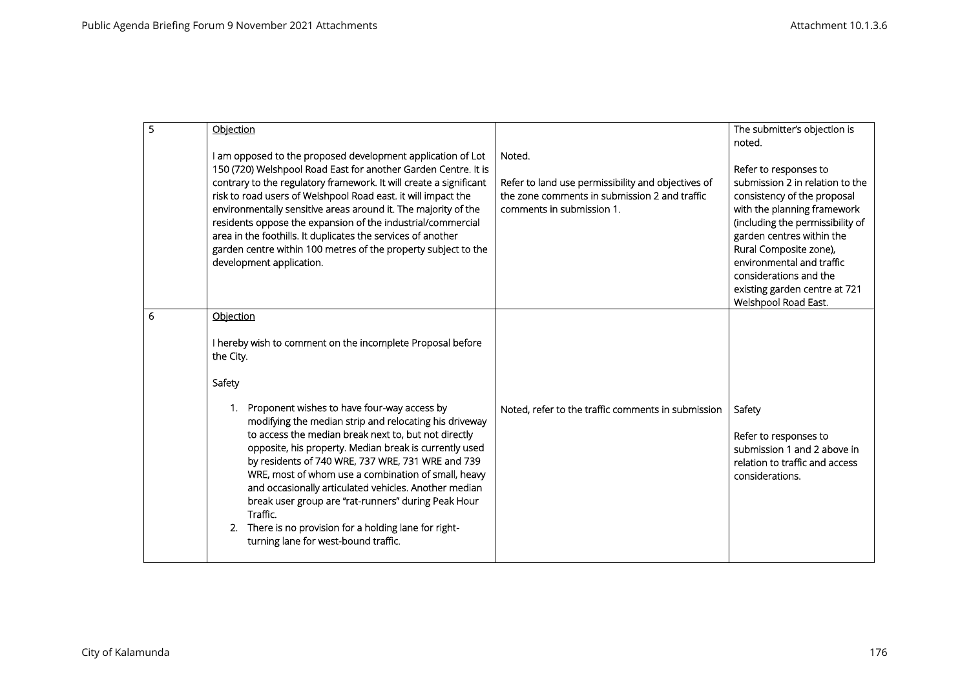| 5 | Objection<br>I am opposed to the proposed development application of Lot<br>150 (720) Welshpool Road East for another Garden Centre. It is<br>contrary to the regulatory framework. It will create a significant<br>risk to road users of Welshpool Road east. it will impact the<br>environmentally sensitive areas around it. The majority of the<br>residents oppose the expansion of the industrial/commercial<br>area in the foothills. It duplicates the services of another<br>garden centre within 100 metres of the property subject to the<br>development application. | Noted.<br>Refer to land use permissibility and objectives of<br>the zone comments in submission 2 and traffic<br>comments in submission 1. | The submitter's objection is<br>noted.<br>Refer to responses to<br>submission 2 in relation to the<br>consistency of the proposal<br>with the planning framework<br>(including the permissibility of<br>garden centres within the<br>Rural Composite zone),<br>environmental and traffic<br>considerations and the |
|---|----------------------------------------------------------------------------------------------------------------------------------------------------------------------------------------------------------------------------------------------------------------------------------------------------------------------------------------------------------------------------------------------------------------------------------------------------------------------------------------------------------------------------------------------------------------------------------|--------------------------------------------------------------------------------------------------------------------------------------------|--------------------------------------------------------------------------------------------------------------------------------------------------------------------------------------------------------------------------------------------------------------------------------------------------------------------|
| 6 | Objection<br>I hereby wish to comment on the incomplete Proposal before<br>the City.                                                                                                                                                                                                                                                                                                                                                                                                                                                                                             |                                                                                                                                            | existing garden centre at 721<br>Welshpool Road East.                                                                                                                                                                                                                                                              |
|   | Safety<br>Proponent wishes to have four-way access by<br>modifying the median strip and relocating his driveway<br>to access the median break next to, but not directly<br>opposite, his property. Median break is currently used<br>by residents of 740 WRE, 737 WRE, 731 WRE and 739<br>WRE, most of whom use a combination of small, heavy<br>and occasionally articulated vehicles. Another median<br>break user group are "rat-runners" during Peak Hour<br>Traffic.<br>2. There is no provision for a holding lane for right-<br>turning lane for west-bound traffic.      | Noted, refer to the traffic comments in submission                                                                                         | Safety<br>Refer to responses to<br>submission 1 and 2 above in<br>relation to traffic and access<br>considerations.                                                                                                                                                                                                |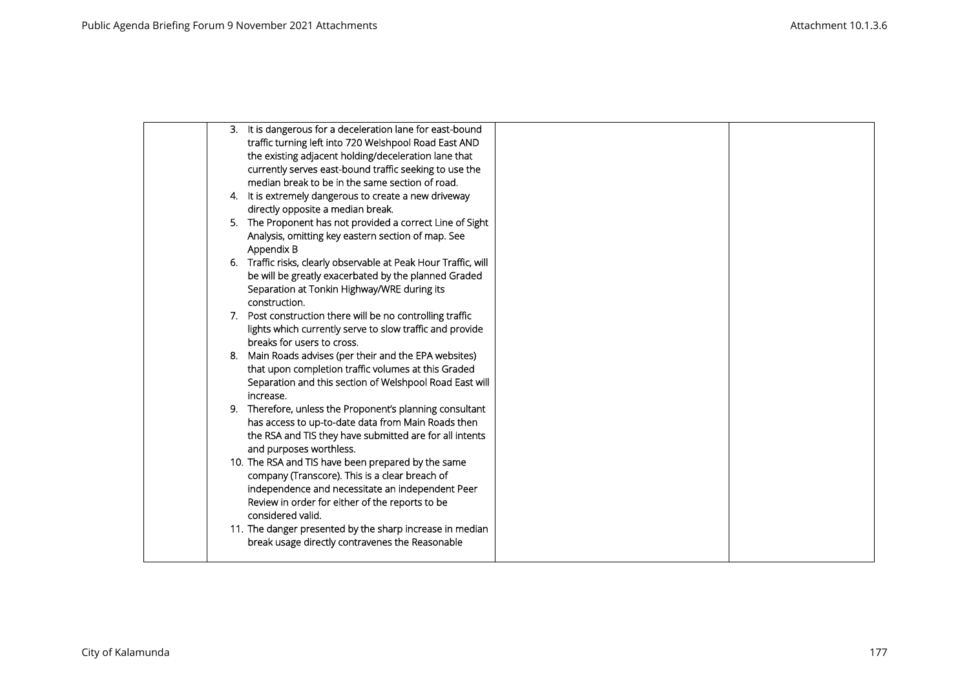| 3. It is dangerous for a deceleration lane for east-bound<br>traffic turning left into 720 Welshpool Road East AND<br>the existing adjacent holding/deceleration lane that<br>currently serves east-bound traffic seeking to use the<br>median break to be in the same section of road. |  |
|-----------------------------------------------------------------------------------------------------------------------------------------------------------------------------------------------------------------------------------------------------------------------------------------|--|
| 4. It is extremely dangerous to create a new driveway<br>directly opposite a median break.                                                                                                                                                                                              |  |
| 5. The Proponent has not provided a correct Line of Sight<br>Analysis, omitting key eastern section of map. See<br>Appendix B                                                                                                                                                           |  |
| 6. Traffic risks, clearly observable at Peak Hour Traffic, will<br>be will be greatly exacerbated by the planned Graded<br>Separation at Tonkin Highway/WRE during its<br>construction.                                                                                                 |  |
| 7. Post construction there will be no controlling traffic<br>lights which currently serve to slow traffic and provide<br>breaks for users to cross.                                                                                                                                     |  |
| Main Roads advises (per their and the EPA websites)<br>8.<br>that upon completion traffic volumes at this Graded<br>Separation and this section of Welshpool Road East will<br>increase.                                                                                                |  |
| 9. Therefore, unless the Proponent's planning consultant<br>has access to up-to-date data from Main Roads then<br>the RSA and TIS they have submitted are for all intents<br>and purposes worthless.                                                                                    |  |
| 10. The RSA and TIS have been prepared by the same<br>company (Transcore). This is a clear breach of<br>independence and necessitate an independent Peer<br>Review in order for either of the reports to be<br>considered valid.                                                        |  |
| 11. The danger presented by the sharp increase in median<br>break usage directly contravenes the Reasonable                                                                                                                                                                             |  |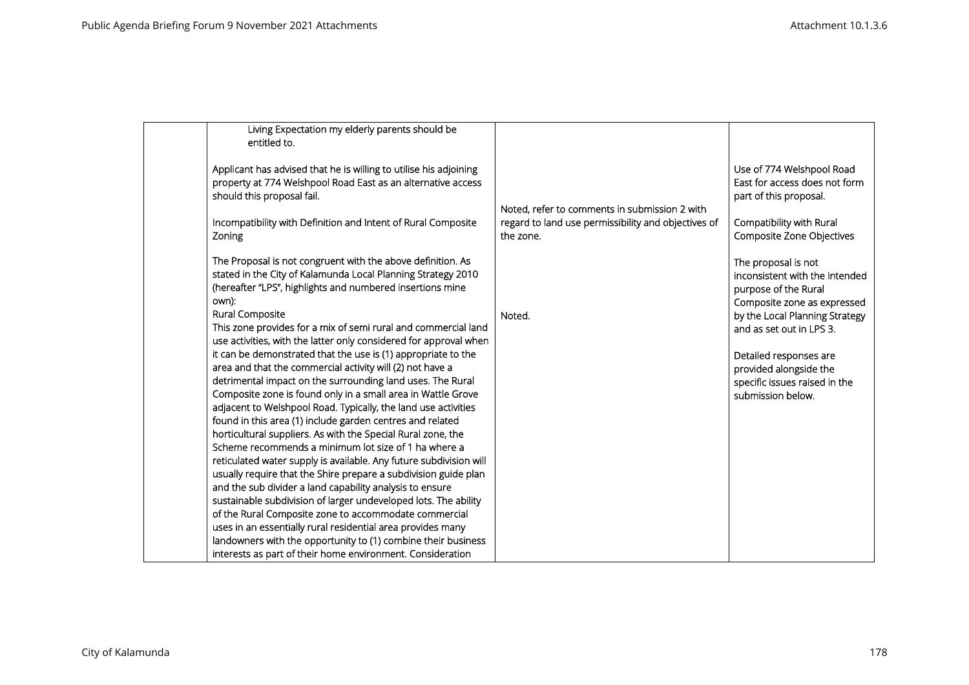| Living Expectation my elderly parents should be<br>entitled to.                                                                                                                                                                                          |                                                                  |                                                                                                              |
|----------------------------------------------------------------------------------------------------------------------------------------------------------------------------------------------------------------------------------------------------------|------------------------------------------------------------------|--------------------------------------------------------------------------------------------------------------|
| Applicant has advised that he is willing to utilise his adjoining<br>property at 774 Welshpool Road East as an alternative access<br>should this proposal fail.                                                                                          | Noted, refer to comments in submission 2 with                    | Use of 774 Welshpool Road<br>East for access does not form<br>part of this proposal.                         |
| Incompatibility with Definition and Intent of Rural Composite<br>Zoning                                                                                                                                                                                  | regard to land use permissibility and objectives of<br>the zone. | Compatibility with Rural<br>Composite Zone Objectives                                                        |
| The Proposal is not congruent with the above definition. As<br>stated in the City of Kalamunda Local Planning Strategy 2010<br>(hereafter "LPS", highlights and numbered insertions mine<br>own):                                                        |                                                                  | The proposal is not<br>inconsistent with the intended<br>purpose of the Rural<br>Composite zone as expressed |
| Rural Composite<br>This zone provides for a mix of semi rural and commercial land<br>use activities, with the latter only considered for approval when                                                                                                   | Noted.                                                           | by the Local Planning Strategy<br>and as set out in LPS 3.                                                   |
| it can be demonstrated that the use is (1) appropriate to the<br>area and that the commercial activity will (2) not have a<br>detrimental impact on the surrounding land uses. The Rural<br>Composite zone is found only in a small area in Wattle Grove |                                                                  | Detailed responses are<br>provided alongside the<br>specific issues raised in the<br>submission below.       |
| adjacent to Welshpool Road. Typically, the land use activities<br>found in this area (1) include garden centres and related<br>horticultural suppliers. As with the Special Rural zone, the<br>Scheme recommends a minimum lot size of 1 ha where a      |                                                                  |                                                                                                              |
| reticulated water supply is available. Any future subdivision will<br>usually require that the Shire prepare a subdivision guide plan<br>and the sub divider a land capability analysis to ensure                                                        |                                                                  |                                                                                                              |
| sustainable subdivision of larger undeveloped lots. The ability<br>of the Rural Composite zone to accommodate commercial<br>uses in an essentially rural residential area provides many<br>landowners with the opportunity to (1) combine their business |                                                                  |                                                                                                              |
| interests as part of their home environment. Consideration                                                                                                                                                                                               |                                                                  |                                                                                                              |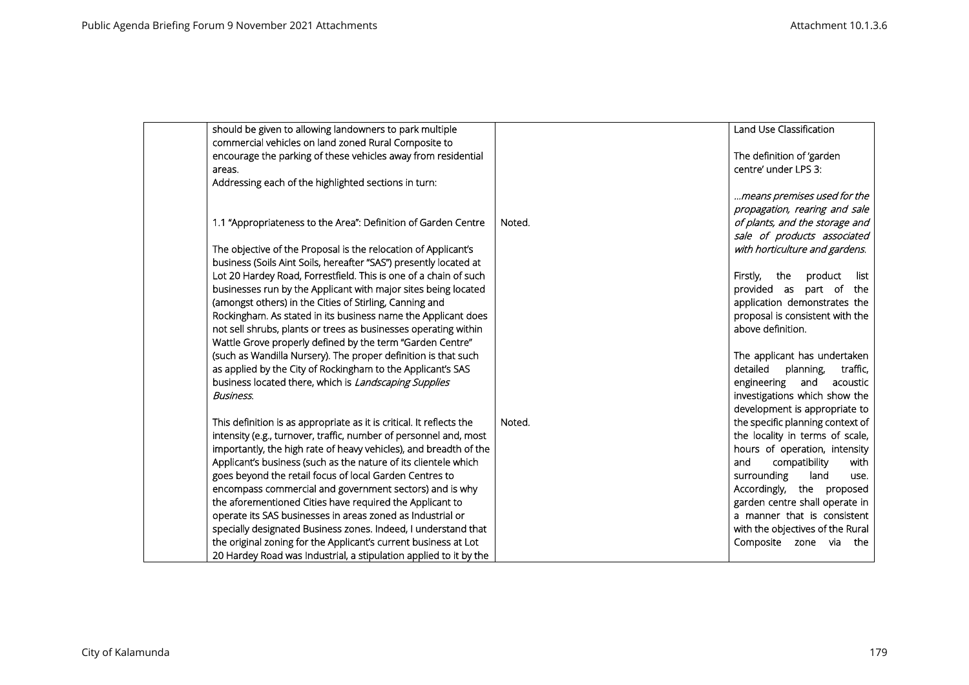| should be given to allowing landowners to park multiple              |        | Land Use Classification            |
|----------------------------------------------------------------------|--------|------------------------------------|
| commercial vehicles on land zoned Rural Composite to                 |        |                                    |
| encourage the parking of these vehicles away from residential        |        | The definition of 'garden          |
| areas.                                                               |        | centre' under LPS 3:               |
| Addressing each of the highlighted sections in turn:                 |        |                                    |
|                                                                      |        | means premises used for the        |
|                                                                      |        | propagation, rearing and sale      |
| 1.1 "Appropriateness to the Area": Definition of Garden Centre       | Noted. | of plants, and the storage and     |
|                                                                      |        | sale of products associated        |
| The objective of the Proposal is the relocation of Applicant's       |        | with horticulture and gardens.     |
| business (Soils Aint Soils, hereafter "SAS") presently located at    |        |                                    |
| Lot 20 Hardey Road, Forrestfield. This is one of a chain of such     |        | Firstly,<br>the<br>product<br>list |
| businesses run by the Applicant with major sites being located       |        | provided as part of the            |
| (amongst others) in the Cities of Stirling, Canning and              |        | application demonstrates the       |
| Rockingham. As stated in its business name the Applicant does        |        | proposal is consistent with the    |
| not sell shrubs, plants or trees as businesses operating within      |        | above definition.                  |
| Wattle Grove properly defined by the term "Garden Centre"            |        |                                    |
| (such as Wandilla Nursery). The proper definition is that such       |        | The applicant has undertaken       |
| as applied by the City of Rockingham to the Applicant's SAS          |        | detailed<br>planning,<br>traffic,  |
| business located there, which is Landscaping Supplies                |        | engineering and<br>acoustic        |
| <b>Business.</b>                                                     |        | investigations which show the      |
|                                                                      |        |                                    |
|                                                                      |        | development is appropriate to      |
| This definition is as appropriate as it is critical. It reflects the | Noted. | the specific planning context of   |
| intensity (e.g., turnover, traffic, number of personnel and, most    |        | the locality in terms of scale,    |
| importantly, the high rate of heavy vehicles), and breadth of the    |        | hours of operation, intensity      |
| Applicant's business (such as the nature of its clientele which      |        | and<br>compatibility<br>with       |
| goes beyond the retail focus of local Garden Centres to              |        | surrounding<br>land<br>use.        |
| encompass commercial and government sectors) and is why              |        | Accordingly, the proposed          |
| the aforementioned Cities have required the Applicant to             |        | garden centre shall operate in     |
| operate its SAS businesses in areas zoned as Industrial or           |        | a manner that is consistent        |
| specially designated Business zones. Indeed, I understand that       |        | with the objectives of the Rural   |
| the original zoning for the Applicant's current business at Lot      |        | Composite zone via the             |
| 20 Hardey Road was Industrial, a stipulation applied to it by the    |        |                                    |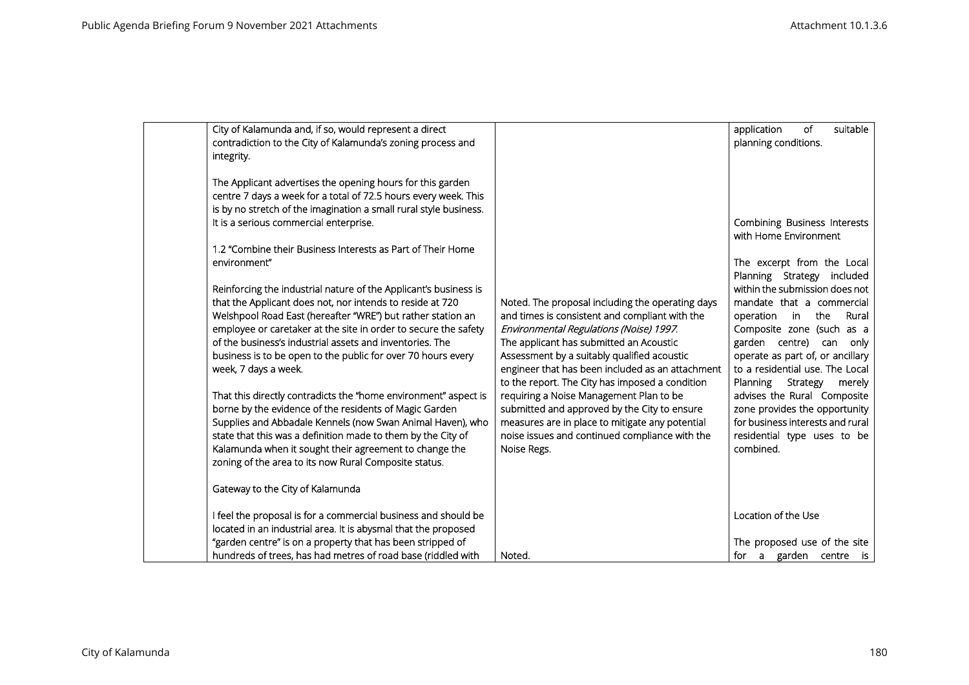|                                        | City of Kalamunda and, if so, would represent a direct<br>contradiction to the City of Kalamunda's zoning process and                                                                                                                                                                                                                                                                                                                                                                                                                                                                                                                                                                                                                                                     |                                                                                                                                                                                                                                                                                                                                                                                                                                                                                                                                                               | of<br>suitable<br>application<br>planning conditions.                                                                                                                                                                                                                                                                                                                                                                                      |
|----------------------------------------|---------------------------------------------------------------------------------------------------------------------------------------------------------------------------------------------------------------------------------------------------------------------------------------------------------------------------------------------------------------------------------------------------------------------------------------------------------------------------------------------------------------------------------------------------------------------------------------------------------------------------------------------------------------------------------------------------------------------------------------------------------------------------|---------------------------------------------------------------------------------------------------------------------------------------------------------------------------------------------------------------------------------------------------------------------------------------------------------------------------------------------------------------------------------------------------------------------------------------------------------------------------------------------------------------------------------------------------------------|--------------------------------------------------------------------------------------------------------------------------------------------------------------------------------------------------------------------------------------------------------------------------------------------------------------------------------------------------------------------------------------------------------------------------------------------|
| integrity.                             |                                                                                                                                                                                                                                                                                                                                                                                                                                                                                                                                                                                                                                                                                                                                                                           |                                                                                                                                                                                                                                                                                                                                                                                                                                                                                                                                                               |                                                                                                                                                                                                                                                                                                                                                                                                                                            |
| It is a serious commercial enterprise. | The Applicant advertises the opening hours for this garden<br>centre 7 days a week for a total of 72.5 hours every week. This<br>is by no stretch of the imagination a small rural style business.                                                                                                                                                                                                                                                                                                                                                                                                                                                                                                                                                                        |                                                                                                                                                                                                                                                                                                                                                                                                                                                                                                                                                               | Combining Business Interests                                                                                                                                                                                                                                                                                                                                                                                                               |
|                                        |                                                                                                                                                                                                                                                                                                                                                                                                                                                                                                                                                                                                                                                                                                                                                                           |                                                                                                                                                                                                                                                                                                                                                                                                                                                                                                                                                               | with Home Environment                                                                                                                                                                                                                                                                                                                                                                                                                      |
| environment"                           | 1.2 "Combine their Business Interests as Part of Their Home                                                                                                                                                                                                                                                                                                                                                                                                                                                                                                                                                                                                                                                                                                               |                                                                                                                                                                                                                                                                                                                                                                                                                                                                                                                                                               | The excerpt from the Local                                                                                                                                                                                                                                                                                                                                                                                                                 |
| week, 7 days a week.                   | Reinforcing the industrial nature of the Applicant's business is<br>that the Applicant does not, nor intends to reside at 720<br>Welshpool Road East (hereafter "WRE") but rather station an<br>employee or caretaker at the site in order to secure the safety<br>of the business's industrial assets and inventories. The<br>business is to be open to the public for over 70 hours every<br>That this directly contradicts the "home environment" aspect is<br>borne by the evidence of the residents of Magic Garden<br>Supplies and Abbadale Kennels (now Swan Animal Haven), who<br>state that this was a definition made to them by the City of<br>Kalamunda when it sought their agreement to change the<br>zoning of the area to its now Rural Composite status. | Noted. The proposal including the operating days<br>and times is consistent and compliant with the<br>Environmental Regulations (Noise) 1997.<br>The applicant has submitted an Acoustic<br>Assessment by a suitably qualified acoustic<br>engineer that has been included as an attachment<br>to the report. The City has imposed a condition<br>requiring a Noise Management Plan to be<br>submitted and approved by the City to ensure<br>measures are in place to mitigate any potential<br>noise issues and continued compliance with the<br>Noise Regs. | Planning Strategy included<br>within the submission does not<br>mandate that a commercial<br>Rural<br>operation in<br>the<br>Composite zone (such as a<br>garden centre) can only<br>operate as part of, or ancillary<br>to a residential use. The Local<br>Planning<br>Strategy<br>merely<br>advises the Rural Composite<br>zone provides the opportunity<br>for business interests and rural<br>residential type uses to be<br>combined. |
| Gateway to the City of Kalamunda       |                                                                                                                                                                                                                                                                                                                                                                                                                                                                                                                                                                                                                                                                                                                                                                           |                                                                                                                                                                                                                                                                                                                                                                                                                                                                                                                                                               |                                                                                                                                                                                                                                                                                                                                                                                                                                            |
|                                        | I feel the proposal is for a commercial business and should be<br>located in an industrial area. It is abysmal that the proposed                                                                                                                                                                                                                                                                                                                                                                                                                                                                                                                                                                                                                                          |                                                                                                                                                                                                                                                                                                                                                                                                                                                                                                                                                               | Location of the Use                                                                                                                                                                                                                                                                                                                                                                                                                        |
|                                        | "garden centre" is on a property that has been stripped of<br>hundreds of trees, has had metres of road base (riddled with                                                                                                                                                                                                                                                                                                                                                                                                                                                                                                                                                                                                                                                | Noted.                                                                                                                                                                                                                                                                                                                                                                                                                                                                                                                                                        | The proposed use of the site<br>for a garden centre is                                                                                                                                                                                                                                                                                                                                                                                     |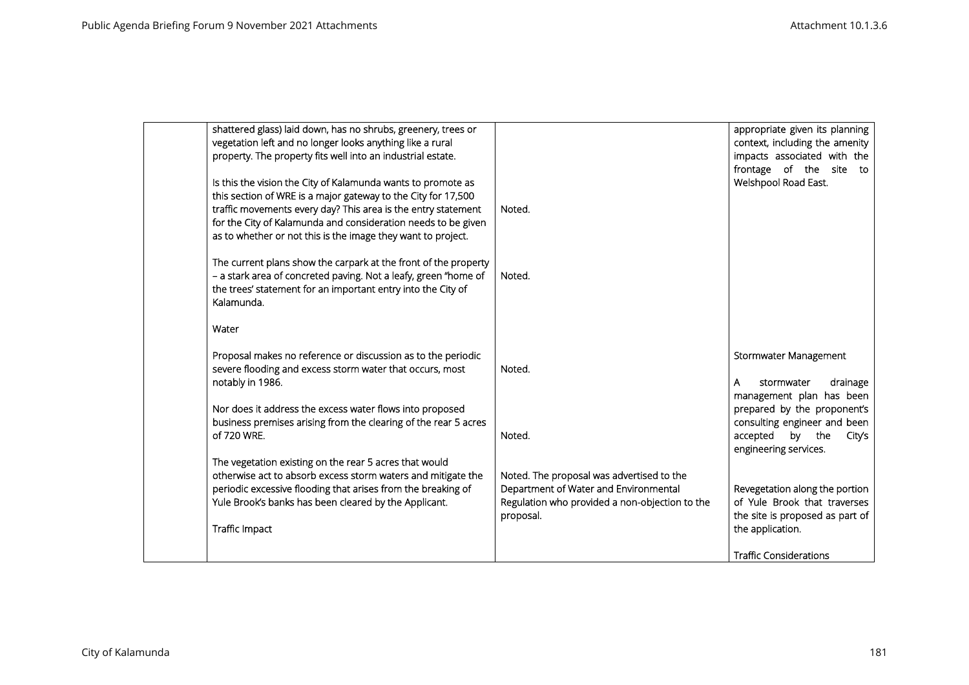| shattered glass) laid down, has no shrubs, greenery, trees or<br>vegetation left and no longer looks anything like a rural<br>property. The property fits well into an industrial estate.<br>Is this the vision the City of Kalamunda wants to promote as<br>this section of WRE is a major gateway to the City for 17,500<br>traffic movements every day? This area is the entry statement<br>for the City of Kalamunda and consideration needs to be given<br>as to whether or not this is the image they want to project.<br>The current plans show the carpark at the front of the property<br>- a stark area of concreted paving. Not a leafy, green "home of<br>the trees' statement for an important entry into the City of<br>Kalamunda.<br>Water | Noted.<br>Noted.                                                                                                                                  | appropriate given its planning<br>context, including the amenity<br>impacts associated with the<br>frontage of the site to<br>Welshpool Road East.                              |
|-----------------------------------------------------------------------------------------------------------------------------------------------------------------------------------------------------------------------------------------------------------------------------------------------------------------------------------------------------------------------------------------------------------------------------------------------------------------------------------------------------------------------------------------------------------------------------------------------------------------------------------------------------------------------------------------------------------------------------------------------------------|---------------------------------------------------------------------------------------------------------------------------------------------------|---------------------------------------------------------------------------------------------------------------------------------------------------------------------------------|
| Proposal makes no reference or discussion as to the periodic<br>severe flooding and excess storm water that occurs, most<br>notably in 1986.<br>Nor does it address the excess water flows into proposed<br>business premises arising from the clearing of the rear 5 acres<br>of 720 WRE.                                                                                                                                                                                                                                                                                                                                                                                                                                                                | Noted.<br>Noted.                                                                                                                                  | Stormwater Management<br>stormwater<br>drainage<br>A<br>management plan has been<br>prepared by the proponent's<br>consulting engineer and been<br>accepted<br>by the<br>City's |
| The vegetation existing on the rear 5 acres that would<br>otherwise act to absorb excess storm waters and mitigate the<br>periodic excessive flooding that arises from the breaking of<br>Yule Brook's banks has been cleared by the Applicant.<br>Traffic Impact                                                                                                                                                                                                                                                                                                                                                                                                                                                                                         | Noted. The proposal was advertised to the<br>Department of Water and Environmental<br>Regulation who provided a non-objection to the<br>proposal. | engineering services.<br>Revegetation along the portion<br>of Yule Brook that traverses<br>the site is proposed as part of<br>the application.<br><b>Traffic Considerations</b> |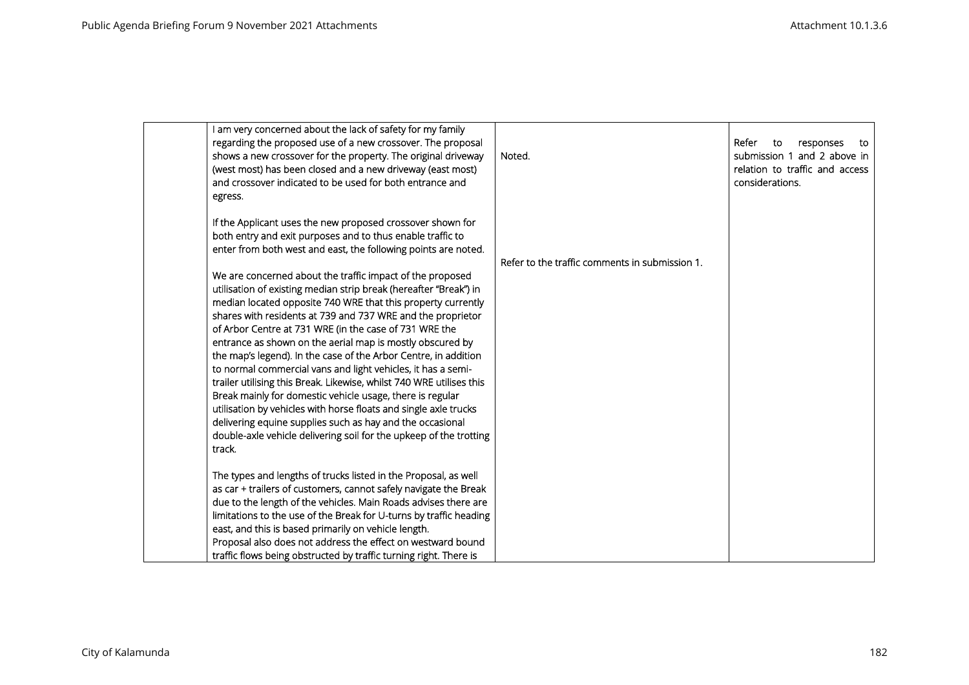| I am very concerned about the lack of safety for my family<br>regarding the proposed use of a new crossover. The proposal<br>shows a new crossover for the property. The original driveway<br>(west most) has been closed and a new driveway (east most)<br>and crossover indicated to be used for both entrance and<br>egress.                                                                                                                                                                                                                                                                                                                                                                                                                                                                                                                                               | Noted.                                         | Refer<br>responses<br>to<br>to<br>submission 1 and 2 above in<br>relation to traffic and access<br>considerations. |
|-------------------------------------------------------------------------------------------------------------------------------------------------------------------------------------------------------------------------------------------------------------------------------------------------------------------------------------------------------------------------------------------------------------------------------------------------------------------------------------------------------------------------------------------------------------------------------------------------------------------------------------------------------------------------------------------------------------------------------------------------------------------------------------------------------------------------------------------------------------------------------|------------------------------------------------|--------------------------------------------------------------------------------------------------------------------|
| If the Applicant uses the new proposed crossover shown for<br>both entry and exit purposes and to thus enable traffic to<br>enter from both west and east, the following points are noted.                                                                                                                                                                                                                                                                                                                                                                                                                                                                                                                                                                                                                                                                                    | Refer to the traffic comments in submission 1. |                                                                                                                    |
| We are concerned about the traffic impact of the proposed<br>utilisation of existing median strip break (hereafter "Break") in<br>median located opposite 740 WRE that this property currently<br>shares with residents at 739 and 737 WRE and the proprietor<br>of Arbor Centre at 731 WRE (in the case of 731 WRE the<br>entrance as shown on the aerial map is mostly obscured by<br>the map's legend). In the case of the Arbor Centre, in addition<br>to normal commercial vans and light vehicles, it has a semi-<br>trailer utilising this Break. Likewise, whilst 740 WRE utilises this<br>Break mainly for domestic vehicle usage, there is regular<br>utilisation by vehicles with horse floats and single axle trucks<br>delivering equine supplies such as hay and the occasional<br>double-axle vehicle delivering soil for the upkeep of the trotting<br>track. |                                                |                                                                                                                    |
| The types and lengths of trucks listed in the Proposal, as well<br>as car + trailers of customers, cannot safely navigate the Break<br>due to the length of the vehicles. Main Roads advises there are<br>limitations to the use of the Break for U-turns by traffic heading<br>east, and this is based primarily on vehicle length.<br>Proposal also does not address the effect on westward bound<br>traffic flows being obstructed by traffic turning right. There is                                                                                                                                                                                                                                                                                                                                                                                                      |                                                |                                                                                                                    |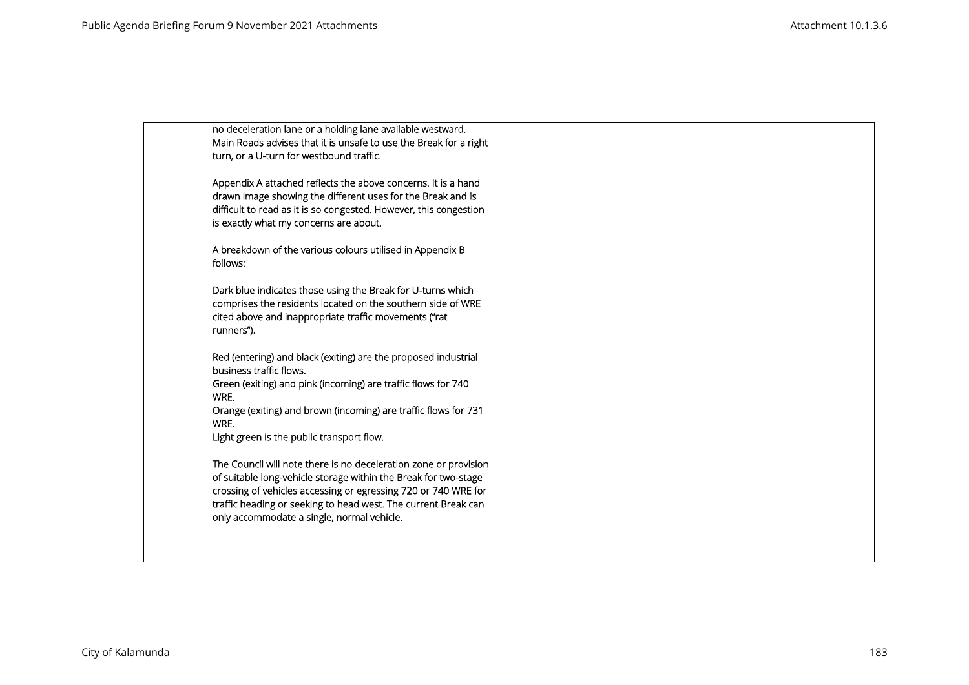| no deceleration lane or a holding lane available westward.<br>Main Roads advises that it is unsafe to use the Break for a right                                                                       |                                                                                                                                                                                                                                                                                                       |  |
|-------------------------------------------------------------------------------------------------------------------------------------------------------------------------------------------------------|-------------------------------------------------------------------------------------------------------------------------------------------------------------------------------------------------------------------------------------------------------------------------------------------------------|--|
| Appendix A attached reflects the above concerns. It is a hand<br>drawn image showing the different uses for the Break and is                                                                          |                                                                                                                                                                                                                                                                                                       |  |
| is exactly what my concerns are about.                                                                                                                                                                |                                                                                                                                                                                                                                                                                                       |  |
|                                                                                                                                                                                                       |                                                                                                                                                                                                                                                                                                       |  |
| Dark blue indicates those using the Break for U-turns which<br>comprises the residents located on the southern side of WRE<br>cited above and inappropriate traffic movements ("rat<br>runners").     |                                                                                                                                                                                                                                                                                                       |  |
| Red (entering) and black (exiting) are the proposed industrial<br>business traffic flows.                                                                                                             |                                                                                                                                                                                                                                                                                                       |  |
| Green (exiting) and pink (incoming) are traffic flows for 740<br>WRE.                                                                                                                                 |                                                                                                                                                                                                                                                                                                       |  |
| Orange (exiting) and brown (incoming) are traffic flows for 731<br>WRE.                                                                                                                               |                                                                                                                                                                                                                                                                                                       |  |
|                                                                                                                                                                                                       |                                                                                                                                                                                                                                                                                                       |  |
| The Council will note there is no deceleration zone or provision<br>of suitable long-vehicle storage within the Break for two-stage<br>crossing of vehicles accessing or egressing 720 or 740 WRE for |                                                                                                                                                                                                                                                                                                       |  |
| only accommodate a single, normal vehicle.                                                                                                                                                            |                                                                                                                                                                                                                                                                                                       |  |
|                                                                                                                                                                                                       | turn, or a U-turn for westbound traffic.<br>difficult to read as it is so congested. However, this congestion<br>A breakdown of the various colours utilised in Appendix B<br>follows:<br>Light green is the public transport flow.<br>traffic heading or seeking to head west. The current Break can |  |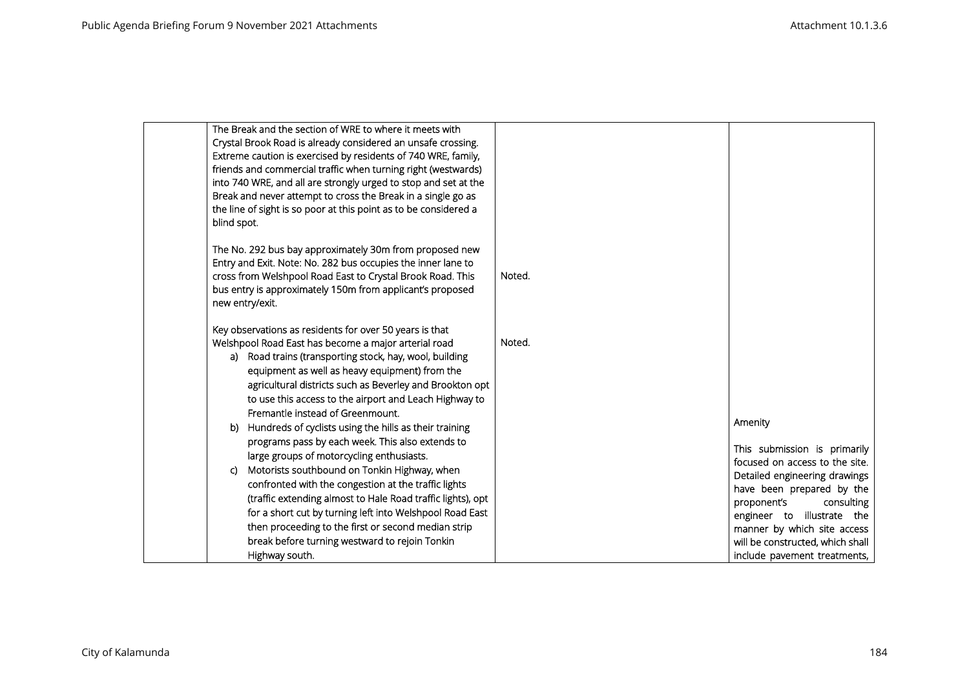| The Break and the section of WRE to where it meets with          |        |                                                                |
|------------------------------------------------------------------|--------|----------------------------------------------------------------|
| Crystal Brook Road is already considered an unsafe crossing.     |        |                                                                |
| Extreme caution is exercised by residents of 740 WRE, family,    |        |                                                                |
| friends and commercial traffic when turning right (westwards)    |        |                                                                |
| into 740 WRE, and all are strongly urged to stop and set at the  |        |                                                                |
| Break and never attempt to cross the Break in a single go as     |        |                                                                |
| the line of sight is so poor at this point as to be considered a |        |                                                                |
| blind spot.                                                      |        |                                                                |
| The No. 292 bus bay approximately 30m from proposed new          |        |                                                                |
| Entry and Exit. Note: No. 282 bus occupies the inner lane to     |        |                                                                |
| cross from Welshpool Road East to Crystal Brook Road. This       | Noted. |                                                                |
| bus entry is approximately 150m from applicant's proposed        |        |                                                                |
| new entry/exit.                                                  |        |                                                                |
|                                                                  |        |                                                                |
| Key observations as residents for over 50 years is that          |        |                                                                |
| Welshpool Road East has become a major arterial road             | Noted. |                                                                |
| a) Road trains (transporting stock, hay, wool, building          |        |                                                                |
| equipment as well as heavy equipment) from the                   |        |                                                                |
| agricultural districts such as Beverley and Brookton opt         |        |                                                                |
| to use this access to the airport and Leach Highway to           |        |                                                                |
| Fremantle instead of Greenmount.                                 |        |                                                                |
| b) Hundreds of cyclists using the hills as their training        |        | Amenity                                                        |
| programs pass by each week. This also extends to                 |        |                                                                |
| large groups of motorcycling enthusiasts.                        |        | This submission is primarily<br>focused on access to the site. |
| Motorists southbound on Tonkin Highway, when<br>C)               |        | Detailed engineering drawings                                  |
| confronted with the congestion at the traffic lights             |        | have been prepared by the                                      |
| (traffic extending almost to Hale Road traffic lights), opt      |        | proponent's<br>consulting                                      |
| for a short cut by turning left into Welshpool Road East         |        | engineer to illustrate the                                     |
| then proceeding to the first or second median strip              |        | manner by which site access                                    |
| break before turning westward to rejoin Tonkin                   |        | will be constructed, which shall                               |
| Highway south.                                                   |        | include pavement treatments,                                   |
|                                                                  |        |                                                                |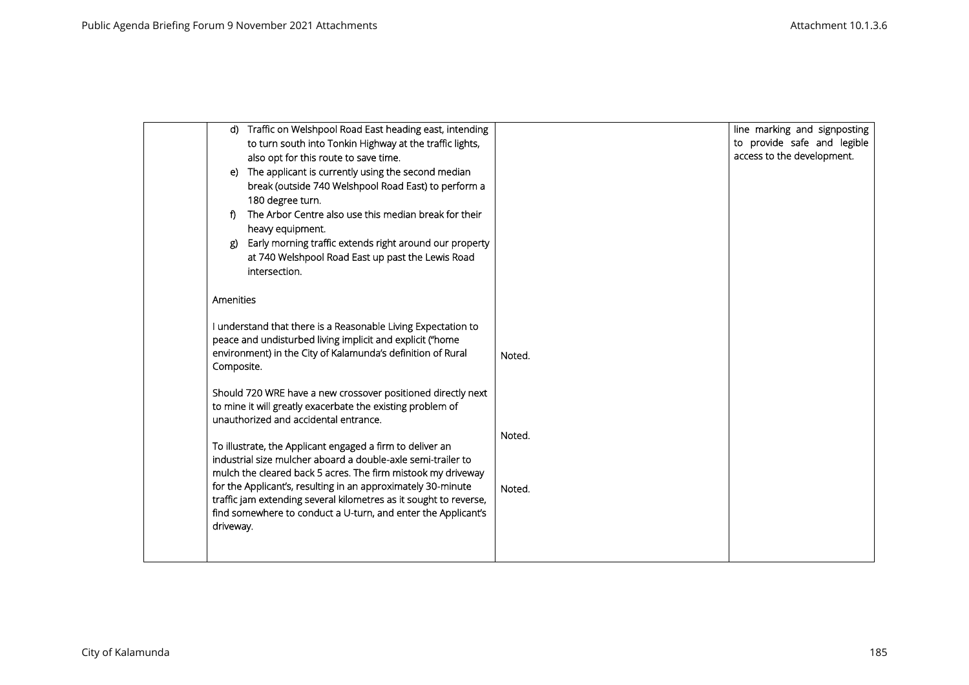|            | d) Traffic on Welshpool Road East heading east, intending                                                                    |        | line marking and signposting |
|------------|------------------------------------------------------------------------------------------------------------------------------|--------|------------------------------|
|            | to turn south into Tonkin Highway at the traffic lights,                                                                     |        | to provide safe and legible  |
|            | also opt for this route to save time.                                                                                        |        | access to the development.   |
|            | e) The applicant is currently using the second median                                                                        |        |                              |
|            | break (outside 740 Welshpool Road East) to perform a                                                                         |        |                              |
|            | 180 degree turn.                                                                                                             |        |                              |
| f)         | The Arbor Centre also use this median break for their                                                                        |        |                              |
|            | heavy equipment.                                                                                                             |        |                              |
| ደ)         | Early morning traffic extends right around our property                                                                      |        |                              |
|            | at 740 Welshpool Road East up past the Lewis Road                                                                            |        |                              |
|            | intersection.                                                                                                                |        |                              |
|            |                                                                                                                              |        |                              |
| Amenities  |                                                                                                                              |        |                              |
|            | I understand that there is a Reasonable Living Expectation to                                                                |        |                              |
|            | peace and undisturbed living implicit and explicit ("home                                                                    |        |                              |
|            | environment) in the City of Kalamunda's definition of Rural                                                                  | Noted. |                              |
| Composite. |                                                                                                                              |        |                              |
|            | Should 720 WRE have a new crossover positioned directly next                                                                 |        |                              |
|            | to mine it will greatly exacerbate the existing problem of                                                                   |        |                              |
|            | unauthorized and accidental entrance.                                                                                        |        |                              |
|            |                                                                                                                              | Noted. |                              |
|            | To illustrate, the Applicant engaged a firm to deliver an                                                                    |        |                              |
|            | industrial size mulcher aboard a double-axle semi-trailer to<br>mulch the cleared back 5 acres. The firm mistook my driveway |        |                              |
|            | for the Applicant's, resulting in an approximately 30-minute                                                                 |        |                              |
|            | traffic jam extending several kilometres as it sought to reverse,                                                            | Noted. |                              |
|            | find somewhere to conduct a U-turn, and enter the Applicant's                                                                |        |                              |
| driveway.  |                                                                                                                              |        |                              |
|            |                                                                                                                              |        |                              |
|            |                                                                                                                              |        |                              |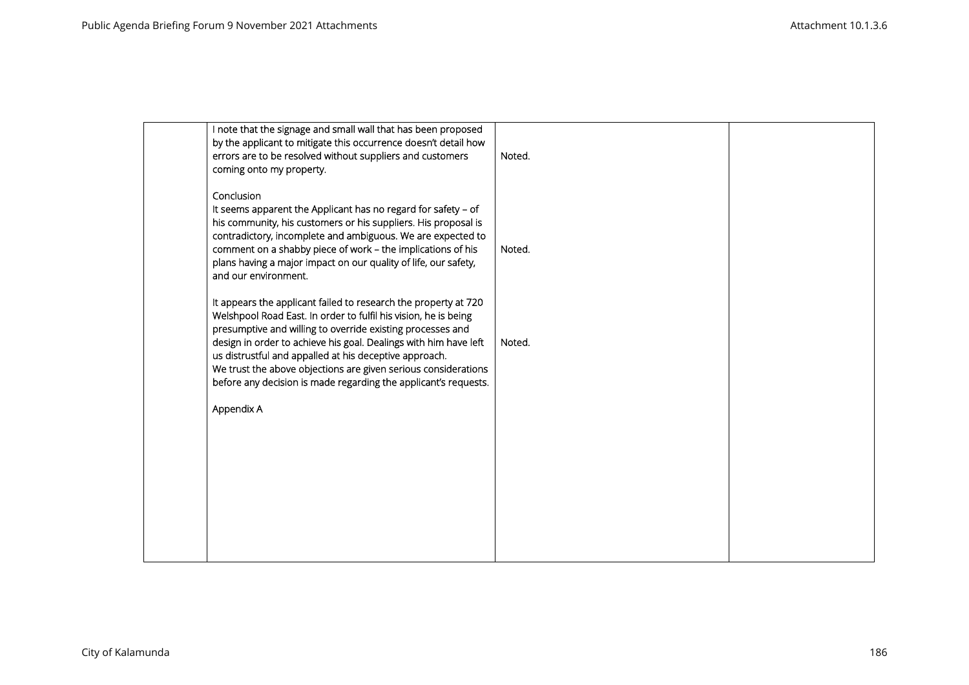| I note that the signage and small wall that has been proposed<br>by the applicant to mitigate this occurrence doesn't detail how<br>errors are to be resolved without suppliers and customers<br>coming onto my property.                                                                                                                                                                                                                                           | Noted. |  |
|---------------------------------------------------------------------------------------------------------------------------------------------------------------------------------------------------------------------------------------------------------------------------------------------------------------------------------------------------------------------------------------------------------------------------------------------------------------------|--------|--|
| Conclusion<br>It seems apparent the Applicant has no regard for safety - of<br>his community, his customers or his suppliers. His proposal is<br>contradictory, incomplete and ambiguous. We are expected to<br>comment on a shabby piece of work - the implications of his<br>plans having a major impact on our quality of life, our safety,<br>and our environment.                                                                                              | Noted. |  |
| It appears the applicant failed to research the property at 720<br>Welshpool Road East. In order to fulfil his vision, he is being<br>presumptive and willing to override existing processes and<br>design in order to achieve his goal. Dealings with him have left<br>us distrustful and appalled at his deceptive approach.<br>We trust the above objections are given serious considerations<br>before any decision is made regarding the applicant's requests. | Noted. |  |
| Appendix A                                                                                                                                                                                                                                                                                                                                                                                                                                                          |        |  |
|                                                                                                                                                                                                                                                                                                                                                                                                                                                                     |        |  |
|                                                                                                                                                                                                                                                                                                                                                                                                                                                                     |        |  |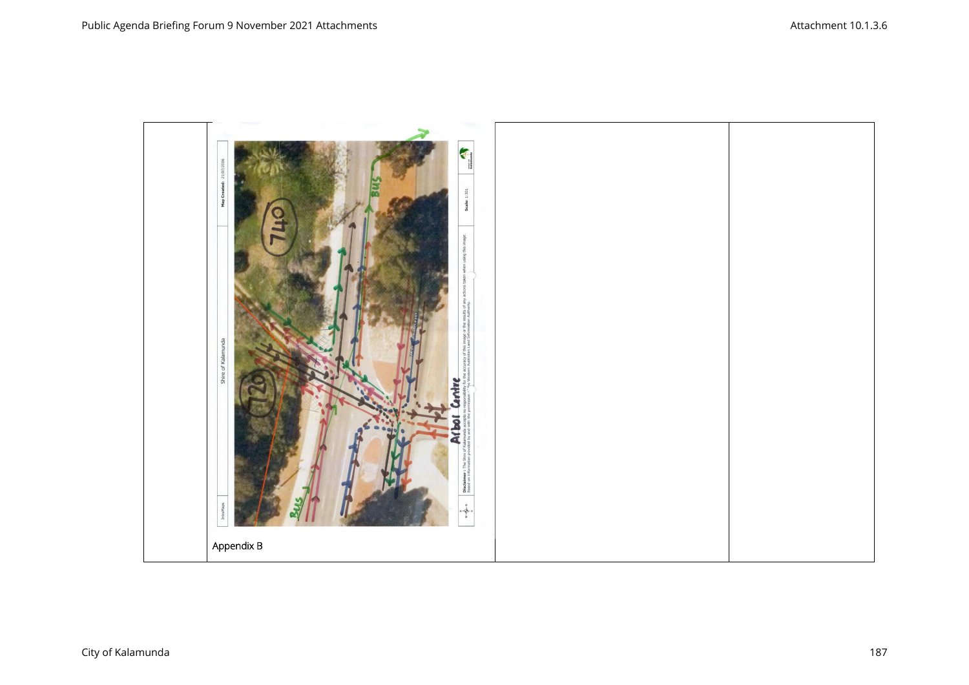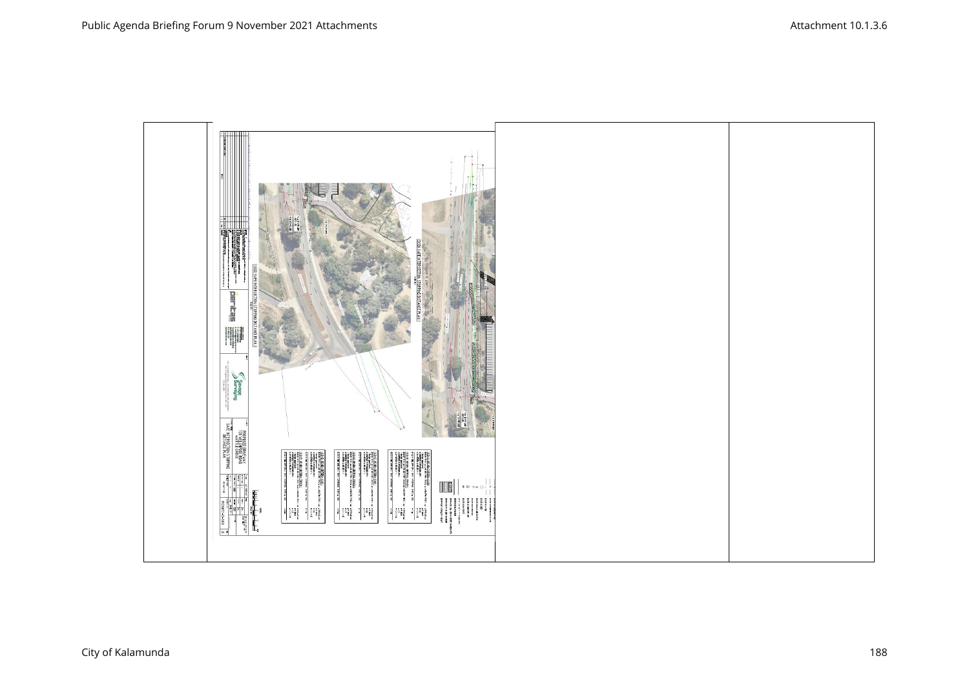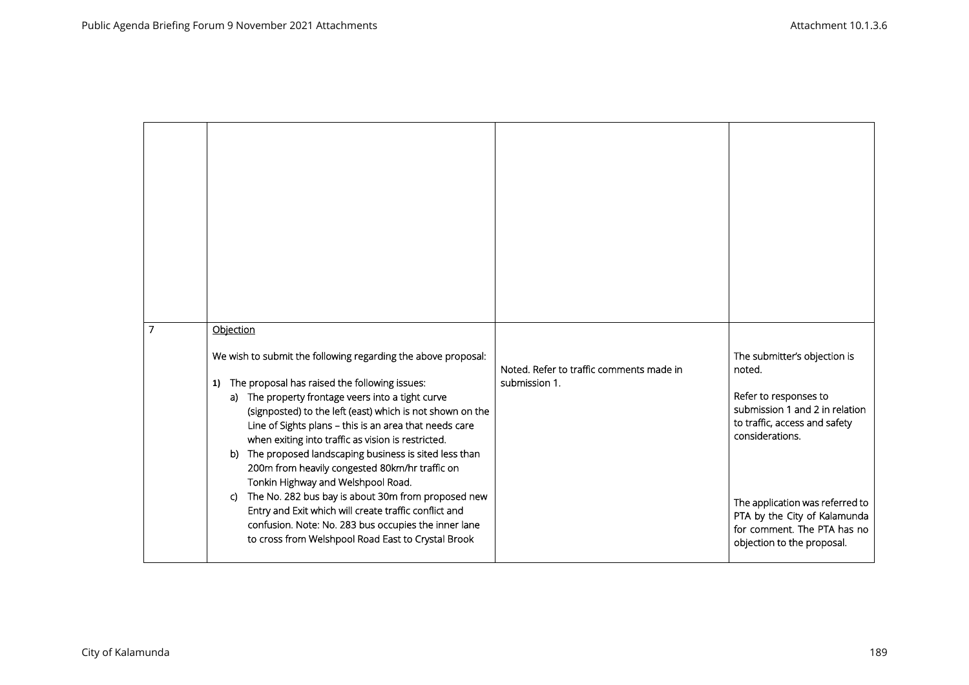| 7 | Objection<br>We wish to submit the following regarding the above proposal:<br>The proposal has raised the following issues:<br>1)<br>a) The property frontage veers into a tight curve<br>(signposted) to the left (east) which is not shown on the<br>Line of Sights plans - this is an area that needs care<br>when exiting into traffic as vision is restricted.<br>The proposed landscaping business is sited less than<br>b)<br>200m from heavily congested 80km/hr traffic on<br>Tonkin Highway and Welshpool Road. | Noted. Refer to traffic comments made in<br>submission 1. | The submitter's objection is<br>noted.<br>Refer to responses to<br>submission 1 and 2 in relation<br>to traffic, access and safety<br>considerations. |
|---|---------------------------------------------------------------------------------------------------------------------------------------------------------------------------------------------------------------------------------------------------------------------------------------------------------------------------------------------------------------------------------------------------------------------------------------------------------------------------------------------------------------------------|-----------------------------------------------------------|-------------------------------------------------------------------------------------------------------------------------------------------------------|
|   | The No. 282 bus bay is about 30m from proposed new<br>C)<br>Entry and Exit which will create traffic conflict and<br>confusion. Note: No. 283 bus occupies the inner lane<br>to cross from Welshpool Road East to Crystal Brook                                                                                                                                                                                                                                                                                           |                                                           | The application was referred to<br>PTA by the City of Kalamunda<br>for comment. The PTA has no<br>objection to the proposal.                          |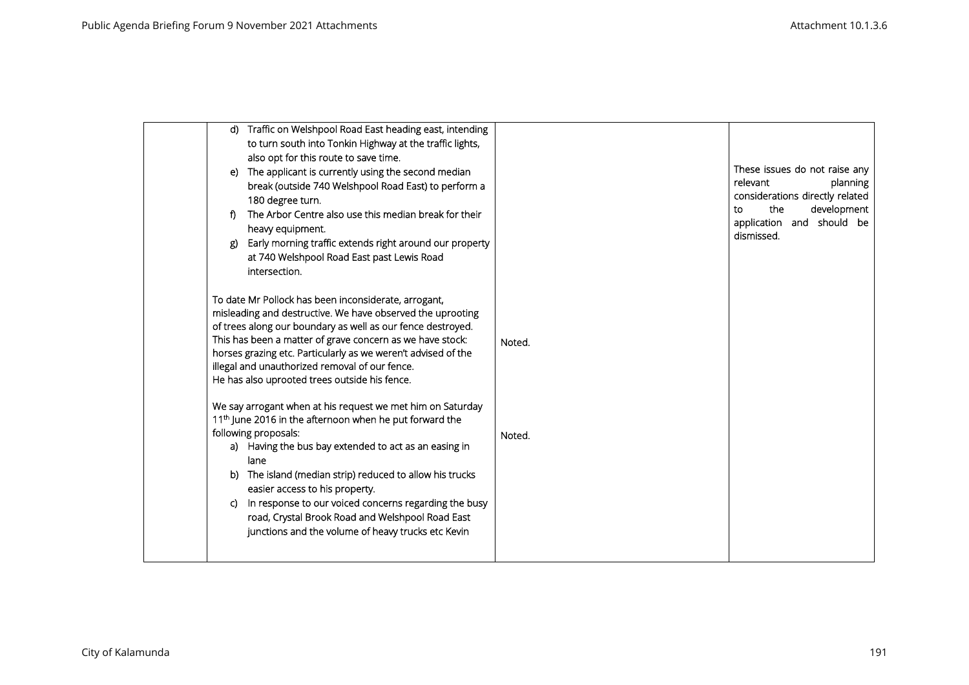| _ጀ) | d) Traffic on Welshpool Road East heading east, intending<br>to turn south into Tonkin Highway at the traffic lights,<br>also opt for this route to save time.<br>e) The applicant is currently using the second median<br>break (outside 740 Welshpool Road East) to perform a<br>180 degree turn.<br>The Arbor Centre also use this median break for their<br>heavy equipment.<br>Early morning traffic extends right around our property<br>at 740 Welshpool Road East past Lewis Road<br>intersection. |        | These issues do not raise any<br>relevant<br>planning<br>considerations directly related<br>the<br>development<br>to<br>application and should be<br>dismissed. |
|-----|------------------------------------------------------------------------------------------------------------------------------------------------------------------------------------------------------------------------------------------------------------------------------------------------------------------------------------------------------------------------------------------------------------------------------------------------------------------------------------------------------------|--------|-----------------------------------------------------------------------------------------------------------------------------------------------------------------|
|     | To date Mr Pollock has been inconsiderate, arrogant,<br>misleading and destructive. We have observed the uprooting<br>of trees along our boundary as well as our fence destroyed.<br>This has been a matter of grave concern as we have stock:<br>horses grazing etc. Particularly as we weren't advised of the<br>illegal and unauthorized removal of our fence.<br>He has also uprooted trees outside his fence.                                                                                         | Noted. |                                                                                                                                                                 |
| C)  | We say arrogant when at his request we met him on Saturday<br>11 <sup>th</sup> June 2016 in the afternoon when he put forward the<br>following proposals:<br>a) Having the bus bay extended to act as an easing in<br>lane<br>b) The island (median strip) reduced to allow his trucks<br>easier access to his property.<br>In response to our voiced concerns regarding the busy<br>road, Crystal Brook Road and Welshpool Road East<br>junctions and the volume of heavy trucks etc Kevin                | Noted. |                                                                                                                                                                 |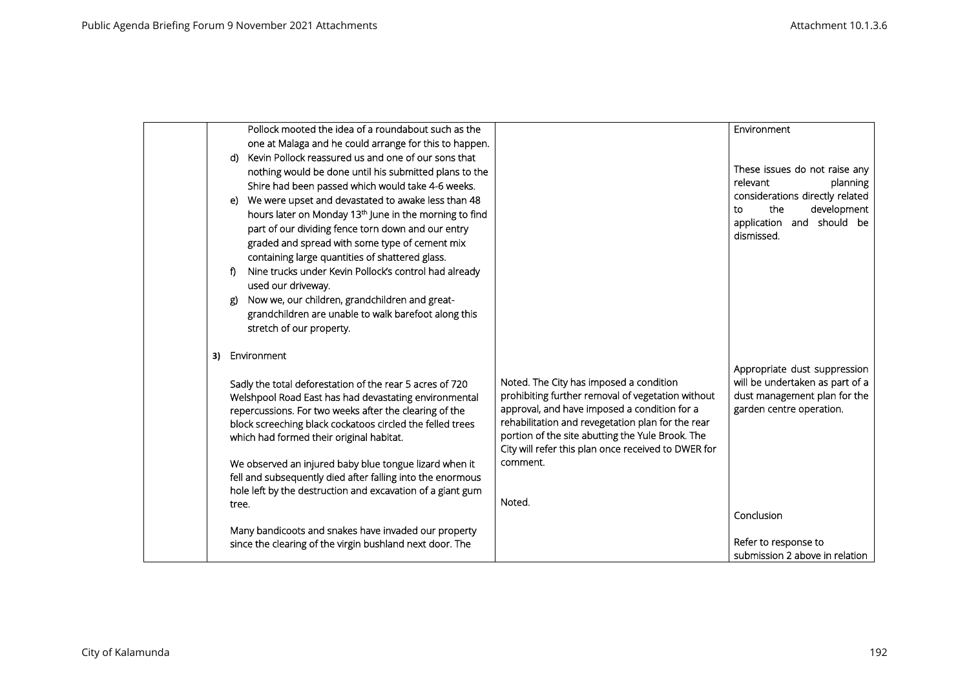|       | Pollock mooted the idea of a roundabout such as the                                                                      |                                                                                                   | Environment                                              |
|-------|--------------------------------------------------------------------------------------------------------------------------|---------------------------------------------------------------------------------------------------|----------------------------------------------------------|
|       | one at Malaga and he could arrange for this to happen.                                                                   |                                                                                                   |                                                          |
| d)    | Kevin Pollock reassured us and one of our sons that                                                                      |                                                                                                   | These issues do not raise any                            |
|       | nothing would be done until his submitted plans to the<br>Shire had been passed which would take 4-6 weeks.              |                                                                                                   | relevant<br>planning                                     |
| e)    | We were upset and devastated to awake less than 48                                                                       |                                                                                                   | considerations directly related                          |
|       | hours later on Monday 13 <sup>th</sup> June in the morning to find                                                       |                                                                                                   | the<br>development<br>to                                 |
|       | part of our dividing fence torn down and our entry                                                                       |                                                                                                   | application and should be                                |
|       | graded and spread with some type of cement mix                                                                           |                                                                                                   | dismissed.                                               |
|       | containing large quantities of shattered glass.                                                                          |                                                                                                   |                                                          |
| f)    | Nine trucks under Kevin Pollock's control had already                                                                    |                                                                                                   |                                                          |
|       | used our driveway.                                                                                                       |                                                                                                   |                                                          |
| ደ)    | Now we, our children, grandchildren and great-                                                                           |                                                                                                   |                                                          |
|       | grandchildren are unable to walk barefoot along this<br>stretch of our property.                                         |                                                                                                   |                                                          |
|       |                                                                                                                          |                                                                                                   |                                                          |
| 3)    | Environment                                                                                                              |                                                                                                   |                                                          |
|       |                                                                                                                          |                                                                                                   | Appropriate dust suppression                             |
|       | Sadly the total deforestation of the rear 5 acres of 720                                                                 | Noted. The City has imposed a condition                                                           | will be undertaken as part of a                          |
|       | Welshpool Road East has had devastating environmental<br>repercussions. For two weeks after the clearing of the          | prohibiting further removal of vegetation without<br>approval, and have imposed a condition for a | dust management plan for the<br>garden centre operation. |
|       | block screeching black cockatoos circled the felled trees                                                                | rehabilitation and revegetation plan for the rear                                                 |                                                          |
|       | which had formed their original habitat.                                                                                 | portion of the site abutting the Yule Brook. The                                                  |                                                          |
|       |                                                                                                                          | City will refer this plan once received to DWER for                                               |                                                          |
|       | We observed an injured baby blue tongue lizard when it                                                                   | comment.                                                                                          |                                                          |
|       | fell and subsequently died after falling into the enormous<br>hole left by the destruction and excavation of a giant gum |                                                                                                   |                                                          |
| tree. |                                                                                                                          | Noted.                                                                                            |                                                          |
|       |                                                                                                                          |                                                                                                   | Conclusion                                               |
|       | Many bandicoots and snakes have invaded our property                                                                     |                                                                                                   |                                                          |
|       | since the clearing of the virgin bushland next door. The                                                                 |                                                                                                   | Refer to response to<br>submission 2 above in relation   |
|       |                                                                                                                          |                                                                                                   |                                                          |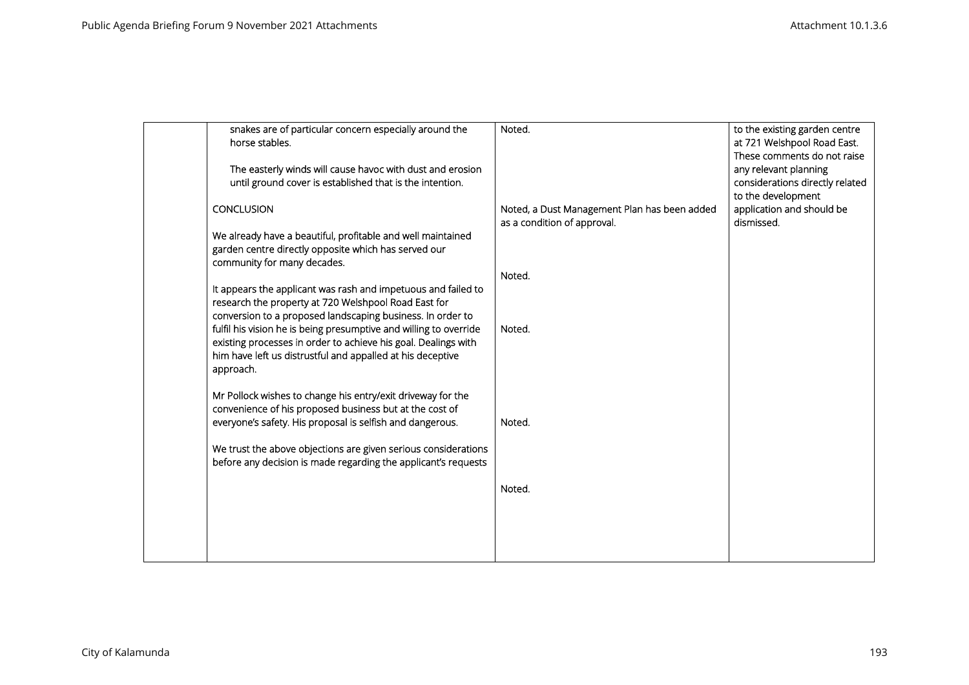| snakes are of particular concern especially around the<br>horse stables.                                                                                                                                                                                                                                                             | Noted.                                                                      | to the existing garden centre<br>at 721 Welshpool Road East.<br>These comments do not raise |
|--------------------------------------------------------------------------------------------------------------------------------------------------------------------------------------------------------------------------------------------------------------------------------------------------------------------------------------|-----------------------------------------------------------------------------|---------------------------------------------------------------------------------------------|
| The easterly winds will cause havoc with dust and erosion<br>until ground cover is established that is the intention.                                                                                                                                                                                                                |                                                                             | any relevant planning<br>considerations directly related                                    |
| <b>CONCLUSION</b>                                                                                                                                                                                                                                                                                                                    | Noted, a Dust Management Plan has been added<br>as a condition of approval. | to the development<br>application and should be<br>dismissed.                               |
| We already have a beautiful, profitable and well maintained<br>garden centre directly opposite which has served our<br>community for many decades.                                                                                                                                                                                   |                                                                             |                                                                                             |
| It appears the applicant was rash and impetuous and failed to                                                                                                                                                                                                                                                                        | Noted.                                                                      |                                                                                             |
| research the property at 720 Welshpool Road East for<br>conversion to a proposed landscaping business. In order to<br>fulfil his vision he is being presumptive and willing to override<br>existing processes in order to achieve his goal. Dealings with<br>him have left us distrustful and appalled at his deceptive<br>approach. | Noted.                                                                      |                                                                                             |
| Mr Pollock wishes to change his entry/exit driveway for the<br>convenience of his proposed business but at the cost of<br>everyone's safety. His proposal is selfish and dangerous.                                                                                                                                                  | Noted.                                                                      |                                                                                             |
| We trust the above objections are given serious considerations<br>before any decision is made regarding the applicant's requests                                                                                                                                                                                                     |                                                                             |                                                                                             |
|                                                                                                                                                                                                                                                                                                                                      | Noted.                                                                      |                                                                                             |
|                                                                                                                                                                                                                                                                                                                                      |                                                                             |                                                                                             |
|                                                                                                                                                                                                                                                                                                                                      |                                                                             |                                                                                             |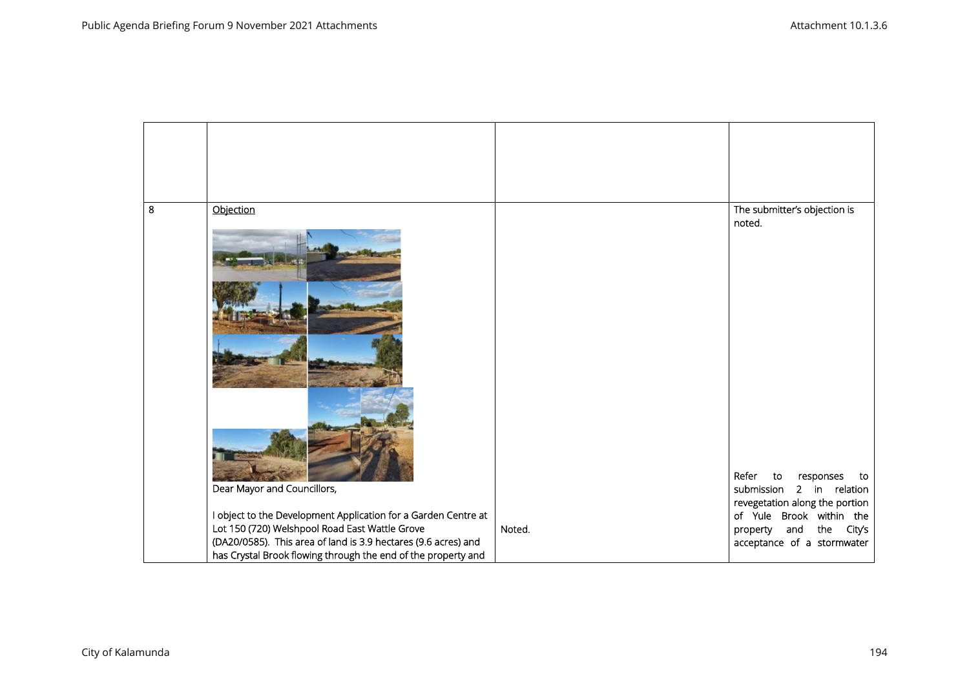| 8 | Objection                                                      |        | The submitter's objection is<br>noted.<br>Refer<br>to<br>responses<br>to |
|---|----------------------------------------------------------------|--------|--------------------------------------------------------------------------|
|   | Dear Mayor and Councillors,                                    |        | submission<br>2 in relation<br>revegetation along the portion            |
|   | I object to the Development Application for a Garden Centre at |        | of Yule Brook within the                                                 |
|   | Lot 150 (720) Welshpool Road East Wattle Grove                 | Noted. | and the City's<br>property                                               |
|   | (DA20/0585). This area of land is 3.9 hectares (9.6 acres) and |        | acceptance of a stormwater                                               |
|   | has Crystal Brook flowing through the end of the property and  |        |                                                                          |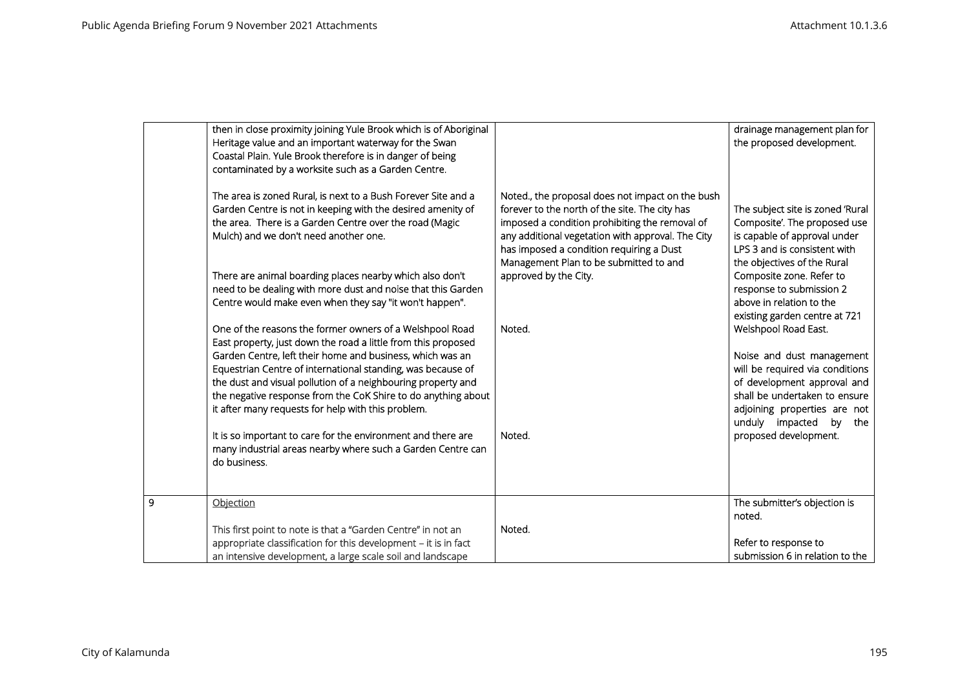| then in close proximity joining Yule Brook which is of Aboriginal<br>Heritage value and an important waterway for the Swan<br>Coastal Plain. Yule Brook therefore is in danger of being<br>contaminated by a worksite such as a Garden Centre.<br>The area is zoned Rural, is next to a Bush Forever Site and a<br>Garden Centre is not in keeping with the desired amenity of<br>the area. There is a Garden Centre over the road (Magic<br>Mulch) and we don't need another one.<br>There are animal boarding places nearby which also don't<br>need to be dealing with more dust and noise that this Garden<br>Centre would make even when they say "it won't happen".<br>One of the reasons the former owners of a Welshpool Road<br>East property, just down the road a little from this proposed<br>Garden Centre, left their home and business, which was an<br>Equestrian Centre of international standing, was because of<br>the dust and visual pollution of a neighbouring property and<br>the negative response from the CoK Shire to do anything about<br>it after many requests for help with this problem. | Noted., the proposal does not impact on the bush<br>forever to the north of the site. The city has<br>imposed a condition prohibiting the removal of<br>any additional vegetation with approval. The City<br>has imposed a condition requiring a Dust<br>Management Plan to be submitted to and<br>approved by the City.<br>Noted.<br>Noted. | drainage management plan for<br>the proposed development.<br>The subject site is zoned 'Rural<br>Composite'. The proposed use<br>is capable of approval under<br>LPS 3 and is consistent with<br>the objectives of the Rural<br>Composite zone. Refer to<br>response to submission 2<br>above in relation to the<br>existing garden centre at 721<br>Welshpool Road East.<br>Noise and dust management<br>will be required via conditions<br>of development approval and<br>shall be undertaken to ensure<br>adjoining properties are not<br>unduly impacted<br>by<br>the |
|---------------------------------------------------------------------------------------------------------------------------------------------------------------------------------------------------------------------------------------------------------------------------------------------------------------------------------------------------------------------------------------------------------------------------------------------------------------------------------------------------------------------------------------------------------------------------------------------------------------------------------------------------------------------------------------------------------------------------------------------------------------------------------------------------------------------------------------------------------------------------------------------------------------------------------------------------------------------------------------------------------------------------------------------------------------------------------------------------------------------------|----------------------------------------------------------------------------------------------------------------------------------------------------------------------------------------------------------------------------------------------------------------------------------------------------------------------------------------------|---------------------------------------------------------------------------------------------------------------------------------------------------------------------------------------------------------------------------------------------------------------------------------------------------------------------------------------------------------------------------------------------------------------------------------------------------------------------------------------------------------------------------------------------------------------------------|
| It is so important to care for the environment and there are<br>many industrial areas nearby where such a Garden Centre can<br>do business.                                                                                                                                                                                                                                                                                                                                                                                                                                                                                                                                                                                                                                                                                                                                                                                                                                                                                                                                                                               |                                                                                                                                                                                                                                                                                                                                              | proposed development.                                                                                                                                                                                                                                                                                                                                                                                                                                                                                                                                                     |
| 9<br>Objection                                                                                                                                                                                                                                                                                                                                                                                                                                                                                                                                                                                                                                                                                                                                                                                                                                                                                                                                                                                                                                                                                                            |                                                                                                                                                                                                                                                                                                                                              | The submitter's objection is<br>noted.                                                                                                                                                                                                                                                                                                                                                                                                                                                                                                                                    |
| This first point to note is that a "Garden Centre" in not an<br>appropriate classification for this development - it is in fact<br>an intensive development, a large scale soil and landscape                                                                                                                                                                                                                                                                                                                                                                                                                                                                                                                                                                                                                                                                                                                                                                                                                                                                                                                             | Noted.                                                                                                                                                                                                                                                                                                                                       | Refer to response to<br>submission 6 in relation to the                                                                                                                                                                                                                                                                                                                                                                                                                                                                                                                   |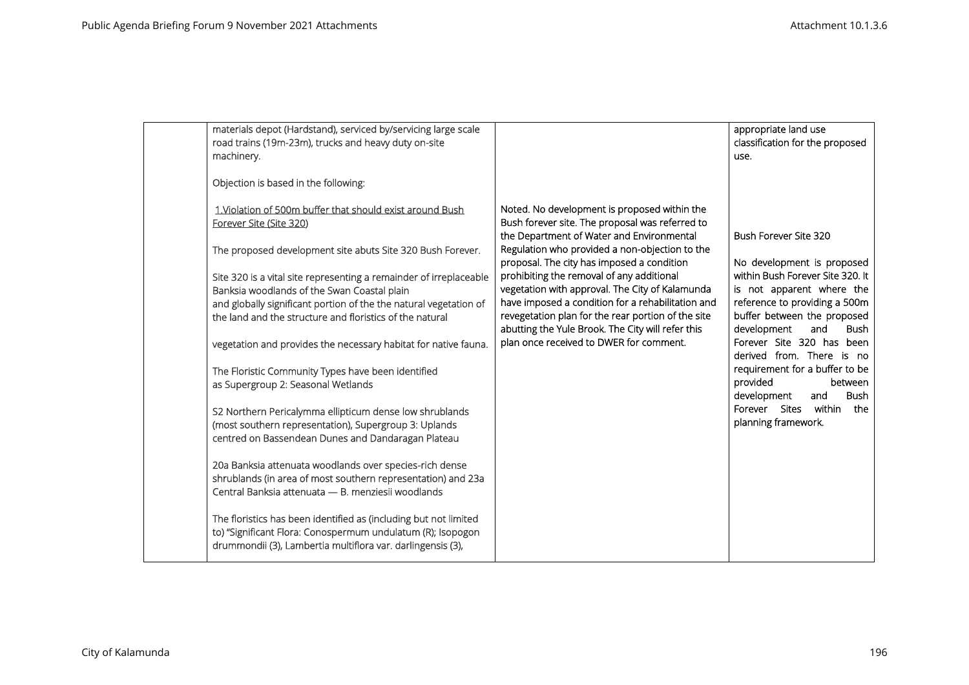| materials depot (Hardstand), serviced by/servicing large scale<br>road trains (19m-23m), trucks and heavy duty on-site<br>machinery.                                                                                                                                                                                                                                                                                                                                                                                                                                                                                                                                                                                                                                                                                                                                                                                                                                                                                                                                                                                                                                         |                                                                                                                                                                                                                                                                                                                                                                                                                                                                                                                                                         | appropriate land use<br>classification for the proposed<br>use.                                                                                                                                                                                                                                                                                                                                                                         |
|------------------------------------------------------------------------------------------------------------------------------------------------------------------------------------------------------------------------------------------------------------------------------------------------------------------------------------------------------------------------------------------------------------------------------------------------------------------------------------------------------------------------------------------------------------------------------------------------------------------------------------------------------------------------------------------------------------------------------------------------------------------------------------------------------------------------------------------------------------------------------------------------------------------------------------------------------------------------------------------------------------------------------------------------------------------------------------------------------------------------------------------------------------------------------|---------------------------------------------------------------------------------------------------------------------------------------------------------------------------------------------------------------------------------------------------------------------------------------------------------------------------------------------------------------------------------------------------------------------------------------------------------------------------------------------------------------------------------------------------------|-----------------------------------------------------------------------------------------------------------------------------------------------------------------------------------------------------------------------------------------------------------------------------------------------------------------------------------------------------------------------------------------------------------------------------------------|
| Objection is based in the following:<br>1. Violation of 500m buffer that should exist around Bush<br>Forever Site (Site 320)<br>The proposed development site abuts Site 320 Bush Forever.<br>Site 320 is a vital site representing a remainder of irreplaceable<br>Banksia woodlands of the Swan Coastal plain<br>and globally significant portion of the the natural vegetation of<br>the land and the structure and floristics of the natural<br>vegetation and provides the necessary habitat for native fauna.<br>The Floristic Community Types have been identified<br>as Supergroup 2: Seasonal Wetlands<br>S2 Northern Pericalymma ellipticum dense low shrublands<br>(most southern representation), Supergroup 3: Uplands<br>centred on Bassendean Dunes and Dandaragan Plateau<br>20a Banksia attenuata woodlands over species-rich dense<br>shrublands (in area of most southern representation) and 23a<br>Central Banksia attenuata - B. menziesii woodlands<br>The floristics has been identified as (including but not limited<br>to) "Significant Flora: Conospermum undulatum (R); Isopogon<br>drummondii (3), Lambertia multiflora var. darlingensis (3), | Noted. No development is proposed within the<br>Bush forever site. The proposal was referred to<br>the Department of Water and Environmental<br>Regulation who provided a non-objection to the<br>proposal. The city has imposed a condition<br>prohibiting the removal of any additional<br>vegetation with approval. The City of Kalamunda<br>have imposed a condition for a rehabilitation and<br>revegetation plan for the rear portion of the site<br>abutting the Yule Brook. The City will refer this<br>plan once received to DWER for comment. | Bush Forever Site 320<br>No development is proposed<br>within Bush Forever Site 320. It<br>is not apparent where the<br>reference to providing a 500m<br>buffer between the proposed<br>development<br>and<br><b>Bush</b><br>Forever Site 320 has been<br>derived from. There is no<br>requirement for a buffer to be<br>provided<br>between<br>development<br><b>Bush</b><br>and<br>Forever Sites within<br>the<br>planning framework. |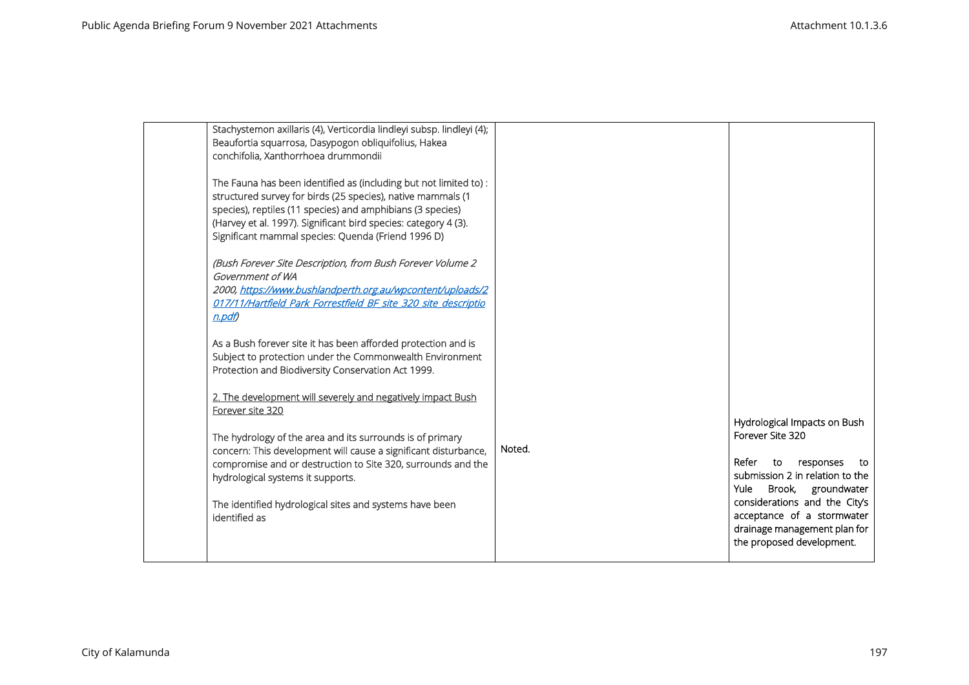| Stachystemon axillaris (4), Verticordia lindleyi subsp. lindleyi (4);<br>Beaufortia squarrosa, Dasypogon obliquifolius, Hakea<br>conchifolia, Xanthorrhoea drummondii                                                                                                                                                   |        |                                                                                                                                                  |
|-------------------------------------------------------------------------------------------------------------------------------------------------------------------------------------------------------------------------------------------------------------------------------------------------------------------------|--------|--------------------------------------------------------------------------------------------------------------------------------------------------|
| The Fauna has been identified as (including but not limited to) :<br>structured survey for birds (25 species), native mammals (1<br>species), reptiles (11 species) and amphibians (3 species)<br>(Harvey et al. 1997). Significant bird species: category 4 (3).<br>Significant mammal species: Quenda (Friend 1996 D) |        |                                                                                                                                                  |
| (Bush Forever Site Description, from Bush Forever Volume 2<br>Government of WA<br>2000, https://www.bushlandperth.org.au/wpcontent/uploads/2<br>017/11/Hartfield Park Forrestfield BF site 320 site descriptio<br>$n$ . pdf                                                                                             |        |                                                                                                                                                  |
| As a Bush forever site it has been afforded protection and is<br>Subject to protection under the Commonwealth Environment<br>Protection and Biodiversity Conservation Act 1999.                                                                                                                                         |        |                                                                                                                                                  |
| 2. The development will severely and negatively impact Bush<br>Forever site 320                                                                                                                                                                                                                                         |        |                                                                                                                                                  |
| The hydrology of the area and its surrounds is of primary<br>concern: This development will cause a significant disturbance,<br>compromise and or destruction to Site 320, surrounds and the<br>hydrological systems it supports.                                                                                       | Noted. | Hydrological Impacts on Bush<br>Forever Site 320<br>Refer<br>to<br>responses<br>to<br>submission 2 in relation to the<br>Yule Brook, groundwater |
| The identified hydrological sites and systems have been<br>identified as                                                                                                                                                                                                                                                |        | considerations and the City's<br>acceptance of a stormwater<br>drainage management plan for<br>the proposed development.                         |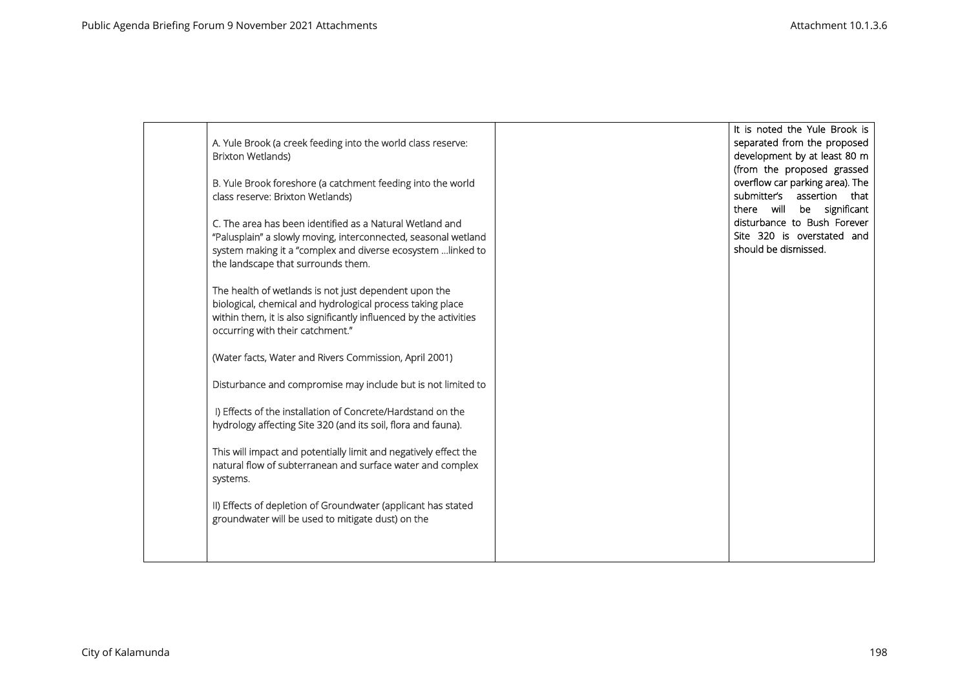| A. Yule Brook (a creek feeding into the world class reserve:<br><b>Brixton Wetlands)</b><br>B. Yule Brook foreshore (a catchment feeding into the world<br>class reserve: Brixton Wetlands)<br>C. The area has been identified as a Natural Wetland and<br>"Palusplain" a slowly moving, interconnected, seasonal wetland<br>system making it a "complex and diverse ecosystem  linked to<br>the landscape that surrounds them. | It is noted the Yule Brook is<br>separated from the proposed<br>development by at least 80 m<br>(from the proposed grassed<br>overflow car parking area). The<br>submitter's assertion that<br>there will be significant<br>disturbance to Bush Forever<br>Site 320 is overstated and<br>should be dismissed. |
|---------------------------------------------------------------------------------------------------------------------------------------------------------------------------------------------------------------------------------------------------------------------------------------------------------------------------------------------------------------------------------------------------------------------------------|---------------------------------------------------------------------------------------------------------------------------------------------------------------------------------------------------------------------------------------------------------------------------------------------------------------|
| The health of wetlands is not just dependent upon the<br>biological, chemical and hydrological process taking place<br>within them, it is also significantly influenced by the activities<br>occurring with their catchment."                                                                                                                                                                                                   |                                                                                                                                                                                                                                                                                                               |
| (Water facts, Water and Rivers Commission, April 2001)<br>Disturbance and compromise may include but is not limited to                                                                                                                                                                                                                                                                                                          |                                                                                                                                                                                                                                                                                                               |
| I) Effects of the installation of Concrete/Hardstand on the<br>hydrology affecting Site 320 (and its soil, flora and fauna).                                                                                                                                                                                                                                                                                                    |                                                                                                                                                                                                                                                                                                               |
| This will impact and potentially limit and negatively effect the<br>natural flow of subterranean and surface water and complex<br>systems.                                                                                                                                                                                                                                                                                      |                                                                                                                                                                                                                                                                                                               |
| II) Effects of depletion of Groundwater (applicant has stated<br>groundwater will be used to mitigate dust) on the                                                                                                                                                                                                                                                                                                              |                                                                                                                                                                                                                                                                                                               |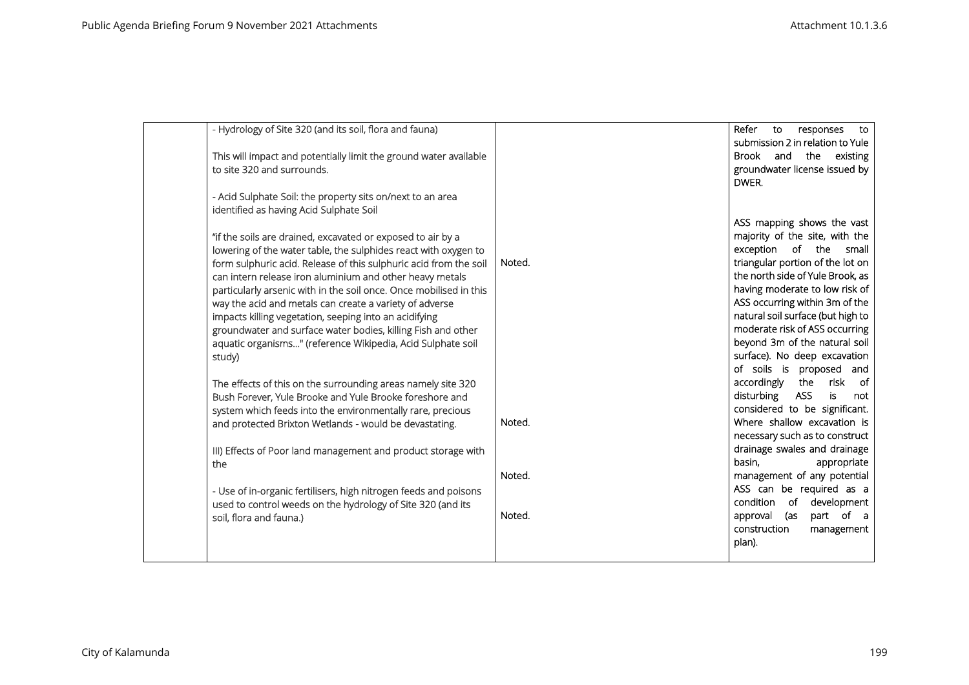| - Hydrology of Site 320 (and its soil, flora and fauna)            |        | Refer<br>to<br>responses<br>to        |
|--------------------------------------------------------------------|--------|---------------------------------------|
|                                                                    |        | submission 2 in relation to Yule      |
| This will impact and potentially limit the ground water available  |        | Brook and the existing                |
| to site 320 and surrounds.                                         |        | groundwater license issued by         |
|                                                                    |        | DWER.                                 |
| - Acid Sulphate Soil: the property sits on/next to an area         |        |                                       |
| identified as having Acid Sulphate Soil                            |        |                                       |
|                                                                    |        | ASS mapping shows the vast            |
| "if the soils are drained, excavated or exposed to air by a        |        | majority of the site, with the        |
| lowering of the water table, the sulphides react with oxygen to    |        | exception of the small                |
| form sulphuric acid. Release of this sulphuric acid from the soil  | Noted. | triangular portion of the lot on      |
| can intern release iron aluminium and other heavy metals           |        | the north side of Yule Brook, as      |
| particularly arsenic with in the soil once. Once mobilised in this |        | having moderate to low risk of        |
| way the acid and metals can create a variety of adverse            |        | ASS occurring within 3m of the        |
| impacts killing vegetation, seeping into an acidifying             |        | natural soil surface (but high to     |
| groundwater and surface water bodies, killing Fish and other       |        | moderate risk of ASS occurring        |
| aquatic organisms" (reference Wikipedia, Acid Sulphate soil        |        | beyond 3m of the natural soil         |
| study)                                                             |        | surface). No deep excavation          |
|                                                                    |        | of soils is proposed and              |
| The effects of this on the surrounding areas namely site 320       |        | accordingly<br>risk of<br>the         |
| Bush Forever, Yule Brooke and Yule Brooke foreshore and            |        | disturbing<br><b>ASS</b><br>is<br>not |
| system which feeds into the environmentally rare, precious         |        | considered to be significant.         |
| and protected Brixton Wetlands - would be devastating.             | Noted. | Where shallow excavation is           |
|                                                                    |        | necessary such as to construct        |
| III) Effects of Poor land management and product storage with      |        | drainage swales and drainage          |
| the                                                                |        | basin,<br>appropriate                 |
|                                                                    | Noted. | management of any potential           |
| - Use of in-organic fertilisers, high nitrogen feeds and poisons   |        | ASS can be required as a              |
| used to control weeds on the hydrology of Site 320 (and its        |        | condition of development              |
| soil, flora and fauna.)                                            | Noted. | part of a<br>approval (as             |
|                                                                    |        | construction<br>management            |
|                                                                    |        | plan).                                |
|                                                                    |        |                                       |
|                                                                    |        |                                       |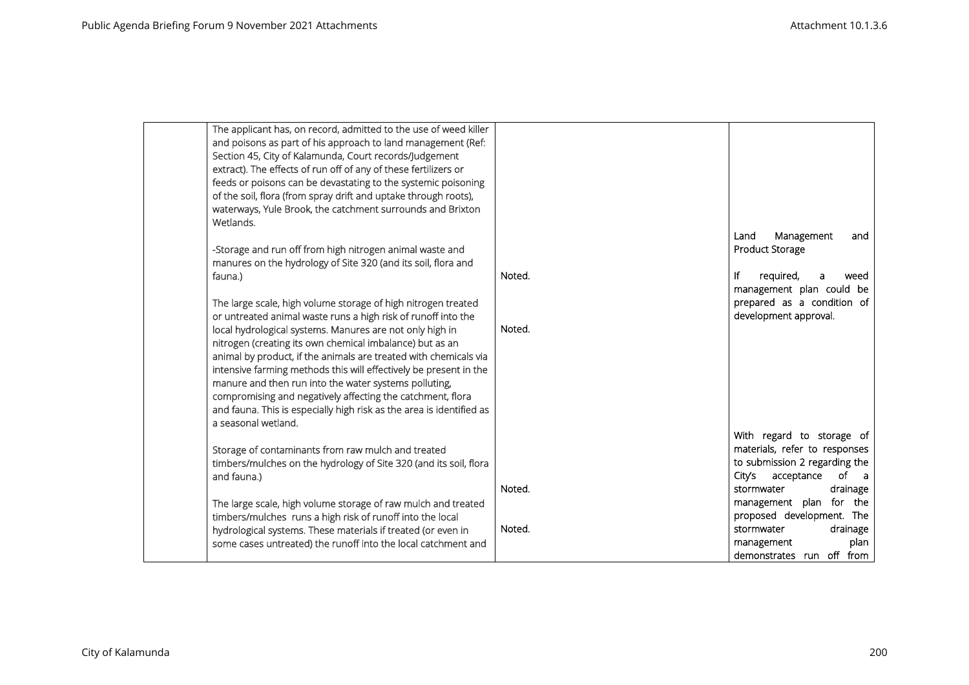| The applicant has, on record, admitted to the use of weed killer<br>and poisons as part of his approach to land management (Ref:<br>Section 45, City of Kalamunda, Court records/Judgement<br>extract). The effects of run off of any of these fertilizers or<br>feeds or poisons can be devastating to the systemic poisoning<br>of the soil, flora (from spray drift and uptake through roots),<br>waterways, Yule Brook, the catchment surrounds and Brixton<br>Wetlands. |        |                                                                           |
|------------------------------------------------------------------------------------------------------------------------------------------------------------------------------------------------------------------------------------------------------------------------------------------------------------------------------------------------------------------------------------------------------------------------------------------------------------------------------|--------|---------------------------------------------------------------------------|
| -Storage and run off from high nitrogen animal waste and<br>manures on the hydrology of Site 320 (and its soil, flora and                                                                                                                                                                                                                                                                                                                                                    |        | Management<br>Land<br>and<br>Product Storage                              |
| fauna.)                                                                                                                                                                                                                                                                                                                                                                                                                                                                      | Noted. | ١f<br>required,<br>weed<br>a<br>management plan could be                  |
| The large scale, high volume storage of high nitrogen treated<br>or untreated animal waste runs a high risk of runoff into the<br>local hydrological systems. Manures are not only high in                                                                                                                                                                                                                                                                                   | Noted. | prepared as a condition of<br>development approval.                       |
| nitrogen (creating its own chemical imbalance) but as an<br>animal by product, if the animals are treated with chemicals via<br>intensive farming methods this will effectively be present in the<br>manure and then run into the water systems polluting,<br>compromising and negatively affecting the catchment, flora<br>and fauna. This is especially high risk as the area is identified as<br>a seasonal wetland.                                                      |        |                                                                           |
| Storage of contaminants from raw mulch and treated                                                                                                                                                                                                                                                                                                                                                                                                                           |        | With regard to storage of<br>materials, refer to responses                |
| timbers/mulches on the hydrology of Site 320 (and its soil, flora<br>and fauna.)                                                                                                                                                                                                                                                                                                                                                                                             |        | to submission 2 regarding the<br>City's<br>of a<br>acceptance             |
| The large scale, high volume storage of raw mulch and treated                                                                                                                                                                                                                                                                                                                                                                                                                | Noted. | stormwater<br>drainage<br>management plan for the                         |
| timbers/mulches runs a high risk of runoff into the local                                                                                                                                                                                                                                                                                                                                                                                                                    |        | proposed development. The                                                 |
| hydrological systems. These materials if treated (or even in<br>some cases untreated) the runoff into the local catchment and                                                                                                                                                                                                                                                                                                                                                | Noted. | stormwater<br>drainage<br>plan<br>management<br>demonstrates run off from |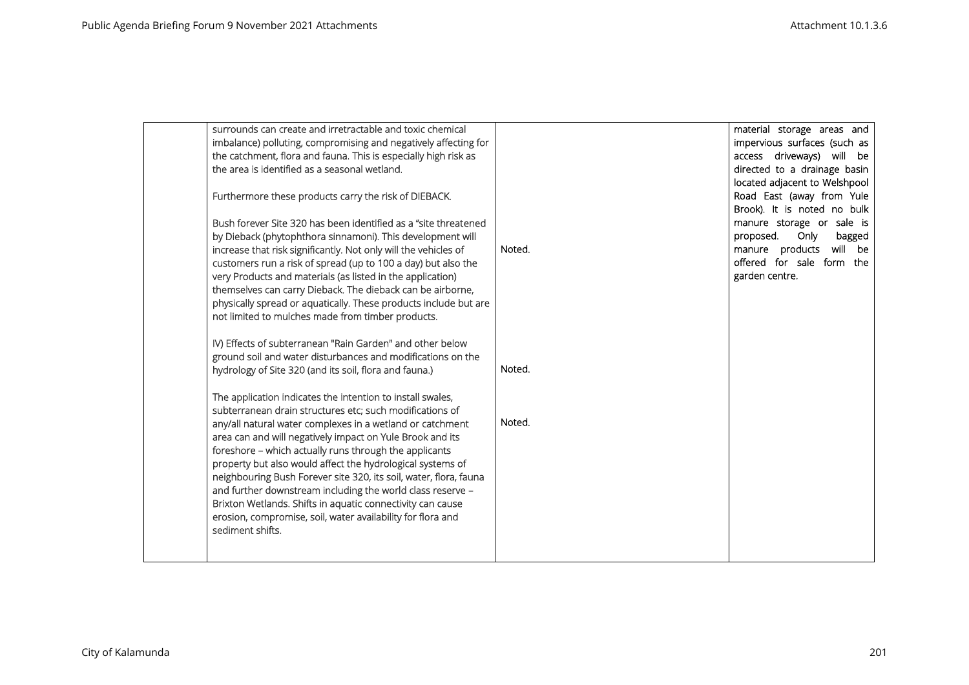| surrounds can create and irretractable and toxic chemical<br>imbalance) polluting, compromising and negatively affecting for<br>the catchment, flora and fauna. This is especially high risk as<br>the area is identified as a seasonal wetland.<br>Furthermore these products carry the risk of DIEBACK.<br>Bush forever Site 320 has been identified as a "site threatened<br>by Dieback (phytophthora sinnamoni). This development will<br>increase that risk significantly. Not only will the vehicles of<br>customers run a risk of spread (up to 100 a day) but also the<br>very Products and materials (as listed in the application)<br>themselves can carry Dieback. The dieback can be airborne,<br>physically spread or aquatically. These products include but are<br>not limited to mulches made from timber products. | Noted. | material storage areas and<br>impervious surfaces (such as<br>access driveways) will be<br>directed to a drainage basin<br>located adjacent to Welshpool<br>Road East (away from Yule<br>Brook). It is noted no bulk<br>manure storage or sale is<br>proposed.<br>Only<br>bagged<br>manure products<br>will be<br>offered for sale form the<br>garden centre. |
|-------------------------------------------------------------------------------------------------------------------------------------------------------------------------------------------------------------------------------------------------------------------------------------------------------------------------------------------------------------------------------------------------------------------------------------------------------------------------------------------------------------------------------------------------------------------------------------------------------------------------------------------------------------------------------------------------------------------------------------------------------------------------------------------------------------------------------------|--------|---------------------------------------------------------------------------------------------------------------------------------------------------------------------------------------------------------------------------------------------------------------------------------------------------------------------------------------------------------------|
| IV) Effects of subterranean "Rain Garden" and other below<br>ground soil and water disturbances and modifications on the<br>hydrology of Site 320 (and its soil, flora and fauna.)                                                                                                                                                                                                                                                                                                                                                                                                                                                                                                                                                                                                                                                  | Noted. |                                                                                                                                                                                                                                                                                                                                                               |
| The application indicates the intention to install swales,<br>subterranean drain structures etc; such modifications of<br>any/all natural water complexes in a wetland or catchment<br>area can and will negatively impact on Yule Brook and its<br>foreshore - which actually runs through the applicants<br>property but also would affect the hydrological systems of<br>neighbouring Bush Forever site 320, its soil, water, flora, fauna<br>and further downstream including the world class reserve -<br>Brixton Wetlands. Shifts in aquatic connectivity can cause<br>erosion, compromise, soil, water availability for flora and<br>sediment shifts.                                                                                                                                                                        | Noted. |                                                                                                                                                                                                                                                                                                                                                               |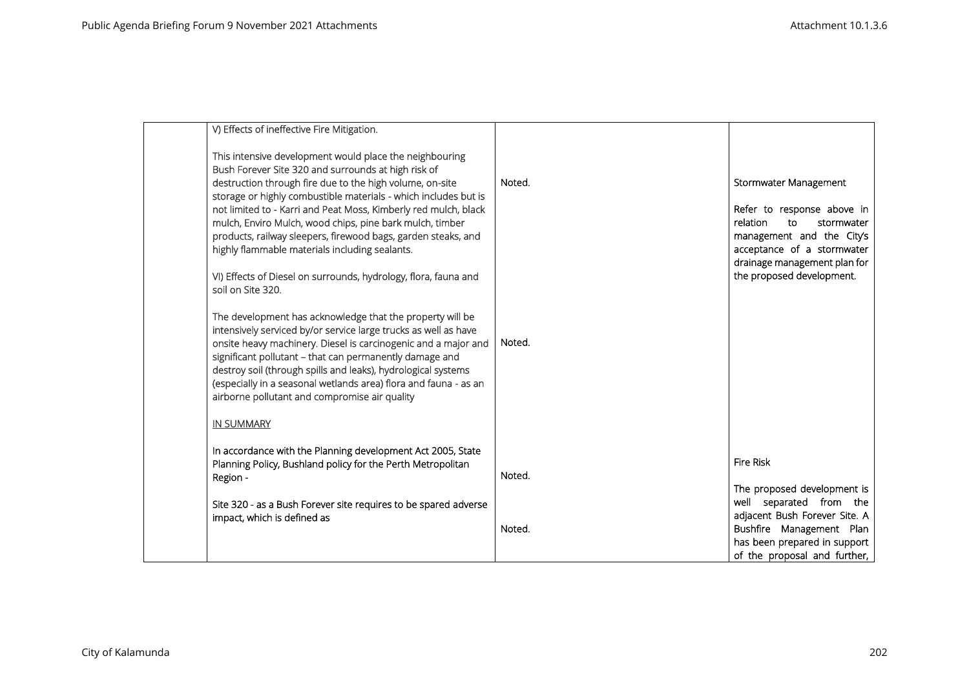| V) Effects of ineffective Fire Mitigation.                                                                                                                                                                                                                                                                                                                                                                                                                                                                                                                                              |        |                                                                                                                                                                                                             |
|-----------------------------------------------------------------------------------------------------------------------------------------------------------------------------------------------------------------------------------------------------------------------------------------------------------------------------------------------------------------------------------------------------------------------------------------------------------------------------------------------------------------------------------------------------------------------------------------|--------|-------------------------------------------------------------------------------------------------------------------------------------------------------------------------------------------------------------|
| This intensive development would place the neighbouring<br>Bush Forever Site 320 and surrounds at high risk of<br>destruction through fire due to the high volume, on-site<br>storage or highly combustible materials - which includes but is<br>not limited to - Karri and Peat Moss, Kimberly red mulch, black<br>mulch, Enviro Mulch, wood chips, pine bark mulch, timber<br>products, railway sleepers, firewood bags, garden steaks, and<br>highly flammable materials including sealants.<br>VI) Effects of Diesel on surrounds, hydrology, flora, fauna and<br>soil on Site 320. | Noted. | Stormwater Management<br>Refer to response above in<br>relation<br>stormwater<br>to<br>management and the City's<br>acceptance of a stormwater<br>drainage management plan for<br>the proposed development. |
| The development has acknowledge that the property will be<br>intensively serviced by/or service large trucks as well as have<br>onsite heavy machinery. Diesel is carcinogenic and a major and<br>significant pollutant - that can permanently damage and<br>destroy soil (through spills and leaks), hydrological systems<br>(especially in a seasonal wetlands area) flora and fauna - as an<br>airborne pollutant and compromise air quality                                                                                                                                         | Noted. |                                                                                                                                                                                                             |
| <b>IN SUMMARY</b>                                                                                                                                                                                                                                                                                                                                                                                                                                                                                                                                                                       |        |                                                                                                                                                                                                             |
| In accordance with the Planning development Act 2005, State<br>Planning Policy, Bushland policy for the Perth Metropolitan<br>Region -                                                                                                                                                                                                                                                                                                                                                                                                                                                  | Noted. | <b>Fire Risk</b>                                                                                                                                                                                            |
| Site 320 - as a Bush Forever site requires to be spared adverse<br>impact, which is defined as                                                                                                                                                                                                                                                                                                                                                                                                                                                                                          | Noted. | The proposed development is<br>well separated from the<br>adjacent Bush Forever Site. A<br>Bushfire Management Plan<br>has been prepared in support<br>of the proposal and further,                         |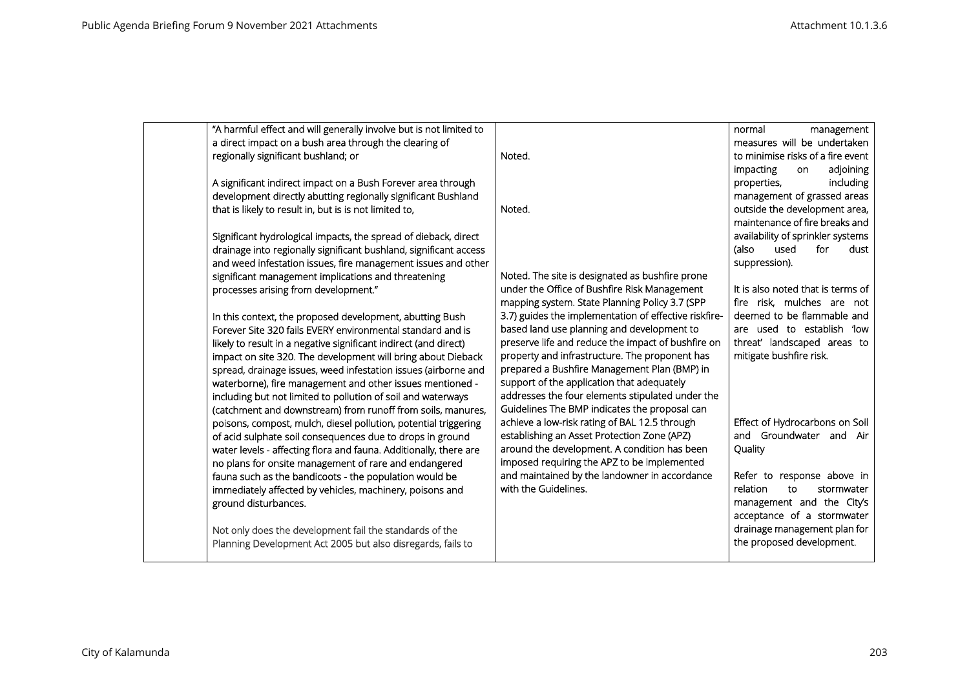| "A harmful effect and will generally involve but is not limited to |                                                       | normal<br>management              |
|--------------------------------------------------------------------|-------------------------------------------------------|-----------------------------------|
| a direct impact on a bush area through the clearing of             |                                                       | measures will be undertaken       |
| regionally significant bushland; or                                | Noted.                                                | to minimise risks of a fire event |
|                                                                    |                                                       | adjoining<br>impacting<br>on      |
| A significant indirect impact on a Bush Forever area through       |                                                       | including<br>properties,          |
| development directly abutting regionally significant Bushland      |                                                       | management of grassed areas       |
| that is likely to result in, but is is not limited to,             | Noted.                                                | outside the development area,     |
|                                                                    |                                                       | maintenance of fire breaks and    |
| Significant hydrological impacts, the spread of dieback, direct    |                                                       | availability of sprinkler systems |
| drainage into regionally significant bushland, significant access  |                                                       | (also<br>used<br>for<br>dust      |
| and weed infestation issues, fire management issues and other      |                                                       | suppression).                     |
| significant management implications and threatening                | Noted. The site is designated as bushfire prone       |                                   |
| processes arising from development."                               | under the Office of Bushfire Risk Management          | It is also noted that is terms of |
|                                                                    | mapping system. State Planning Policy 3.7 (SPP        | fire risk, mulches are not        |
| In this context, the proposed development, abutting Bush           | 3.7) guides the implementation of effective riskfire- | deemed to be flammable and        |
| Forever Site 320 fails EVERY environmental standard and is         | based land use planning and development to            | are used to establish 'low        |
| likely to result in a negative significant indirect (and direct)   | preserve life and reduce the impact of bushfire on    | threat' landscaped areas to       |
| impact on site 320. The development will bring about Dieback       | property and infrastructure. The proponent has        | mitigate bushfire risk.           |
| spread, drainage issues, weed infestation issues (airborne and     | prepared a Bushfire Management Plan (BMP) in          |                                   |
| waterborne), fire management and other issues mentioned -          | support of the application that adequately            |                                   |
| including but not limited to pollution of soil and waterways       | addresses the four elements stipulated under the      |                                   |
| (catchment and downstream) from runoff from soils, manures,        | Guidelines The BMP indicates the proposal can         |                                   |
| poisons, compost, mulch, diesel pollution, potential triggering    | achieve a low-risk rating of BAL 12.5 through         | Effect of Hydrocarbons on Soil    |
| of acid sulphate soil consequences due to drops in ground          | establishing an Asset Protection Zone (APZ)           | and Groundwater and Air           |
| water levels - affecting flora and fauna. Additionally, there are  | around the development. A condition has been          | Quality                           |
| no plans for onsite management of rare and endangered              | imposed requiring the APZ to be implemented           |                                   |
| fauna such as the bandicoots - the population would be             | and maintained by the landowner in accordance         | Refer to response above in        |
| immediately affected by vehicles, machinery, poisons and           | with the Guidelines.                                  | relation<br>to<br>stormwater      |
| ground disturbances.                                               |                                                       | management and the City's         |
|                                                                    |                                                       | acceptance of a stormwater        |
| Not only does the development fail the standards of the            |                                                       | drainage management plan for      |
| Planning Development Act 2005 but also disregards, fails to        |                                                       | the proposed development.         |
|                                                                    |                                                       |                                   |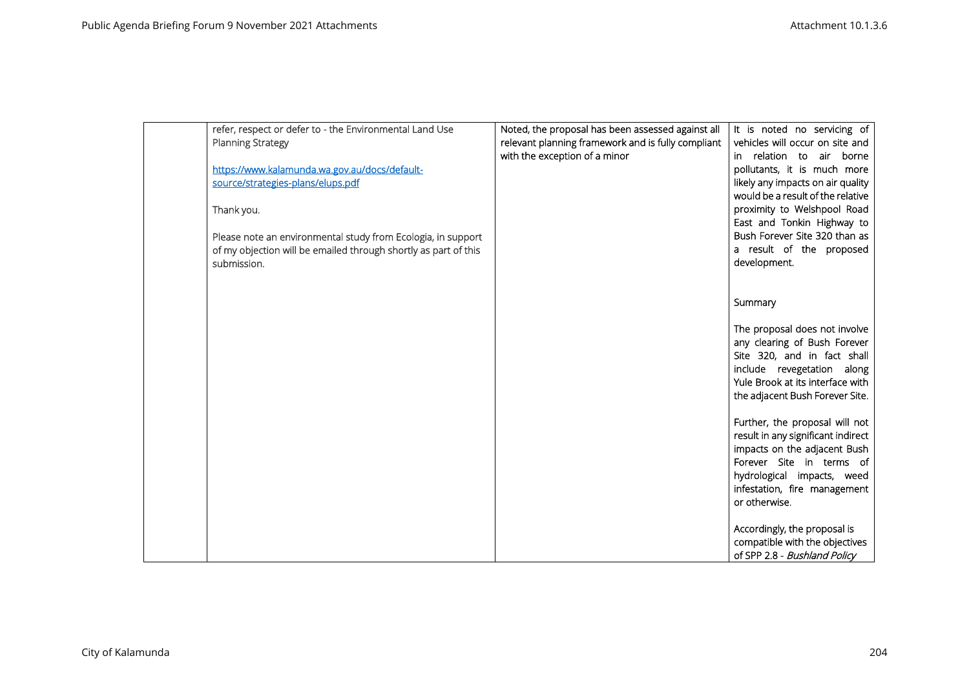| refer, respect or defer to - the Environmental Land Use         | Noted, the proposal has been assessed against all  | It is noted no servicing of                                        |
|-----------------------------------------------------------------|----------------------------------------------------|--------------------------------------------------------------------|
| <b>Planning Strategy</b>                                        | relevant planning framework and is fully compliant | vehicles will occur on site and                                    |
|                                                                 | with the exception of a minor                      | in relation to air borne                                           |
| https://www.kalamunda.wa.gov.au/docs/default-                   |                                                    | pollutants, it is much more                                        |
| source/strategies-plans/elups.pdf                               |                                                    | likely any impacts on air quality                                  |
|                                                                 |                                                    | would be a result of the relative                                  |
| Thank you.                                                      |                                                    | proximity to Welshpool Road                                        |
|                                                                 |                                                    | East and Tonkin Highway to                                         |
| Please note an environmental study from Ecologia, in support    |                                                    | Bush Forever Site 320 than as                                      |
| of my objection will be emailed through shortly as part of this |                                                    | a result of the proposed<br>development.                           |
| submission.                                                     |                                                    |                                                                    |
|                                                                 |                                                    |                                                                    |
|                                                                 |                                                    | Summary                                                            |
|                                                                 |                                                    |                                                                    |
|                                                                 |                                                    | The proposal does not involve                                      |
|                                                                 |                                                    | any clearing of Bush Forever                                       |
|                                                                 |                                                    | Site 320, and in fact shall                                        |
|                                                                 |                                                    | include revegetation along                                         |
|                                                                 |                                                    | Yule Brook at its interface with                                   |
|                                                                 |                                                    | the adjacent Bush Forever Site.                                    |
|                                                                 |                                                    |                                                                    |
|                                                                 |                                                    | Further, the proposal will not                                     |
|                                                                 |                                                    | result in any significant indirect<br>impacts on the adjacent Bush |
|                                                                 |                                                    | Forever Site in terms of                                           |
|                                                                 |                                                    | hydrological impacts, weed                                         |
|                                                                 |                                                    | infestation, fire management                                       |
|                                                                 |                                                    | or otherwise.                                                      |
|                                                                 |                                                    |                                                                    |
|                                                                 |                                                    | Accordingly, the proposal is                                       |
|                                                                 |                                                    | compatible with the objectives                                     |
|                                                                 |                                                    | of SPP 2.8 - Bushland Policy                                       |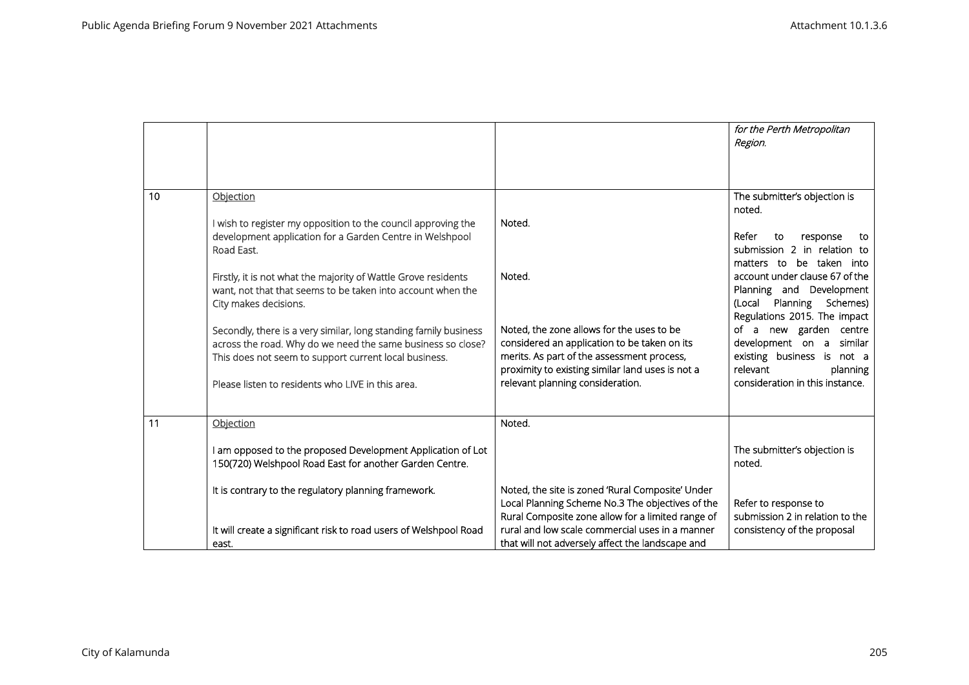|    |                                                                                                                                                                                                                                                                                                                                                                                                                                                                                                                                                                 |                                                                                                                                                                                                                                                                            | for the Perth Metropolitan<br>Region.                                                                                                                                                                                                                                                                                                                                                                          |
|----|-----------------------------------------------------------------------------------------------------------------------------------------------------------------------------------------------------------------------------------------------------------------------------------------------------------------------------------------------------------------------------------------------------------------------------------------------------------------------------------------------------------------------------------------------------------------|----------------------------------------------------------------------------------------------------------------------------------------------------------------------------------------------------------------------------------------------------------------------------|----------------------------------------------------------------------------------------------------------------------------------------------------------------------------------------------------------------------------------------------------------------------------------------------------------------------------------------------------------------------------------------------------------------|
| 10 | Objection<br>I wish to register my opposition to the council approving the<br>development application for a Garden Centre in Welshpool<br>Road East.<br>Firstly, it is not what the majority of Wattle Grove residents<br>want, not that that seems to be taken into account when the<br>City makes decisions.<br>Secondly, there is a very similar, long standing family business<br>across the road. Why do we need the same business so close?<br>This does not seem to support current local business.<br>Please listen to residents who LIVE in this area. | Noted.<br>Noted.<br>Noted, the zone allows for the uses to be<br>considered an application to be taken on its<br>merits. As part of the assessment process,<br>proximity to existing similar land uses is not a<br>relevant planning consideration.                        | The submitter's objection is<br>noted.<br>Refer<br>response<br>to<br>to<br>submission 2 in relation to<br>be taken into<br>matters to<br>account under clause 67 of the<br>Planning and Development<br>(Local Planning Schemes)<br>Regulations 2015. The impact<br>of a new garden centre<br>development on a similar<br>existing business is not a<br>relevant<br>planning<br>consideration in this instance. |
| 11 | Objection<br>I am opposed to the proposed Development Application of Lot<br>150(720) Welshpool Road East for another Garden Centre.<br>It is contrary to the regulatory planning framework.<br>It will create a significant risk to road users of Welshpool Road<br>east.                                                                                                                                                                                                                                                                                       | Noted.<br>Noted, the site is zoned 'Rural Composite' Under<br>Local Planning Scheme No.3 The objectives of the<br>Rural Composite zone allow for a limited range of<br>rural and low scale commercial uses in a manner<br>that will not adversely affect the landscape and | The submitter's objection is<br>noted.<br>Refer to response to<br>submission 2 in relation to the<br>consistency of the proposal                                                                                                                                                                                                                                                                               |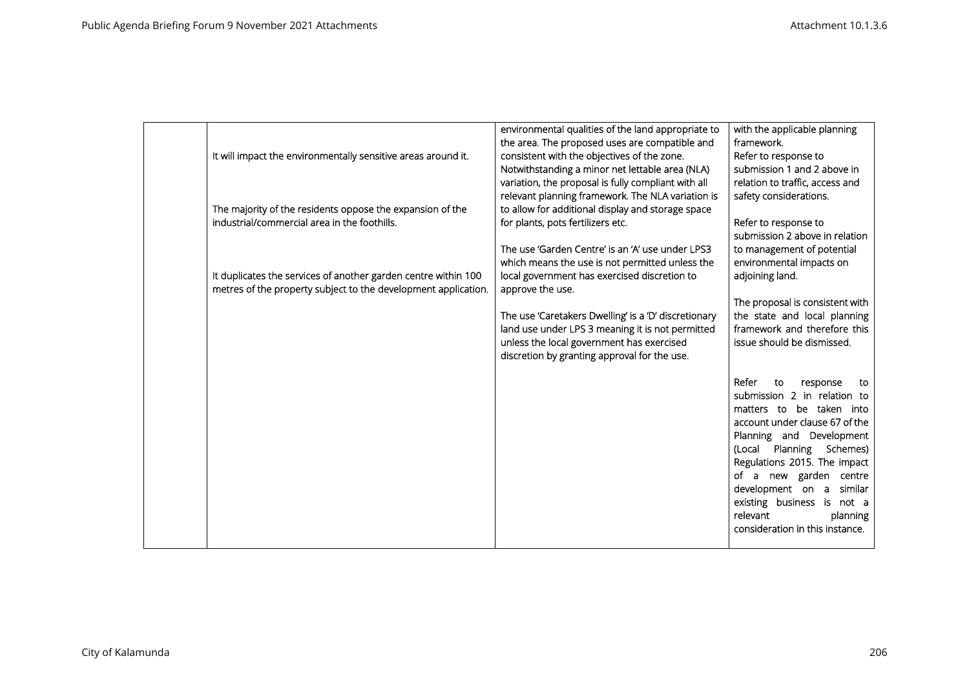| It will impact the environmentally sensitive areas around it.                                                                    | environmental qualities of the land appropriate to<br>the area. The proposed uses are compatible and<br>consistent with the objectives of the zone.<br>Notwithstanding a minor net lettable area (NLA)<br>variation, the proposal is fully compliant with all | with the applicable planning<br>framework.<br>Refer to response to<br>submission 1 and 2 above in<br>relation to traffic, access and                                                                                                                                                                                                                              |
|----------------------------------------------------------------------------------------------------------------------------------|---------------------------------------------------------------------------------------------------------------------------------------------------------------------------------------------------------------------------------------------------------------|-------------------------------------------------------------------------------------------------------------------------------------------------------------------------------------------------------------------------------------------------------------------------------------------------------------------------------------------------------------------|
| The majority of the residents oppose the expansion of the<br>industrial/commercial area in the foothills.                        | relevant planning framework. The NLA variation is<br>to allow for additional display and storage space<br>for plants, pots fertilizers etc.                                                                                                                   | safety considerations.<br>Refer to response to<br>submission 2 above in relation                                                                                                                                                                                                                                                                                  |
| It duplicates the services of another garden centre within 100<br>metres of the property subject to the development application. | The use 'Garden Centre' is an 'A' use under LPS3<br>which means the use is not permitted unless the<br>local government has exercised discretion to<br>approve the use.                                                                                       | to management of potential<br>environmental impacts on<br>adjoining land.                                                                                                                                                                                                                                                                                         |
|                                                                                                                                  | The use 'Caretakers Dwelling' is a 'D' discretionary<br>land use under LPS 3 meaning it is not permitted<br>unless the local government has exercised<br>discretion by granting approval for the use.                                                         | The proposal is consistent with<br>the state and local planning<br>framework and therefore this<br>issue should be dismissed.                                                                                                                                                                                                                                     |
|                                                                                                                                  |                                                                                                                                                                                                                                                               | Refer<br>to<br>response<br>to<br>submission 2 in relation to<br>matters to be taken into<br>account under clause 67 of the<br>Planning and Development<br>(Local Planning Schemes)<br>Regulations 2015. The impact<br>of a new garden centre<br>development on a similar<br>existing business is not a<br>relevant<br>planning<br>consideration in this instance. |
|                                                                                                                                  |                                                                                                                                                                                                                                                               |                                                                                                                                                                                                                                                                                                                                                                   |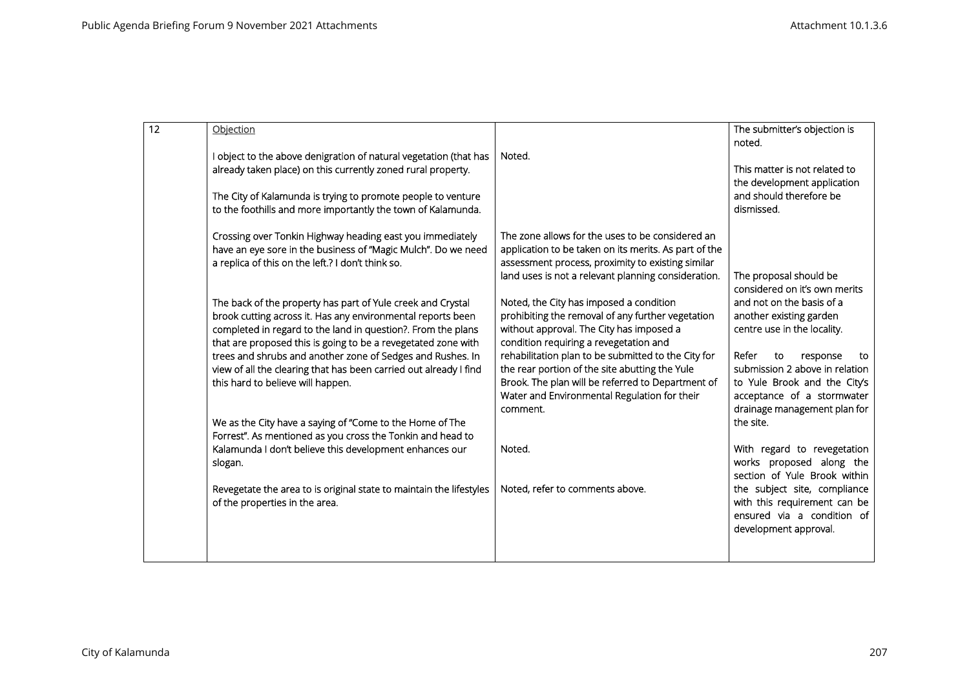| 12 | Objection                                                                                                                                                                                                                                                   |                                                                                                                                                                                                                        | The submitter's objection is<br>noted.                                                                                                                        |
|----|-------------------------------------------------------------------------------------------------------------------------------------------------------------------------------------------------------------------------------------------------------------|------------------------------------------------------------------------------------------------------------------------------------------------------------------------------------------------------------------------|---------------------------------------------------------------------------------------------------------------------------------------------------------------|
|    | I object to the above denigration of natural vegetation (that has<br>already taken place) on this currently zoned rural property.                                                                                                                           | Noted.                                                                                                                                                                                                                 | This matter is not related to                                                                                                                                 |
|    | The City of Kalamunda is trying to promote people to venture<br>to the foothills and more importantly the town of Kalamunda.                                                                                                                                |                                                                                                                                                                                                                        | the development application<br>and should therefore be<br>dismissed.                                                                                          |
|    | Crossing over Tonkin Highway heading east you immediately<br>have an eye sore in the business of "Magic Mulch". Do we need<br>a replica of this on the left.? I don't think so.                                                                             | The zone allows for the uses to be considered an<br>application to be taken on its merits. As part of the<br>assessment process, proximity to existing similar<br>land uses is not a relevant planning consideration.  | The proposal should be<br>considered on it's own merits                                                                                                       |
|    | The back of the property has part of Yule creek and Crystal<br>brook cutting across it. Has any environmental reports been<br>completed in regard to the land in question?. From the plans<br>that are proposed this is going to be a revegetated zone with | Noted, the City has imposed a condition<br>prohibiting the removal of any further vegetation<br>without approval. The City has imposed a<br>condition requiring a revegetation and                                     | and not on the basis of a<br>another existing garden<br>centre use in the locality.                                                                           |
|    | trees and shrubs and another zone of Sedges and Rushes. In<br>view of all the clearing that has been carried out already I find<br>this hard to believe will happen.                                                                                        | rehabilitation plan to be submitted to the City for<br>the rear portion of the site abutting the Yule<br>Brook. The plan will be referred to Department of<br>Water and Environmental Regulation for their<br>comment. | Refer<br>to<br>response<br>to<br>submission 2 above in relation<br>to Yule Brook and the City's<br>acceptance of a stormwater<br>drainage management plan for |
|    | We as the City have a saying of "Come to the Home of The<br>Forrest". As mentioned as you cross the Tonkin and head to                                                                                                                                      |                                                                                                                                                                                                                        | the site.                                                                                                                                                     |
|    | Kalamunda I don't believe this development enhances our<br>slogan.                                                                                                                                                                                          | Noted.                                                                                                                                                                                                                 | With regard to revegetation<br>works proposed along the<br>section of Yule Brook within                                                                       |
|    | Revegetate the area to is original state to maintain the lifestyles<br>of the properties in the area.                                                                                                                                                       | Noted, refer to comments above.                                                                                                                                                                                        | the subject site, compliance<br>with this requirement can be<br>ensured via a condition of<br>development approval.                                           |
|    |                                                                                                                                                                                                                                                             |                                                                                                                                                                                                                        |                                                                                                                                                               |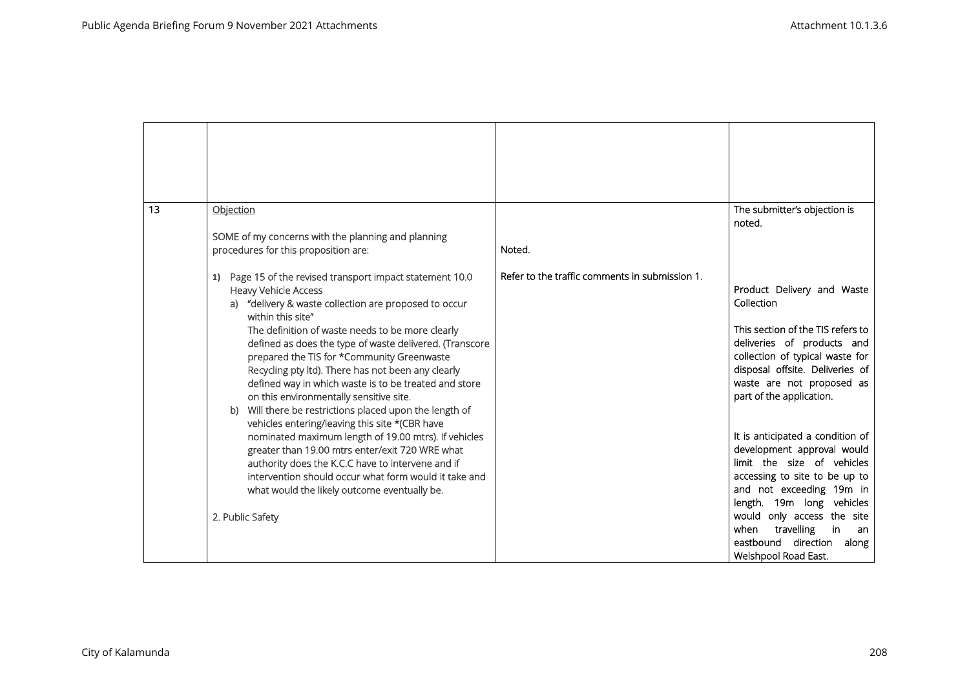| 13 | Objection<br>SOME of my concerns with the planning and planning<br>procedures for this proposition are:<br>Page 15 of the revised transport impact statement 10.0<br>1)                                                                                                                                                                                                                                                                                                                                                                          | Noted.<br>Refer to the traffic comments in submission 1. | The submitter's objection is<br>noted.                                                                                                                                                                                                                                                                      |
|----|--------------------------------------------------------------------------------------------------------------------------------------------------------------------------------------------------------------------------------------------------------------------------------------------------------------------------------------------------------------------------------------------------------------------------------------------------------------------------------------------------------------------------------------------------|----------------------------------------------------------|-------------------------------------------------------------------------------------------------------------------------------------------------------------------------------------------------------------------------------------------------------------------------------------------------------------|
|    | <b>Heavy Vehicle Access</b><br>a) "delivery & waste collection are proposed to occur<br>within this site"<br>The definition of waste needs to be more clearly<br>defined as does the type of waste delivered. (Transcore<br>prepared the TIS for *Community Greenwaste<br>Recycling pty ltd). There has not been any clearly<br>defined way in which waste is to be treated and store<br>on this environmentally sensitive site.<br>Will there be restrictions placed upon the length of<br>b)<br>vehicles entering/leaving this site *(CBR have |                                                          | Product Delivery and Waste<br>Collection<br>This section of the TIS refers to<br>deliveries of products and<br>collection of typical waste for<br>disposal offsite. Deliveries of<br>waste are not proposed as<br>part of the application.                                                                  |
|    | nominated maximum length of 19.00 mtrs). If vehicles<br>greater than 19.00 mtrs enter/exit 720 WRE what<br>authority does the K.C.C have to intervene and if<br>intervention should occur what form would it take and<br>what would the likely outcome eventually be.<br>2. Public Safety                                                                                                                                                                                                                                                        |                                                          | It is anticipated a condition of<br>development approval would<br>limit the size of vehicles<br>accessing to site to be up to<br>and not exceeding 19m in<br>length. 19m long vehicles<br>would only access the site<br>travelling<br>when<br>in<br>an<br>eastbound direction along<br>Welshpool Road East. |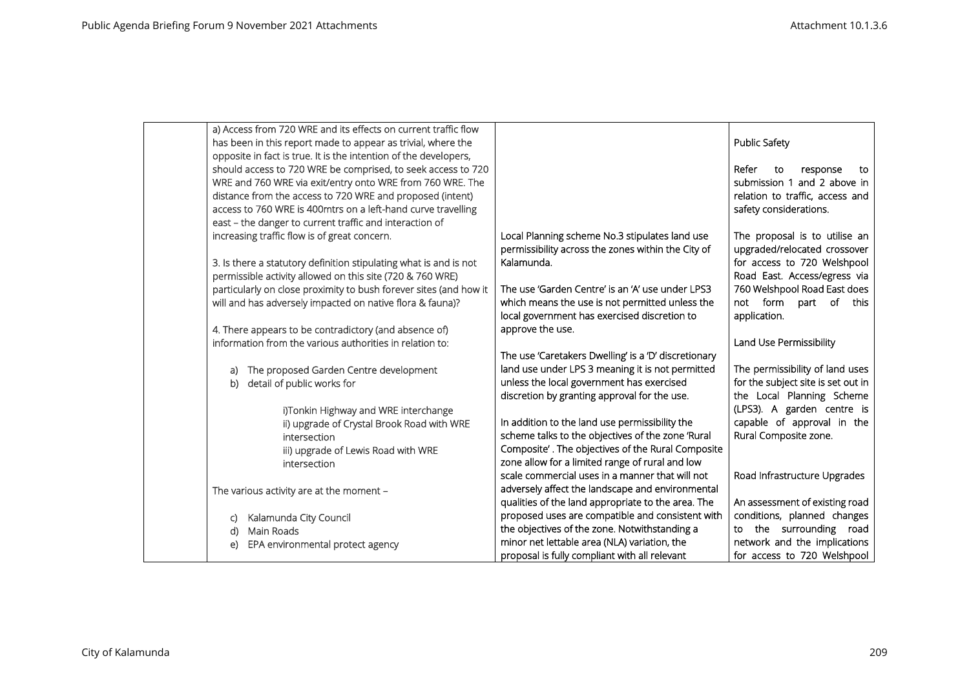| a) Access from 720 WRE and its effects on current traffic flow    |                                                                                                   |                                    |
|-------------------------------------------------------------------|---------------------------------------------------------------------------------------------------|------------------------------------|
| has been in this report made to appear as trivial, where the      |                                                                                                   | <b>Public Safety</b>               |
| opposite in fact is true. It is the intention of the developers,  |                                                                                                   |                                    |
| should access to 720 WRE be comprised, to seek access to 720      |                                                                                                   | Refer<br>to<br>response<br>to      |
| WRE and 760 WRE via exit/entry onto WRE from 760 WRE. The         |                                                                                                   | submission 1 and 2 above in        |
| distance from the access to 720 WRE and proposed (intent)         |                                                                                                   | relation to traffic, access and    |
| access to 760 WRE is 400mtrs on a left-hand curve travelling      |                                                                                                   | safety considerations.             |
| east - the danger to current traffic and interaction of           |                                                                                                   |                                    |
| increasing traffic flow is of great concern.                      | Local Planning scheme No.3 stipulates land use                                                    | The proposal is to utilise an      |
|                                                                   | permissibility across the zones within the City of                                                | upgraded/relocated crossover       |
| 3. Is there a statutory definition stipulating what is and is not | Kalamunda.                                                                                        | for access to 720 Welshpool        |
| permissible activity allowed on this site (720 & 760 WRE)         |                                                                                                   | Road East. Access/egress via       |
| particularly on close proximity to bush forever sites (and how it | The use 'Garden Centre' is an 'A' use under LPS3                                                  | 760 Welshpool Road East does       |
| will and has adversely impacted on native flora & fauna)?         | which means the use is not permitted unless the                                                   | form part of this<br>not           |
|                                                                   | local government has exercised discretion to                                                      | application.                       |
| 4. There appears to be contradictory (and absence of)             | approve the use.                                                                                  |                                    |
| information from the various authorities in relation to:          |                                                                                                   | Land Use Permissibility            |
|                                                                   | The use 'Caretakers Dwelling' is a 'D' discretionary                                              |                                    |
| The proposed Garden Centre development<br>a)                      | land use under LPS 3 meaning it is not permitted                                                  | The permissibility of land uses    |
| detail of public works for<br>b)                                  | unless the local government has exercised                                                         | for the subject site is set out in |
|                                                                   | discretion by granting approval for the use.                                                      | the Local Planning Scheme          |
| i)Tonkin Highway and WRE interchange                              |                                                                                                   | (LPS3). A garden centre is         |
| ii) upgrade of Crystal Brook Road with WRE                        | In addition to the land use permissibility the                                                    | capable of approval in the         |
| intersection                                                      | scheme talks to the objectives of the zone 'Rural                                                 | Rural Composite zone.              |
| iii) upgrade of Lewis Road with WRE                               | Composite'. The objectives of the Rural Composite                                                 |                                    |
| intersection                                                      | zone allow for a limited range of rural and low                                                   |                                    |
|                                                                   | scale commercial uses in a manner that will not                                                   | Road Infrastructure Upgrades       |
| The various activity are at the moment -                          | adversely affect the landscape and environmental                                                  | An assessment of existing road     |
|                                                                   | qualities of the land appropriate to the area. The                                                | conditions, planned changes        |
| Kalamunda City Council<br>C)                                      | proposed uses are compatible and consistent with<br>the objectives of the zone. Notwithstanding a | to the surrounding road            |
| Main Roads<br>d)                                                  | minor net lettable area (NLA) variation, the                                                      | network and the implications       |
| EPA environmental protect agency<br>e)                            | proposal is fully compliant with all relevant                                                     | for access to 720 Welshpool        |
|                                                                   |                                                                                                   |                                    |